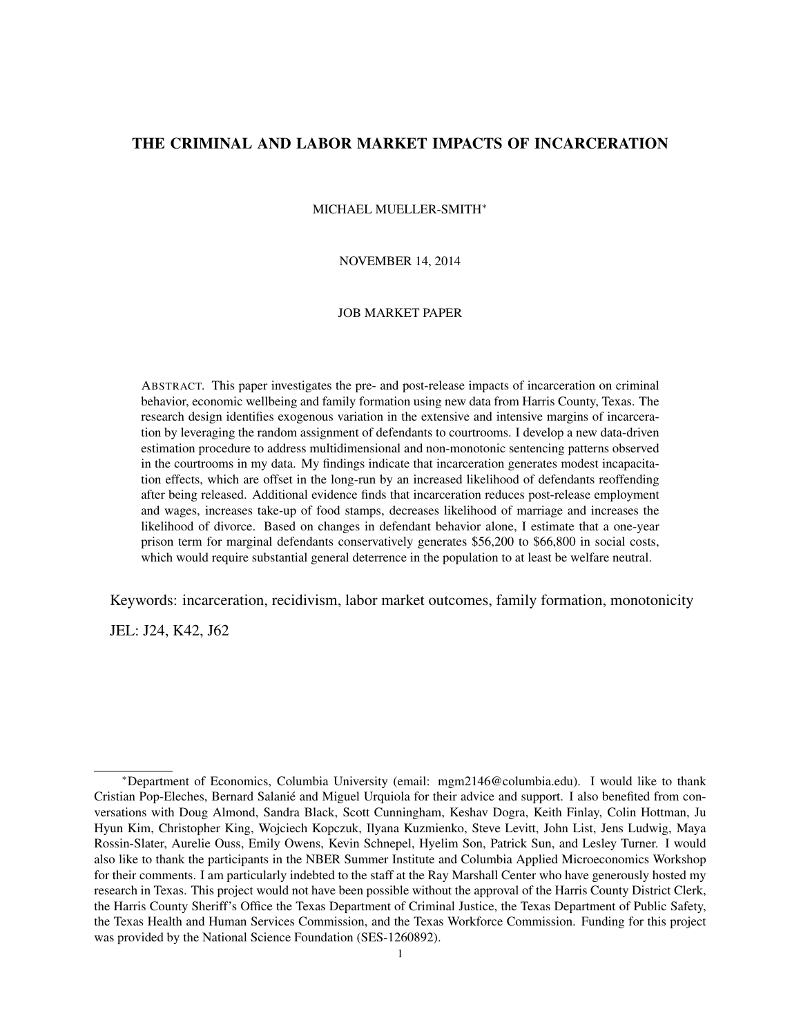# THE CRIMINAL AND LABOR MARKET IMPACTS OF INCARCERATION

MICHAEL MUELLER-SMITH<sup>∗</sup>

NOVEMBER 14, 2014

#### JOB MARKET PAPER

ABSTRACT. This paper investigates the pre- and post-release impacts of incarceration on criminal behavior, economic wellbeing and family formation using new data from Harris County, Texas. The research design identifies exogenous variation in the extensive and intensive margins of incarceration by leveraging the random assignment of defendants to courtrooms. I develop a new data-driven estimation procedure to address multidimensional and non-monotonic sentencing patterns observed in the courtrooms in my data. My findings indicate that incarceration generates modest incapacitation effects, which are offset in the long-run by an increased likelihood of defendants reoffending after being released. Additional evidence finds that incarceration reduces post-release employment and wages, increases take-up of food stamps, decreases likelihood of marriage and increases the likelihood of divorce. Based on changes in defendant behavior alone, I estimate that a one-year prison term for marginal defendants conservatively generates \$56,200 to \$66,800 in social costs, which would require substantial general deterrence in the population to at least be welfare neutral.

Keywords: incarceration, recidivism, labor market outcomes, family formation, monotonicity

JEL: J24, K42, J62

<sup>∗</sup>Department of Economics, Columbia University (email: mgm2146@columbia.edu). I would like to thank Cristian Pop-Eleches, Bernard Salanie and Miguel Urquiola for their advice and support. I also benefited from con- ´ versations with Doug Almond, Sandra Black, Scott Cunningham, Keshav Dogra, Keith Finlay, Colin Hottman, Ju Hyun Kim, Christopher King, Wojciech Kopczuk, Ilyana Kuzmienko, Steve Levitt, John List, Jens Ludwig, Maya Rossin-Slater, Aurelie Ouss, Emily Owens, Kevin Schnepel, Hyelim Son, Patrick Sun, and Lesley Turner. I would also like to thank the participants in the NBER Summer Institute and Columbia Applied Microeconomics Workshop for their comments. I am particularly indebted to the staff at the Ray Marshall Center who have generously hosted my research in Texas. This project would not have been possible without the approval of the Harris County District Clerk, the Harris County Sheriff's Office the Texas Department of Criminal Justice, the Texas Department of Public Safety, the Texas Health and Human Services Commission, and the Texas Workforce Commission. Funding for this project was provided by the National Science Foundation (SES-1260892).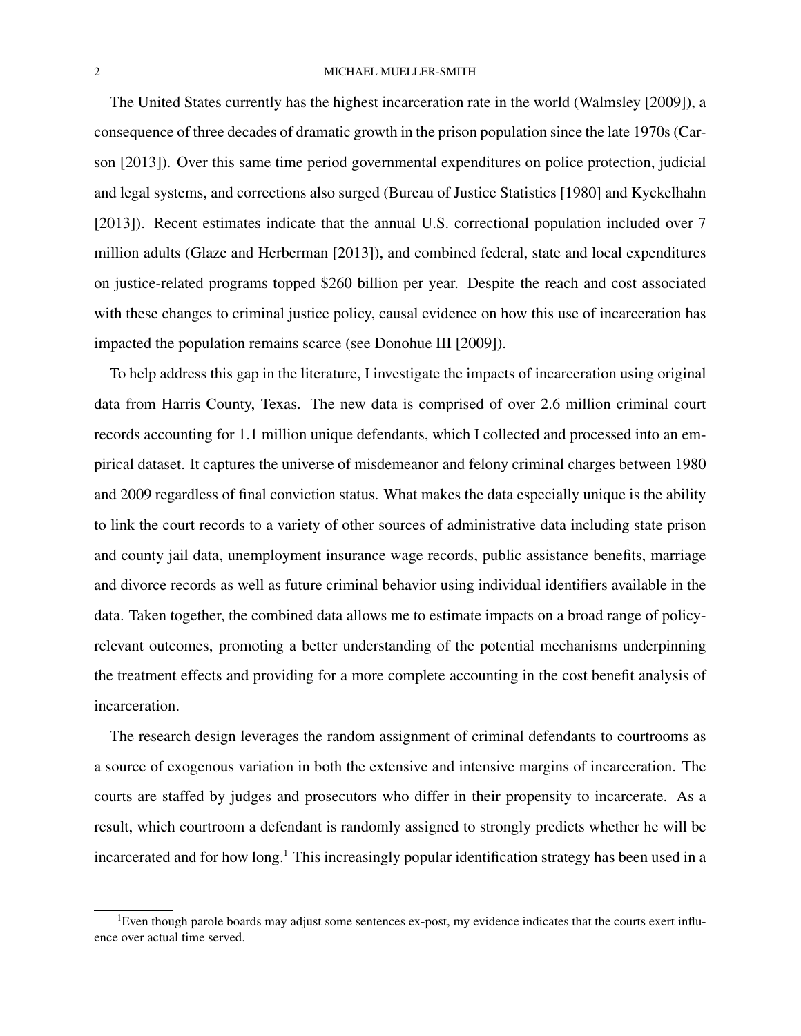The United States currently has the highest incarceration rate in the world (Walmsley [2009]), a consequence of three decades of dramatic growth in the prison population since the late 1970s (Carson [2013]). Over this same time period governmental expenditures on police protection, judicial and legal systems, and corrections also surged (Bureau of Justice Statistics [1980] and Kyckelhahn [2013]). Recent estimates indicate that the annual U.S. correctional population included over 7 million adults (Glaze and Herberman [2013]), and combined federal, state and local expenditures on justice-related programs topped \$260 billion per year. Despite the reach and cost associated with these changes to criminal justice policy, causal evidence on how this use of incarceration has impacted the population remains scarce (see Donohue III [2009]).

To help address this gap in the literature, I investigate the impacts of incarceration using original data from Harris County, Texas. The new data is comprised of over 2.6 million criminal court records accounting for 1.1 million unique defendants, which I collected and processed into an empirical dataset. It captures the universe of misdemeanor and felony criminal charges between 1980 and 2009 regardless of final conviction status. What makes the data especially unique is the ability to link the court records to a variety of other sources of administrative data including state prison and county jail data, unemployment insurance wage records, public assistance benefits, marriage and divorce records as well as future criminal behavior using individual identifiers available in the data. Taken together, the combined data allows me to estimate impacts on a broad range of policyrelevant outcomes, promoting a better understanding of the potential mechanisms underpinning the treatment effects and providing for a more complete accounting in the cost benefit analysis of incarceration.

The research design leverages the random assignment of criminal defendants to courtrooms as a source of exogenous variation in both the extensive and intensive margins of incarceration. The courts are staffed by judges and prosecutors who differ in their propensity to incarcerate. As a result, which courtroom a defendant is randomly assigned to strongly predicts whether he will be incarcerated and for how long.<sup>1</sup> This increasingly popular identification strategy has been used in a

<sup>&</sup>lt;sup>1</sup>Even though parole boards may adjust some sentences ex-post, my evidence indicates that the courts exert influence over actual time served.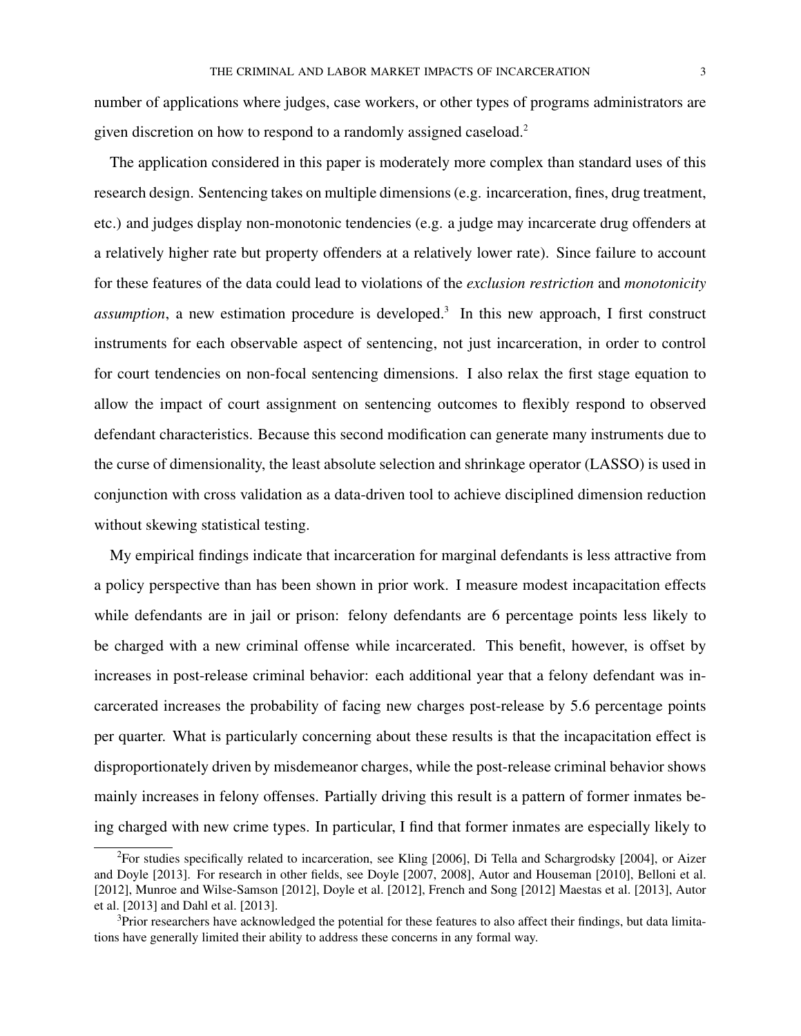number of applications where judges, case workers, or other types of programs administrators are given discretion on how to respond to a randomly assigned caseload.<sup>2</sup>

The application considered in this paper is moderately more complex than standard uses of this research design. Sentencing takes on multiple dimensions (e.g. incarceration, fines, drug treatment, etc.) and judges display non-monotonic tendencies (e.g. a judge may incarcerate drug offenders at a relatively higher rate but property offenders at a relatively lower rate). Since failure to account for these features of the data could lead to violations of the *exclusion restriction* and *monotonicity* assumption, a new estimation procedure is developed.<sup>3</sup> In this new approach, I first construct instruments for each observable aspect of sentencing, not just incarceration, in order to control for court tendencies on non-focal sentencing dimensions. I also relax the first stage equation to allow the impact of court assignment on sentencing outcomes to flexibly respond to observed defendant characteristics. Because this second modification can generate many instruments due to the curse of dimensionality, the least absolute selection and shrinkage operator (LASSO) is used in conjunction with cross validation as a data-driven tool to achieve disciplined dimension reduction without skewing statistical testing.

My empirical findings indicate that incarceration for marginal defendants is less attractive from a policy perspective than has been shown in prior work. I measure modest incapacitation effects while defendants are in jail or prison: felony defendants are 6 percentage points less likely to be charged with a new criminal offense while incarcerated. This benefit, however, is offset by increases in post-release criminal behavior: each additional year that a felony defendant was incarcerated increases the probability of facing new charges post-release by 5.6 percentage points per quarter. What is particularly concerning about these results is that the incapacitation effect is disproportionately driven by misdemeanor charges, while the post-release criminal behavior shows mainly increases in felony offenses. Partially driving this result is a pattern of former inmates being charged with new crime types. In particular, I find that former inmates are especially likely to

<sup>2</sup>For studies specifically related to incarceration, see Kling [2006], Di Tella and Schargrodsky [2004], or Aizer and Doyle [2013]. For research in other fields, see Doyle [2007, 2008], Autor and Houseman [2010], Belloni et al. [2012], Munroe and Wilse-Samson [2012], Doyle et al. [2012], French and Song [2012] Maestas et al. [2013], Autor et al. [2013] and Dahl et al. [2013].

<sup>&</sup>lt;sup>3</sup>Prior researchers have acknowledged the potential for these features to also affect their findings, but data limitations have generally limited their ability to address these concerns in any formal way.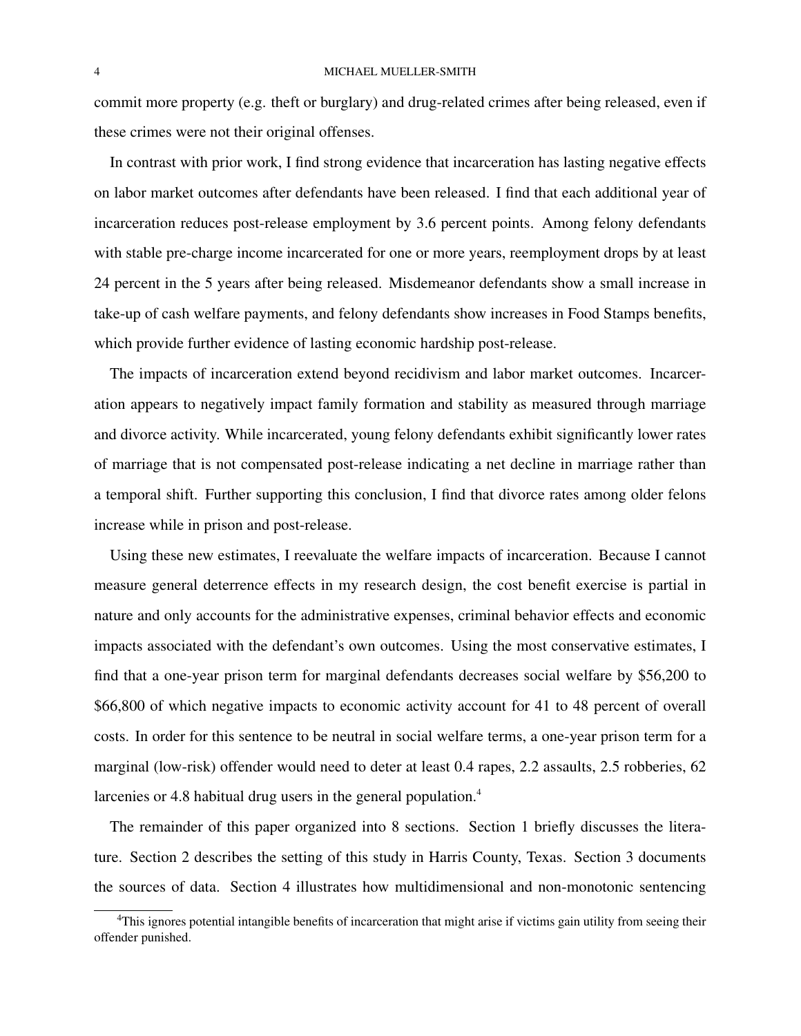commit more property (e.g. theft or burglary) and drug-related crimes after being released, even if these crimes were not their original offenses.

In contrast with prior work, I find strong evidence that incarceration has lasting negative effects on labor market outcomes after defendants have been released. I find that each additional year of incarceration reduces post-release employment by 3.6 percent points. Among felony defendants with stable pre-charge income incarcerated for one or more years, reemployment drops by at least 24 percent in the 5 years after being released. Misdemeanor defendants show a small increase in take-up of cash welfare payments, and felony defendants show increases in Food Stamps benefits, which provide further evidence of lasting economic hardship post-release.

The impacts of incarceration extend beyond recidivism and labor market outcomes. Incarceration appears to negatively impact family formation and stability as measured through marriage and divorce activity. While incarcerated, young felony defendants exhibit significantly lower rates of marriage that is not compensated post-release indicating a net decline in marriage rather than a temporal shift. Further supporting this conclusion, I find that divorce rates among older felons increase while in prison and post-release.

Using these new estimates, I reevaluate the welfare impacts of incarceration. Because I cannot measure general deterrence effects in my research design, the cost benefit exercise is partial in nature and only accounts for the administrative expenses, criminal behavior effects and economic impacts associated with the defendant's own outcomes. Using the most conservative estimates, I find that a one-year prison term for marginal defendants decreases social welfare by \$56,200 to \$66,800 of which negative impacts to economic activity account for 41 to 48 percent of overall costs. In order for this sentence to be neutral in social welfare terms, a one-year prison term for a marginal (low-risk) offender would need to deter at least 0.4 rapes, 2.2 assaults, 2.5 robberies, 62 larcenies or 4.8 habitual drug users in the general population.<sup>4</sup>

The remainder of this paper organized into 8 sections. Section 1 briefly discusses the literature. Section 2 describes the setting of this study in Harris County, Texas. Section 3 documents the sources of data. Section 4 illustrates how multidimensional and non-monotonic sentencing

 $4$ This ignores potential intangible benefits of incarceration that might arise if victims gain utility from seeing their offender punished.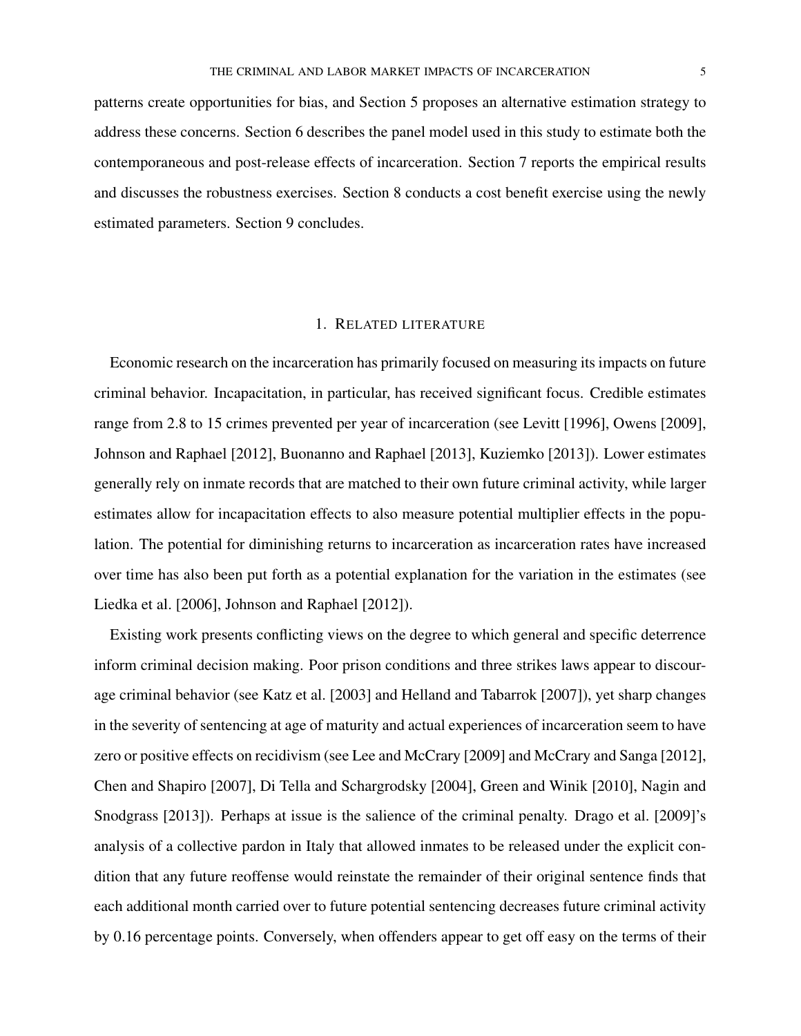patterns create opportunities for bias, and Section 5 proposes an alternative estimation strategy to address these concerns. Section 6 describes the panel model used in this study to estimate both the contemporaneous and post-release effects of incarceration. Section 7 reports the empirical results and discusses the robustness exercises. Section 8 conducts a cost benefit exercise using the newly estimated parameters. Section 9 concludes.

## 1. RELATED LITERATURE

Economic research on the incarceration has primarily focused on measuring its impacts on future criminal behavior. Incapacitation, in particular, has received significant focus. Credible estimates range from 2.8 to 15 crimes prevented per year of incarceration (see Levitt [1996], Owens [2009], Johnson and Raphael [2012], Buonanno and Raphael [2013], Kuziemko [2013]). Lower estimates generally rely on inmate records that are matched to their own future criminal activity, while larger estimates allow for incapacitation effects to also measure potential multiplier effects in the population. The potential for diminishing returns to incarceration as incarceration rates have increased over time has also been put forth as a potential explanation for the variation in the estimates (see Liedka et al. [2006], Johnson and Raphael [2012]).

Existing work presents conflicting views on the degree to which general and specific deterrence inform criminal decision making. Poor prison conditions and three strikes laws appear to discourage criminal behavior (see Katz et al. [2003] and Helland and Tabarrok [2007]), yet sharp changes in the severity of sentencing at age of maturity and actual experiences of incarceration seem to have zero or positive effects on recidivism (see Lee and McCrary [2009] and McCrary and Sanga [2012], Chen and Shapiro [2007], Di Tella and Schargrodsky [2004], Green and Winik [2010], Nagin and Snodgrass [2013]). Perhaps at issue is the salience of the criminal penalty. Drago et al. [2009]'s analysis of a collective pardon in Italy that allowed inmates to be released under the explicit condition that any future reoffense would reinstate the remainder of their original sentence finds that each additional month carried over to future potential sentencing decreases future criminal activity by 0.16 percentage points. Conversely, when offenders appear to get off easy on the terms of their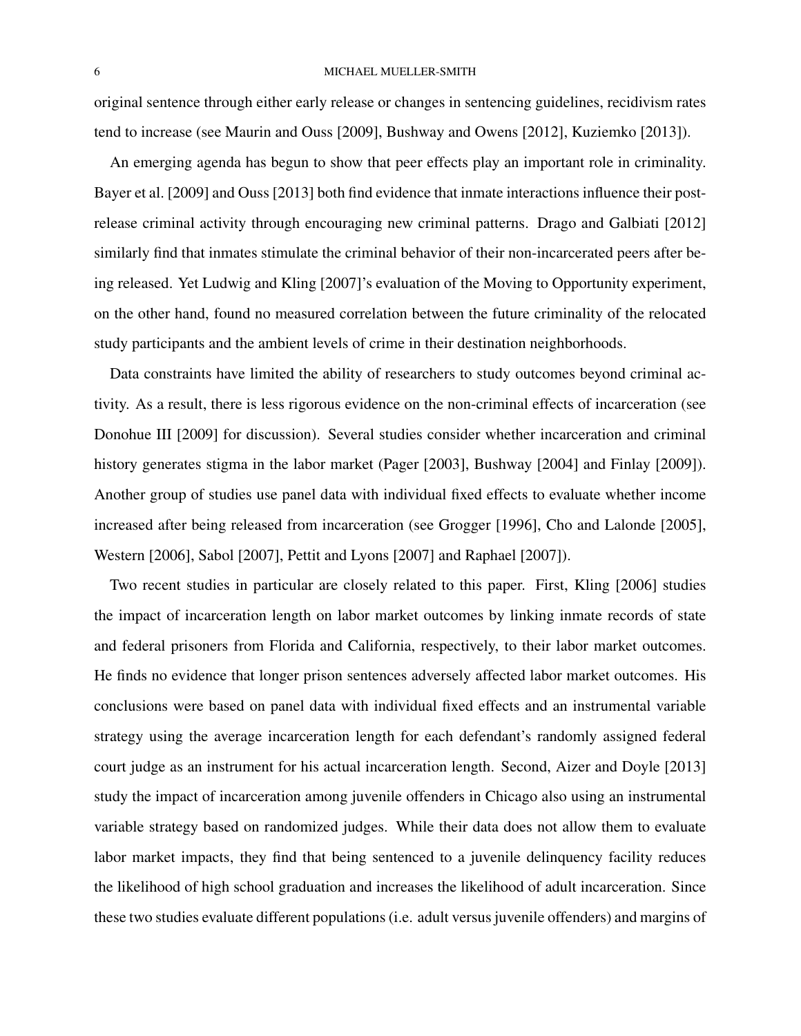original sentence through either early release or changes in sentencing guidelines, recidivism rates tend to increase (see Maurin and Ouss [2009], Bushway and Owens [2012], Kuziemko [2013]).

An emerging agenda has begun to show that peer effects play an important role in criminality. Bayer et al. [2009] and Ouss [2013] both find evidence that inmate interactions influence their postrelease criminal activity through encouraging new criminal patterns. Drago and Galbiati [2012] similarly find that inmates stimulate the criminal behavior of their non-incarcerated peers after being released. Yet Ludwig and Kling [2007]'s evaluation of the Moving to Opportunity experiment, on the other hand, found no measured correlation between the future criminality of the relocated study participants and the ambient levels of crime in their destination neighborhoods.

Data constraints have limited the ability of researchers to study outcomes beyond criminal activity. As a result, there is less rigorous evidence on the non-criminal effects of incarceration (see Donohue III [2009] for discussion). Several studies consider whether incarceration and criminal history generates stigma in the labor market (Pager [2003], Bushway [2004] and Finlay [2009]). Another group of studies use panel data with individual fixed effects to evaluate whether income increased after being released from incarceration (see Grogger [1996], Cho and Lalonde [2005], Western [2006], Sabol [2007], Pettit and Lyons [2007] and Raphael [2007]).

Two recent studies in particular are closely related to this paper. First, Kling [2006] studies the impact of incarceration length on labor market outcomes by linking inmate records of state and federal prisoners from Florida and California, respectively, to their labor market outcomes. He finds no evidence that longer prison sentences adversely affected labor market outcomes. His conclusions were based on panel data with individual fixed effects and an instrumental variable strategy using the average incarceration length for each defendant's randomly assigned federal court judge as an instrument for his actual incarceration length. Second, Aizer and Doyle [2013] study the impact of incarceration among juvenile offenders in Chicago also using an instrumental variable strategy based on randomized judges. While their data does not allow them to evaluate labor market impacts, they find that being sentenced to a juvenile delinquency facility reduces the likelihood of high school graduation and increases the likelihood of adult incarceration. Since these two studies evaluate different populations (i.e. adult versus juvenile offenders) and margins of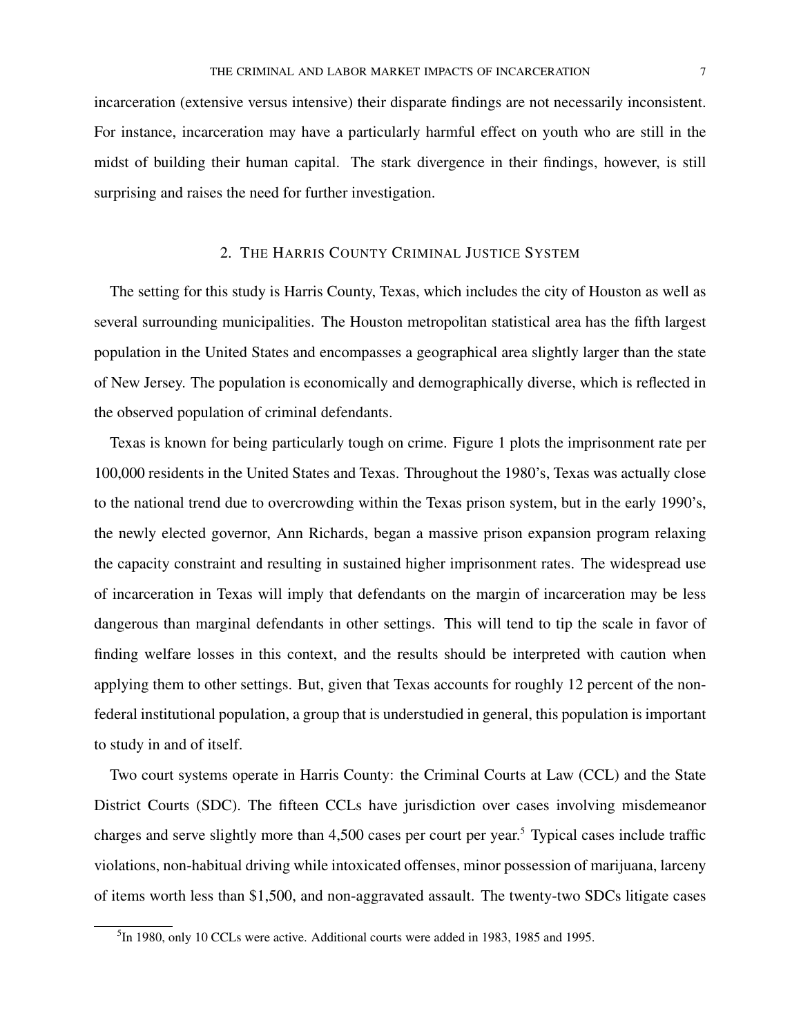incarceration (extensive versus intensive) their disparate findings are not necessarily inconsistent. For instance, incarceration may have a particularly harmful effect on youth who are still in the midst of building their human capital. The stark divergence in their findings, however, is still surprising and raises the need for further investigation.

## 2. THE HARRIS COUNTY CRIMINAL JUSTICE SYSTEM

The setting for this study is Harris County, Texas, which includes the city of Houston as well as several surrounding municipalities. The Houston metropolitan statistical area has the fifth largest population in the United States and encompasses a geographical area slightly larger than the state of New Jersey. The population is economically and demographically diverse, which is reflected in the observed population of criminal defendants.

Texas is known for being particularly tough on crime. Figure 1 plots the imprisonment rate per 100,000 residents in the United States and Texas. Throughout the 1980's, Texas was actually close to the national trend due to overcrowding within the Texas prison system, but in the early 1990's, the newly elected governor, Ann Richards, began a massive prison expansion program relaxing the capacity constraint and resulting in sustained higher imprisonment rates. The widespread use of incarceration in Texas will imply that defendants on the margin of incarceration may be less dangerous than marginal defendants in other settings. This will tend to tip the scale in favor of finding welfare losses in this context, and the results should be interpreted with caution when applying them to other settings. But, given that Texas accounts for roughly 12 percent of the nonfederal institutional population, a group that is understudied in general, this population is important to study in and of itself.

Two court systems operate in Harris County: the Criminal Courts at Law (CCL) and the State District Courts (SDC). The fifteen CCLs have jurisdiction over cases involving misdemeanor charges and serve slightly more than 4,500 cases per court per year.<sup>5</sup> Typical cases include traffic violations, non-habitual driving while intoxicated offenses, minor possession of marijuana, larceny of items worth less than \$1,500, and non-aggravated assault. The twenty-two SDCs litigate cases

<sup>&</sup>lt;sup>5</sup>In 1980, only 10 CCLs were active. Additional courts were added in 1983, 1985 and 1995.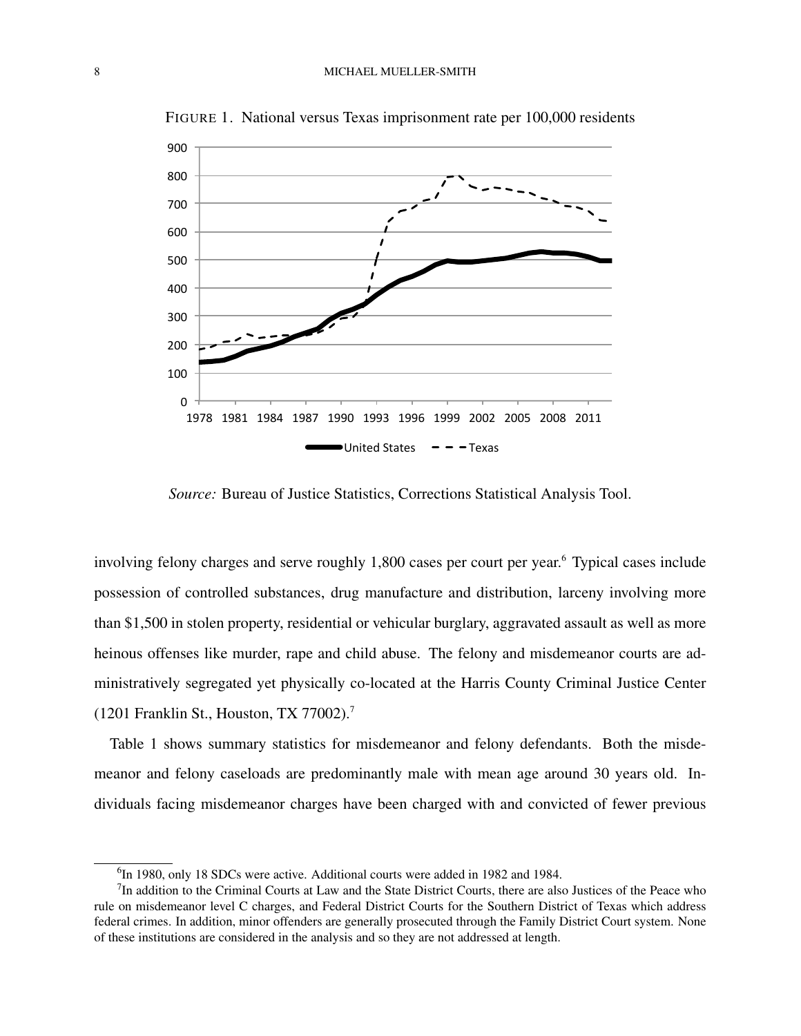

FIGURE 1. National versus Texas imprisonment rate per 100,000 residents

*Source:* Bureau of Justice Statistics, Corrections Statistical Analysis Tool.

involving felony charges and serve roughly 1,800 cases per court per year.<sup>6</sup> Typical cases include possession of controlled substances, drug manufacture and distribution, larceny involving more than \$1,500 in stolen property, residential or vehicular burglary, aggravated assault as well as more heinous offenses like murder, rape and child abuse. The felony and misdemeanor courts are administratively segregated yet physically co-located at the Harris County Criminal Justice Center (1201 Franklin St., Houston, TX 77002).<sup>7</sup>

Table 1 shows summary statistics for misdemeanor and felony defendants. Both the misdemeanor and felony caseloads are predominantly male with mean age around 30 years old. Individuals facing misdemeanor charges have been charged with and convicted of fewer previous

<sup>&</sup>lt;sup>6</sup>In 1980, only 18 SDCs were active. Additional courts were added in 1982 and 1984.

 $7$ In addition to the Criminal Courts at Law and the State District Courts, there are also Justices of the Peace who rule on misdemeanor level C charges, and Federal District Courts for the Southern District of Texas which address federal crimes. In addition, minor offenders are generally prosecuted through the Family District Court system. None of these institutions are considered in the analysis and so they are not addressed at length.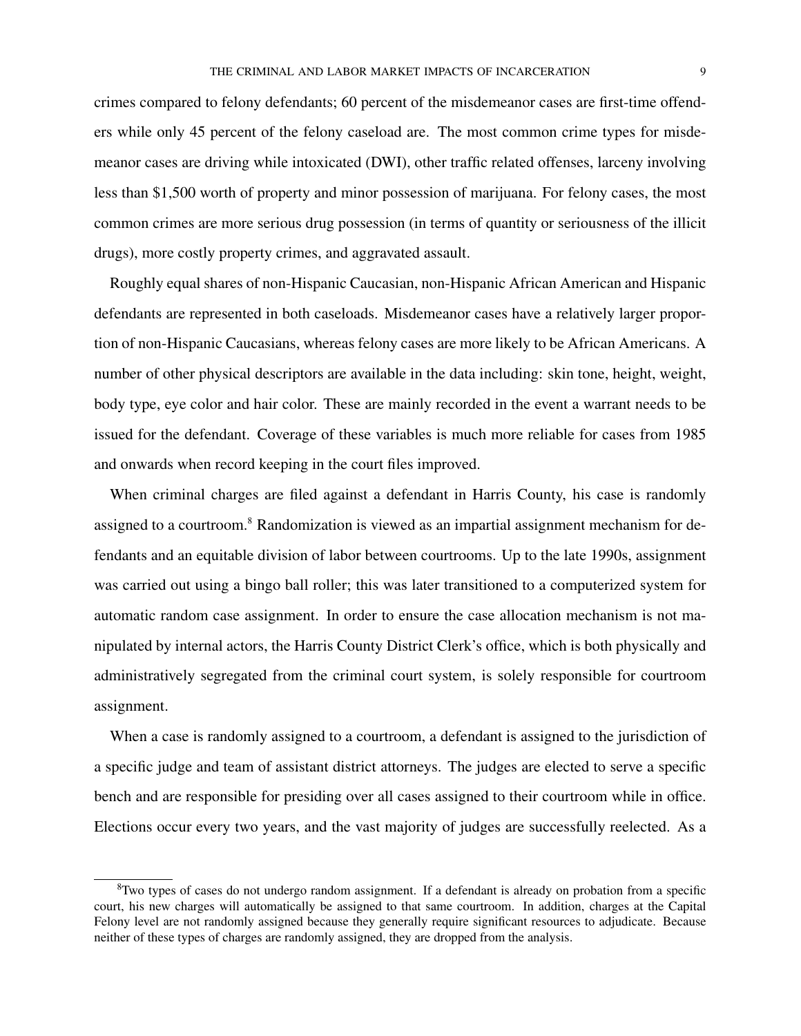crimes compared to felony defendants; 60 percent of the misdemeanor cases are first-time offenders while only 45 percent of the felony caseload are. The most common crime types for misdemeanor cases are driving while intoxicated (DWI), other traffic related offenses, larceny involving less than \$1,500 worth of property and minor possession of marijuana. For felony cases, the most common crimes are more serious drug possession (in terms of quantity or seriousness of the illicit drugs), more costly property crimes, and aggravated assault.

Roughly equal shares of non-Hispanic Caucasian, non-Hispanic African American and Hispanic defendants are represented in both caseloads. Misdemeanor cases have a relatively larger proportion of non-Hispanic Caucasians, whereas felony cases are more likely to be African Americans. A number of other physical descriptors are available in the data including: skin tone, height, weight, body type, eye color and hair color. These are mainly recorded in the event a warrant needs to be issued for the defendant. Coverage of these variables is much more reliable for cases from 1985 and onwards when record keeping in the court files improved.

When criminal charges are filed against a defendant in Harris County, his case is randomly assigned to a courtroom.<sup>8</sup> Randomization is viewed as an impartial assignment mechanism for defendants and an equitable division of labor between courtrooms. Up to the late 1990s, assignment was carried out using a bingo ball roller; this was later transitioned to a computerized system for automatic random case assignment. In order to ensure the case allocation mechanism is not manipulated by internal actors, the Harris County District Clerk's office, which is both physically and administratively segregated from the criminal court system, is solely responsible for courtroom assignment.

When a case is randomly assigned to a courtroom, a defendant is assigned to the jurisdiction of a specific judge and team of assistant district attorneys. The judges are elected to serve a specific bench and are responsible for presiding over all cases assigned to their courtroom while in office. Elections occur every two years, and the vast majority of judges are successfully reelected. As a

 ${}^{8}$ Two types of cases do not undergo random assignment. If a defendant is already on probation from a specific court, his new charges will automatically be assigned to that same courtroom. In addition, charges at the Capital Felony level are not randomly assigned because they generally require significant resources to adjudicate. Because neither of these types of charges are randomly assigned, they are dropped from the analysis.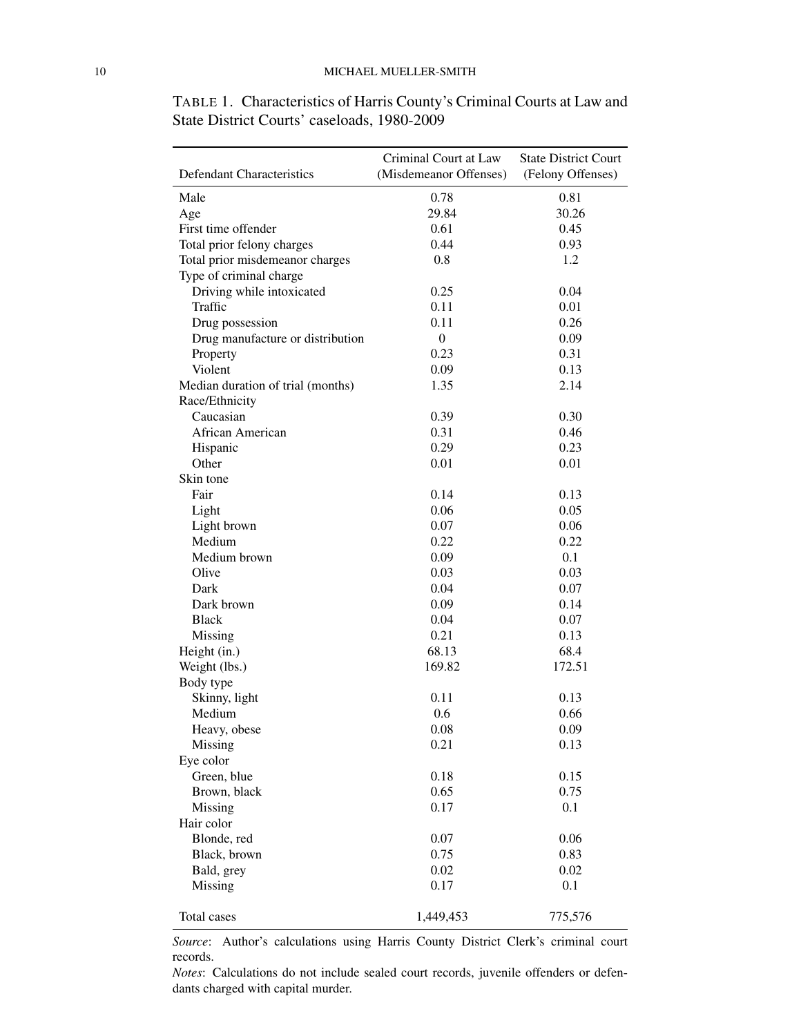TABLE 1. Characteristics of Harris County's Criminal Courts at Law and State District Courts' caseloads, 1980-2009

|                                   | Criminal Court at Law  | <b>State District Court</b> |
|-----------------------------------|------------------------|-----------------------------|
| Defendant Characteristics         | (Misdemeanor Offenses) | (Felony Offenses)           |
| Male                              | 0.78                   | 0.81                        |
| Age                               | 29.84                  | 30.26                       |
| First time offender               | 0.61                   | 0.45                        |
| Total prior felony charges        | 0.44                   | 0.93                        |
| Total prior misdemeanor charges   | 0.8                    | 1.2                         |
| Type of criminal charge           |                        |                             |
| Driving while intoxicated         | 0.25                   | 0.04                        |
| Traffic                           | 0.11                   | 0.01                        |
| Drug possession                   | 0.11                   | 0.26                        |
| Drug manufacture or distribution  | $\boldsymbol{0}$       | 0.09                        |
| Property                          | 0.23                   | 0.31                        |
| Violent                           | 0.09                   | 0.13                        |
| Median duration of trial (months) | 1.35                   | 2.14                        |
| Race/Ethnicity                    |                        |                             |
| Caucasian                         | 0.39                   | 0.30                        |
| African American                  | 0.31                   | 0.46                        |
| Hispanic                          | 0.29                   | 0.23                        |
| Other                             | 0.01                   | 0.01                        |
| Skin tone                         |                        |                             |
| Fair                              | 0.14                   | 0.13                        |
| Light                             | 0.06                   | 0.05                        |
| Light brown                       | 0.07                   | 0.06                        |
| Medium                            |                        |                             |
|                                   | 0.22                   | 0.22                        |
| Medium brown                      | 0.09                   | 0.1                         |
| Olive                             | 0.03                   | 0.03                        |
| Dark                              | 0.04                   | 0.07                        |
| Dark brown                        | 0.09                   | 0.14                        |
| <b>Black</b>                      | 0.04                   | 0.07                        |
| Missing                           | 0.21                   | 0.13                        |
| Height (in.)                      | 68.13                  | 68.4                        |
| Weight (lbs.)                     | 169.82                 | 172.51                      |
| Body type                         |                        |                             |
| Skinny, light                     | 0.11                   | 0.13                        |
| Medium                            | 0.6                    | 0.66                        |
| Heavy, obese                      | 0.08                   | 0.09                        |
| Missing                           | 0.21                   | 0.13                        |
| Eye color                         |                        |                             |
| Green, blue                       | 0.18                   | 0.15                        |
| Brown, black                      | 0.65                   | 0.75                        |
| Missing                           | 0.17                   | 0.1                         |
| Hair color                        |                        |                             |
| Blonde, red                       | 0.07                   | 0.06                        |
| Black, brown                      | 0.75                   | 0.83                        |
| Bald, grey                        | 0.02                   | 0.02                        |
| Missing                           | 0.17                   | 0.1                         |
|                                   |                        |                             |
| Total cases                       | 1,449,453              | 775,576                     |

*Source*: Author's calculations using Harris County District Clerk's criminal court records.

*Notes*: Calculations do not include sealed court records, juvenile offenders or defendants charged with capital murder.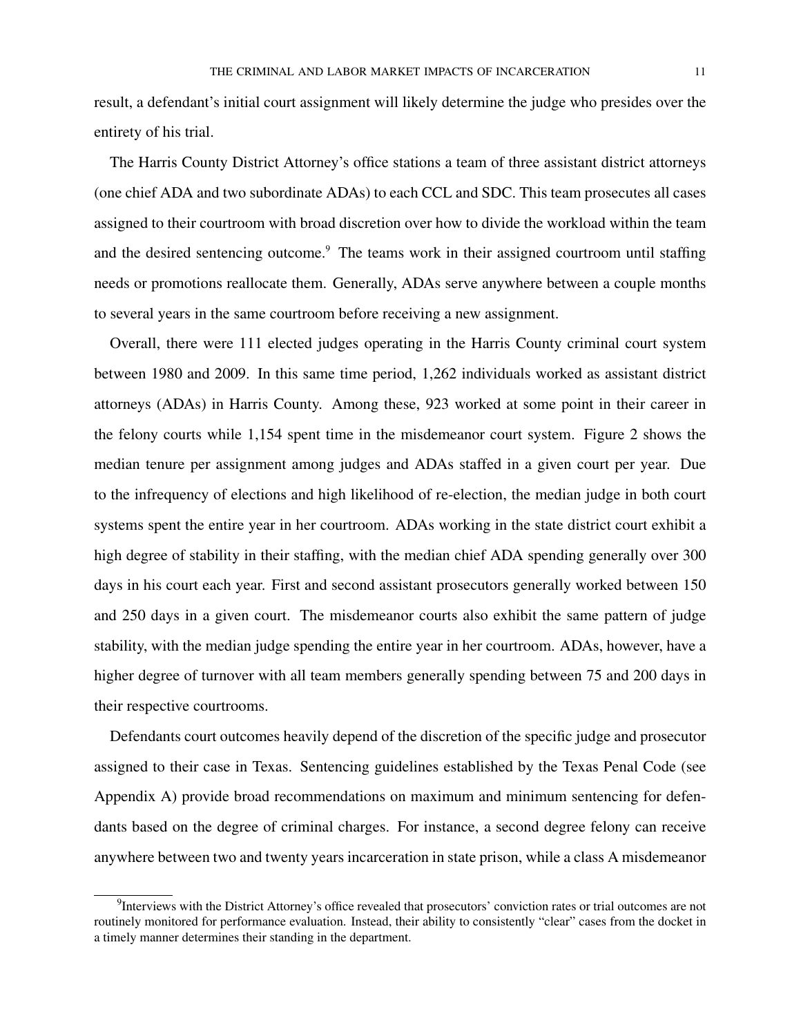result, a defendant's initial court assignment will likely determine the judge who presides over the entirety of his trial.

The Harris County District Attorney's office stations a team of three assistant district attorneys (one chief ADA and two subordinate ADAs) to each CCL and SDC. This team prosecutes all cases assigned to their courtroom with broad discretion over how to divide the workload within the team and the desired sentencing outcome.<sup>9</sup> The teams work in their assigned courtroom until staffing needs or promotions reallocate them. Generally, ADAs serve anywhere between a couple months to several years in the same courtroom before receiving a new assignment.

Overall, there were 111 elected judges operating in the Harris County criminal court system between 1980 and 2009. In this same time period, 1,262 individuals worked as assistant district attorneys (ADAs) in Harris County. Among these, 923 worked at some point in their career in the felony courts while 1,154 spent time in the misdemeanor court system. Figure 2 shows the median tenure per assignment among judges and ADAs staffed in a given court per year. Due to the infrequency of elections and high likelihood of re-election, the median judge in both court systems spent the entire year in her courtroom. ADAs working in the state district court exhibit a high degree of stability in their staffing, with the median chief ADA spending generally over 300 days in his court each year. First and second assistant prosecutors generally worked between 150 and 250 days in a given court. The misdemeanor courts also exhibit the same pattern of judge stability, with the median judge spending the entire year in her courtroom. ADAs, however, have a higher degree of turnover with all team members generally spending between 75 and 200 days in their respective courtrooms.

Defendants court outcomes heavily depend of the discretion of the specific judge and prosecutor assigned to their case in Texas. Sentencing guidelines established by the Texas Penal Code (see Appendix A) provide broad recommendations on maximum and minimum sentencing for defendants based on the degree of criminal charges. For instance, a second degree felony can receive anywhere between two and twenty years incarceration in state prison, while a class A misdemeanor

<sup>&</sup>lt;sup>9</sup>Interviews with the District Attorney's office revealed that prosecutors' conviction rates or trial outcomes are not routinely monitored for performance evaluation. Instead, their ability to consistently "clear" cases from the docket in a timely manner determines their standing in the department.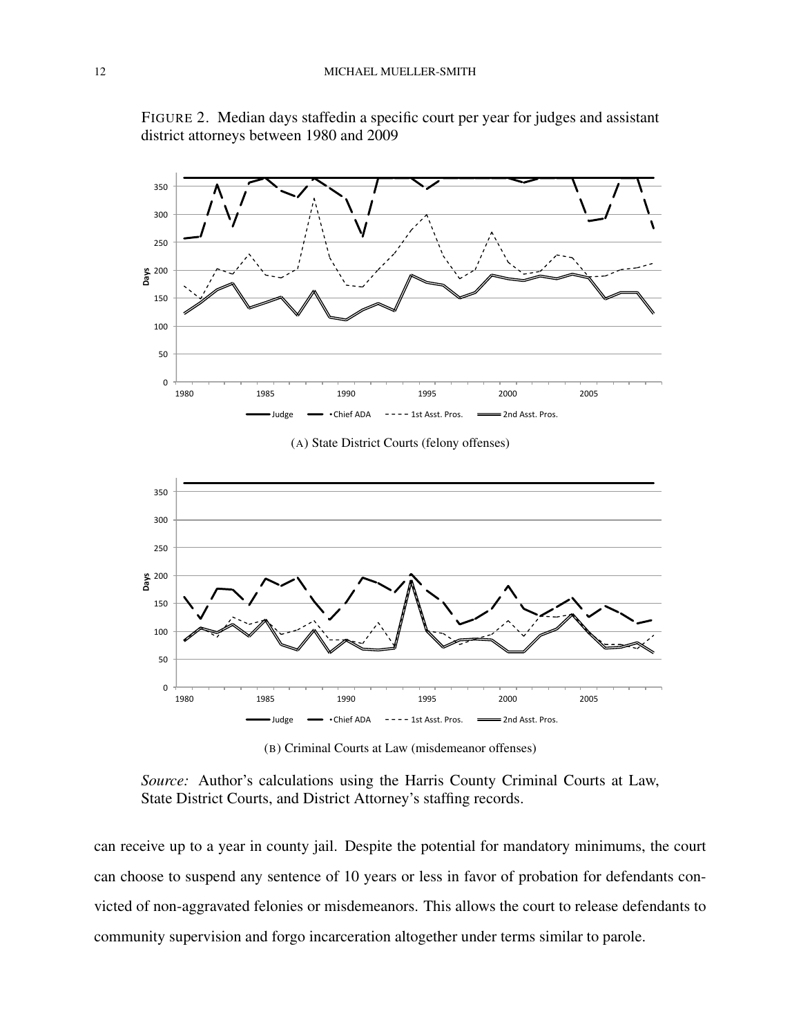

FIGURE 2. Median days staffedin a specific court per year for judges and assistant district attorneys between 1980 and 2009

(A) State District Courts (felony offenses)



(B) Criminal Courts at Law (misdemeanor offenses)

*Source:* Author's calculations using the Harris County Criminal Courts at Law, State District Courts, and District Attorney's staffing records.

can receive up to a year in county jail. Despite the potential for mandatory minimums, the court can choose to suspend any sentence of 10 years or less in favor of probation for defendants convicted of non-aggravated felonies or misdemeanors. This allows the court to release defendants to community supervision and forgo incarceration altogether under terms similar to parole.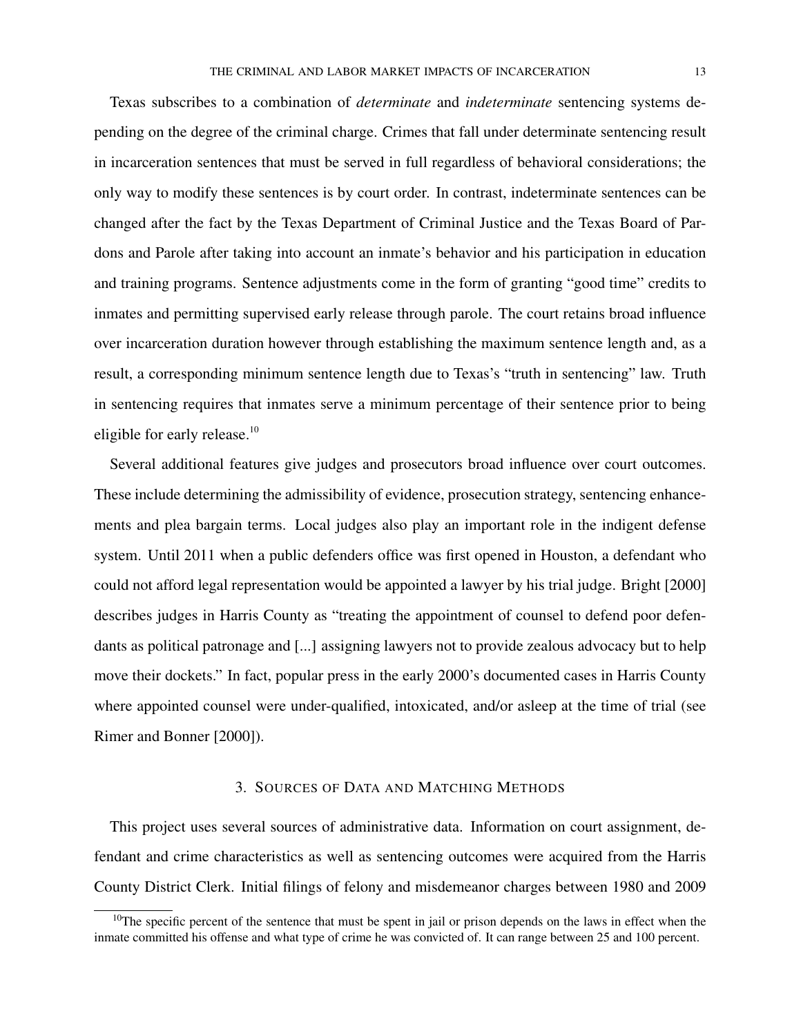Texas subscribes to a combination of *determinate* and *indeterminate* sentencing systems depending on the degree of the criminal charge. Crimes that fall under determinate sentencing result in incarceration sentences that must be served in full regardless of behavioral considerations; the only way to modify these sentences is by court order. In contrast, indeterminate sentences can be changed after the fact by the Texas Department of Criminal Justice and the Texas Board of Pardons and Parole after taking into account an inmate's behavior and his participation in education and training programs. Sentence adjustments come in the form of granting "good time" credits to inmates and permitting supervised early release through parole. The court retains broad influence over incarceration duration however through establishing the maximum sentence length and, as a result, a corresponding minimum sentence length due to Texas's "truth in sentencing" law. Truth in sentencing requires that inmates serve a minimum percentage of their sentence prior to being eligible for early release.<sup>10</sup>

Several additional features give judges and prosecutors broad influence over court outcomes. These include determining the admissibility of evidence, prosecution strategy, sentencing enhancements and plea bargain terms. Local judges also play an important role in the indigent defense system. Until 2011 when a public defenders office was first opened in Houston, a defendant who could not afford legal representation would be appointed a lawyer by his trial judge. Bright [2000] describes judges in Harris County as "treating the appointment of counsel to defend poor defendants as political patronage and [...] assigning lawyers not to provide zealous advocacy but to help move their dockets." In fact, popular press in the early 2000's documented cases in Harris County where appointed counsel were under-qualified, intoxicated, and/or asleep at the time of trial (see Rimer and Bonner [2000]).

## 3. SOURCES OF DATA AND MATCHING METHODS

This project uses several sources of administrative data. Information on court assignment, defendant and crime characteristics as well as sentencing outcomes were acquired from the Harris County District Clerk. Initial filings of felony and misdemeanor charges between 1980 and 2009

 $10$ The specific percent of the sentence that must be spent in jail or prison depends on the laws in effect when the inmate committed his offense and what type of crime he was convicted of. It can range between 25 and 100 percent.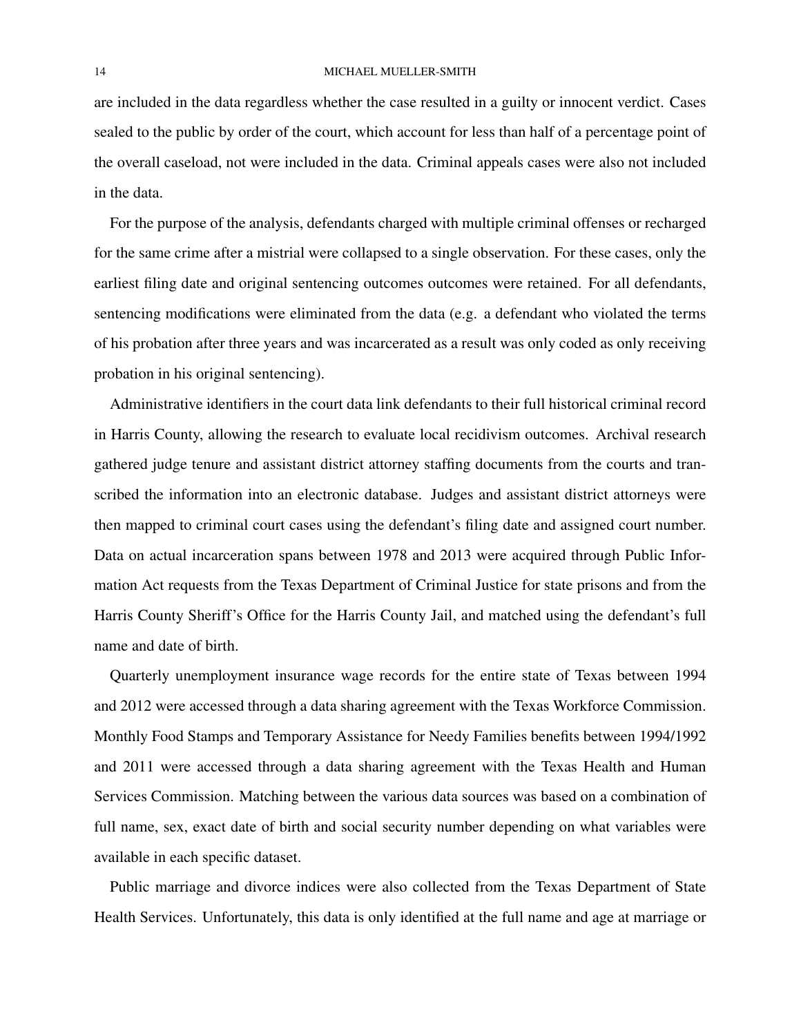are included in the data regardless whether the case resulted in a guilty or innocent verdict. Cases sealed to the public by order of the court, which account for less than half of a percentage point of the overall caseload, not were included in the data. Criminal appeals cases were also not included in the data.

For the purpose of the analysis, defendants charged with multiple criminal offenses or recharged for the same crime after a mistrial were collapsed to a single observation. For these cases, only the earliest filing date and original sentencing outcomes outcomes were retained. For all defendants, sentencing modifications were eliminated from the data (e.g. a defendant who violated the terms of his probation after three years and was incarcerated as a result was only coded as only receiving probation in his original sentencing).

Administrative identifiers in the court data link defendants to their full historical criminal record in Harris County, allowing the research to evaluate local recidivism outcomes. Archival research gathered judge tenure and assistant district attorney staffing documents from the courts and transcribed the information into an electronic database. Judges and assistant district attorneys were then mapped to criminal court cases using the defendant's filing date and assigned court number. Data on actual incarceration spans between 1978 and 2013 were acquired through Public Information Act requests from the Texas Department of Criminal Justice for state prisons and from the Harris County Sheriff's Office for the Harris County Jail, and matched using the defendant's full name and date of birth.

Quarterly unemployment insurance wage records for the entire state of Texas between 1994 and 2012 were accessed through a data sharing agreement with the Texas Workforce Commission. Monthly Food Stamps and Temporary Assistance for Needy Families benefits between 1994/1992 and 2011 were accessed through a data sharing agreement with the Texas Health and Human Services Commission. Matching between the various data sources was based on a combination of full name, sex, exact date of birth and social security number depending on what variables were available in each specific dataset.

Public marriage and divorce indices were also collected from the Texas Department of State Health Services. Unfortunately, this data is only identified at the full name and age at marriage or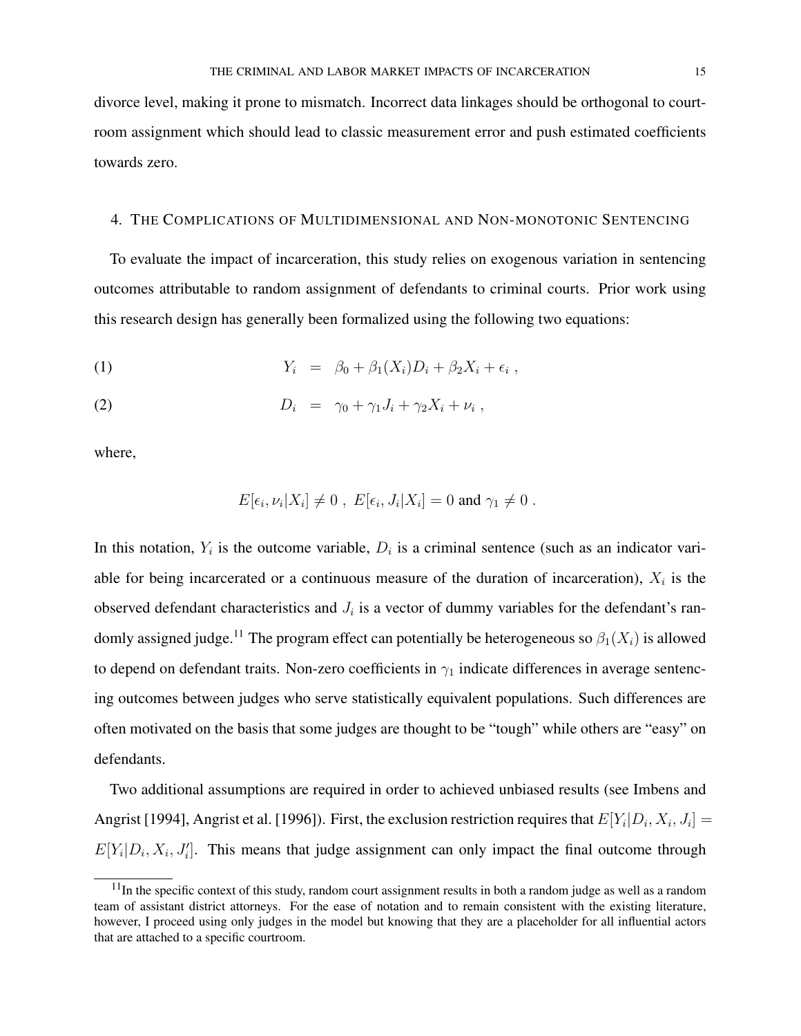divorce level, making it prone to mismatch. Incorrect data linkages should be orthogonal to courtroom assignment which should lead to classic measurement error and push estimated coefficients towards zero.

# 4. THE COMPLICATIONS OF MULTIDIMENSIONAL AND NON-MONOTONIC SENTENCING

To evaluate the impact of incarceration, this study relies on exogenous variation in sentencing outcomes attributable to random assignment of defendants to criminal courts. Prior work using this research design has generally been formalized using the following two equations:

$$
(1) \t Y_i = \beta_0 + \beta_1(X_i)D_i + \beta_2X_i + \epsilon_i,
$$

$$
(2) \t\t\t D_i = \gamma_0 + \gamma_1 J_i + \gamma_2 X_i + \nu_i ,
$$

where,

$$
E[\epsilon_i,\nu_i|X_i] \neq 0 , E[\epsilon_i,J_i|X_i] = 0 \text{ and } \gamma_1 \neq 0 .
$$

In this notation,  $Y_i$  is the outcome variable,  $D_i$  is a criminal sentence (such as an indicator variable for being incarcerated or a continuous measure of the duration of incarceration),  $X_i$  is the observed defendant characteristics and  $J_i$  is a vector of dummy variables for the defendant's randomly assigned judge.<sup>11</sup> The program effect can potentially be heterogeneous so  $\beta_1(X_i)$  is allowed to depend on defendant traits. Non-zero coefficients in  $\gamma_1$  indicate differences in average sentencing outcomes between judges who serve statistically equivalent populations. Such differences are often motivated on the basis that some judges are thought to be "tough" while others are "easy" on defendants.

Two additional assumptions are required in order to achieved unbiased results (see Imbens and Angrist [1994], Angrist et al. [1996]). First, the exclusion restriction requires that  $E[Y_i|D_i, X_i, J_i] =$  $E[Y_i|D_i, X_i, J'_i]$ . This means that judge assignment can only impact the final outcome through

 $11$ In the specific context of this study, random court assignment results in both a random judge as well as a random team of assistant district attorneys. For the ease of notation and to remain consistent with the existing literature, however, I proceed using only judges in the model but knowing that they are a placeholder for all influential actors that are attached to a specific courtroom.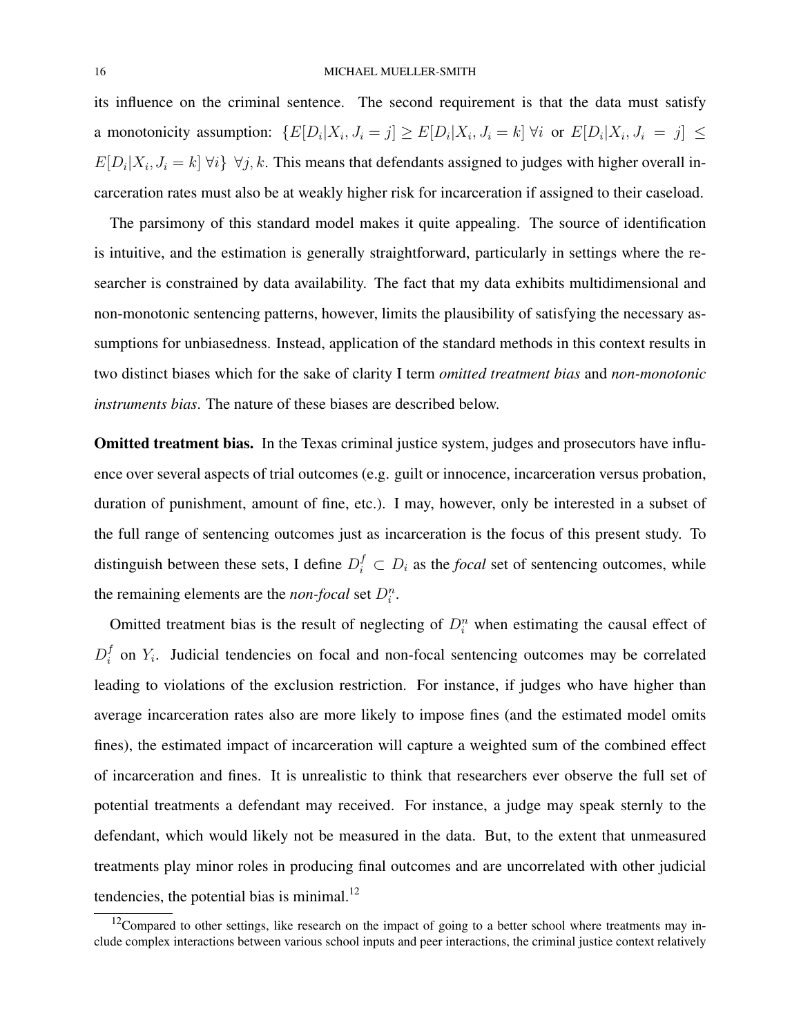its influence on the criminal sentence. The second requirement is that the data must satisfy a monotonicity assumption:  $\{E[D_i|X_i, J_i = j] \ge E[D_i|X_i, J_i = k] \; \forall i \text{ or } E[D_i|X_i, J_i = j] \le$  $E[D_i|X_i, J_i = k]$   $\forall i$   $\}$   $\forall j, k$ . This means that defendants assigned to judges with higher overall incarceration rates must also be at weakly higher risk for incarceration if assigned to their caseload.

The parsimony of this standard model makes it quite appealing. The source of identification is intuitive, and the estimation is generally straightforward, particularly in settings where the researcher is constrained by data availability. The fact that my data exhibits multidimensional and non-monotonic sentencing patterns, however, limits the plausibility of satisfying the necessary assumptions for unbiasedness. Instead, application of the standard methods in this context results in two distinct biases which for the sake of clarity I term *omitted treatment bias* and *non-monotonic instruments bias*. The nature of these biases are described below.

Omitted treatment bias. In the Texas criminal justice system, judges and prosecutors have influence over several aspects of trial outcomes (e.g. guilt or innocence, incarceration versus probation, duration of punishment, amount of fine, etc.). I may, however, only be interested in a subset of the full range of sentencing outcomes just as incarceration is the focus of this present study. To distinguish between these sets, I define  $D_i^f \subset D_i$  as the *focal* set of sentencing outcomes, while the remaining elements are the *non-focal* set  $D_i^n$ .

Omitted treatment bias is the result of neglecting of  $D_i^n$  when estimating the causal effect of  $D_i^f$  $i<sub>i</sub>$  on  $Y_i$ . Judicial tendencies on focal and non-focal sentencing outcomes may be correlated leading to violations of the exclusion restriction. For instance, if judges who have higher than average incarceration rates also are more likely to impose fines (and the estimated model omits fines), the estimated impact of incarceration will capture a weighted sum of the combined effect of incarceration and fines. It is unrealistic to think that researchers ever observe the full set of potential treatments a defendant may received. For instance, a judge may speak sternly to the defendant, which would likely not be measured in the data. But, to the extent that unmeasured treatments play minor roles in producing final outcomes and are uncorrelated with other judicial tendencies, the potential bias is minimal. $^{12}$ 

 $12$ Compared to other settings, like research on the impact of going to a better school where treatments may include complex interactions between various school inputs and peer interactions, the criminal justice context relatively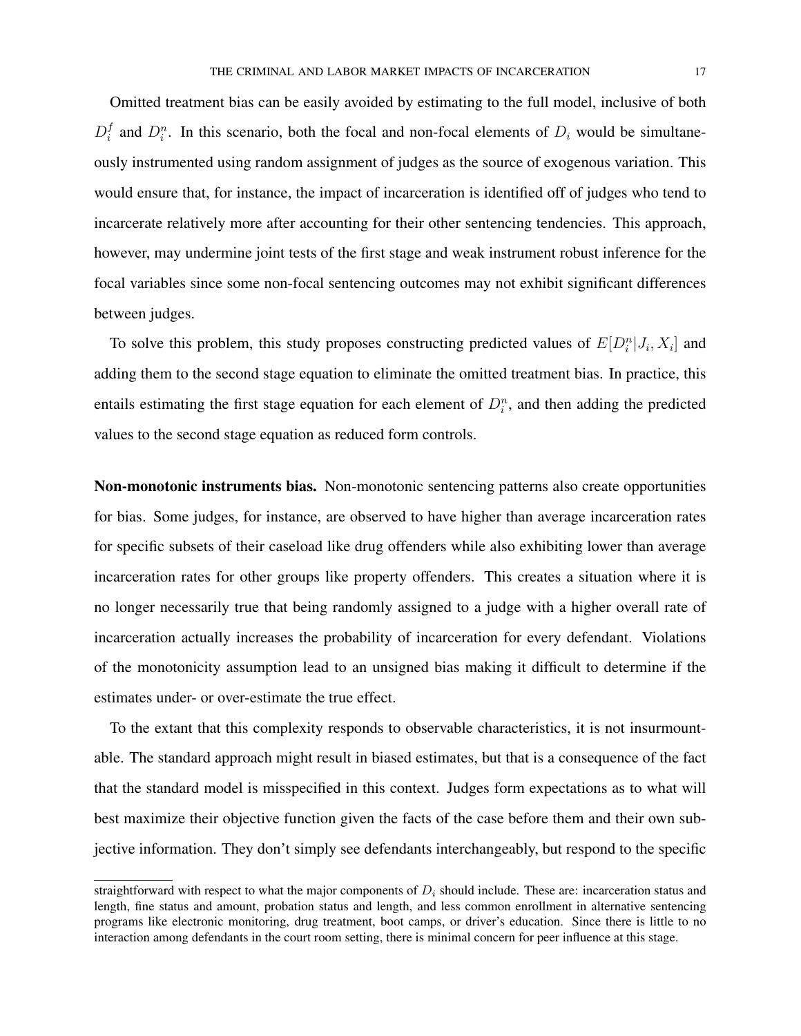Omitted treatment bias can be easily avoided by estimating to the full model, inclusive of both  $D_i^f$  $i<sub>i</sub>$  and  $D_i^n$ . In this scenario, both the focal and non-focal elements of  $D_i$  would be simultaneously instrumented using random assignment of judges as the source of exogenous variation. This would ensure that, for instance, the impact of incarceration is identified off of judges who tend to incarcerate relatively more after accounting for their other sentencing tendencies. This approach, however, may undermine joint tests of the first stage and weak instrument robust inference for the focal variables since some non-focal sentencing outcomes may not exhibit significant differences between judges.

To solve this problem, this study proposes constructing predicted values of  $E[D_i^n|J_i, X_i]$  and adding them to the second stage equation to eliminate the omitted treatment bias. In practice, this entails estimating the first stage equation for each element of  $D_i^n$ , and then adding the predicted values to the second stage equation as reduced form controls.

Non-monotonic instruments bias. Non-monotonic sentencing patterns also create opportunities for bias. Some judges, for instance, are observed to have higher than average incarceration rates for specific subsets of their caseload like drug offenders while also exhibiting lower than average incarceration rates for other groups like property offenders. This creates a situation where it is no longer necessarily true that being randomly assigned to a judge with a higher overall rate of incarceration actually increases the probability of incarceration for every defendant. Violations of the monotonicity assumption lead to an unsigned bias making it difficult to determine if the estimates under- or over-estimate the true effect.

To the extant that this complexity responds to observable characteristics, it is not insurmountable. The standard approach might result in biased estimates, but that is a consequence of the fact that the standard model is misspecified in this context. Judges form expectations as to what will best maximize their objective function given the facts of the case before them and their own subjective information. They don't simply see defendants interchangeably, but respond to the specific

straightforward with respect to what the major components of  $D_i$  should include. These are: incarceration status and length, fine status and amount, probation status and length, and less common enrollment in alternative sentencing programs like electronic monitoring, drug treatment, boot camps, or driver's education. Since there is little to no interaction among defendants in the court room setting, there is minimal concern for peer influence at this stage.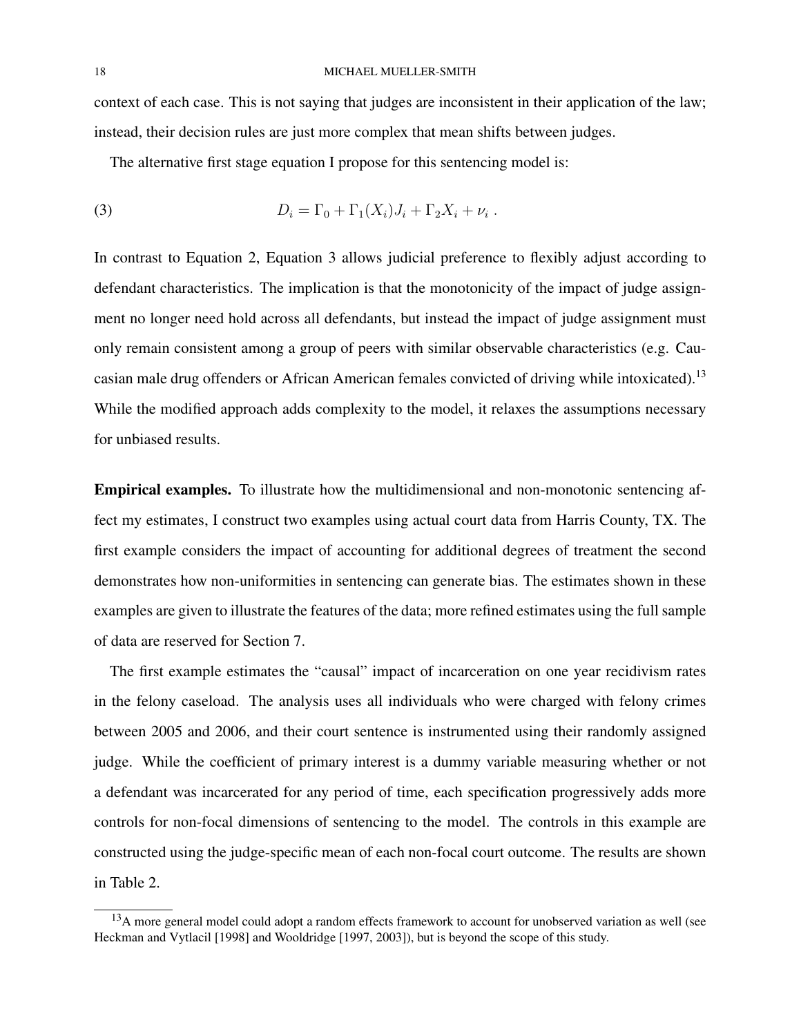context of each case. This is not saying that judges are inconsistent in their application of the law; instead, their decision rules are just more complex that mean shifts between judges.

The alternative first stage equation I propose for this sentencing model is:

(3) 
$$
D_i = \Gamma_0 + \Gamma_1(X_i)J_i + \Gamma_2 X_i + \nu_i.
$$

In contrast to Equation 2, Equation 3 allows judicial preference to flexibly adjust according to defendant characteristics. The implication is that the monotonicity of the impact of judge assignment no longer need hold across all defendants, but instead the impact of judge assignment must only remain consistent among a group of peers with similar observable characteristics (e.g. Caucasian male drug offenders or African American females convicted of driving while intoxicated).<sup>13</sup> While the modified approach adds complexity to the model, it relaxes the assumptions necessary for unbiased results.

Empirical examples. To illustrate how the multidimensional and non-monotonic sentencing affect my estimates, I construct two examples using actual court data from Harris County, TX. The first example considers the impact of accounting for additional degrees of treatment the second demonstrates how non-uniformities in sentencing can generate bias. The estimates shown in these examples are given to illustrate the features of the data; more refined estimates using the full sample of data are reserved for Section 7.

The first example estimates the "causal" impact of incarceration on one year recidivism rates in the felony caseload. The analysis uses all individuals who were charged with felony crimes between 2005 and 2006, and their court sentence is instrumented using their randomly assigned judge. While the coefficient of primary interest is a dummy variable measuring whether or not a defendant was incarcerated for any period of time, each specification progressively adds more controls for non-focal dimensions of sentencing to the model. The controls in this example are constructed using the judge-specific mean of each non-focal court outcome. The results are shown in Table 2.

<sup>&</sup>lt;sup>13</sup>A more general model could adopt a random effects framework to account for unobserved variation as well (see Heckman and Vytlacil [1998] and Wooldridge [1997, 2003]), but is beyond the scope of this study.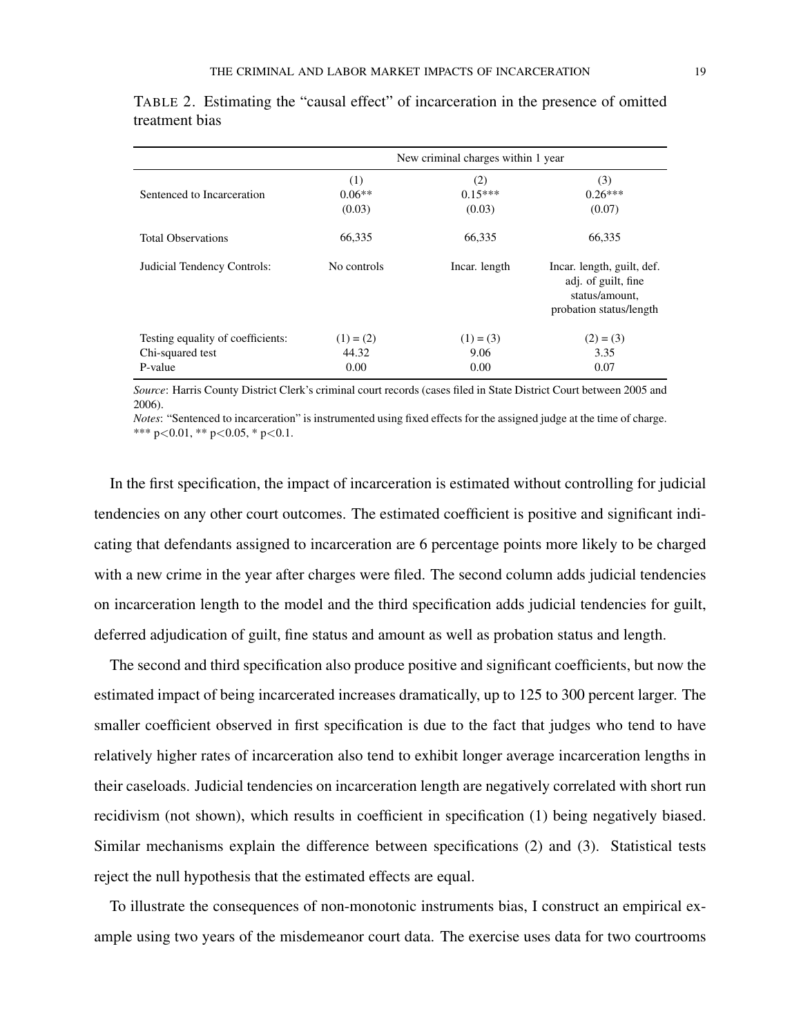|                                                                  |                              | New criminal charges within 1 year |                                                                                                |
|------------------------------------------------------------------|------------------------------|------------------------------------|------------------------------------------------------------------------------------------------|
| Sentenced to Incarceration                                       | (1)<br>$0.06**$<br>(0.03)    | (2)<br>$0.15***$<br>(0.03)         | (3)<br>$0.26***$<br>(0.07)                                                                     |
| <b>Total Observations</b>                                        | 66.335                       | 66.335                             | 66.335                                                                                         |
| Judicial Tendency Controls:                                      | No controls                  | Incar. length                      | Incar. length, guilt, def.<br>adj. of guilt, fine<br>status/amount,<br>probation status/length |
| Testing equality of coefficients:<br>Chi-squared test<br>P-value | $(1) = (2)$<br>44.32<br>0.00 | $(1) = (3)$<br>9.06<br>0.00        | $(2) = (3)$<br>3.35<br>0.07                                                                    |

TABLE 2. Estimating the "causal effect" of incarceration in the presence of omitted treatment bias

*Source*: Harris County District Clerk's criminal court records (cases filed in State District Court between 2005 and 2006).

*Notes*: "Sentenced to incarceration" is instrumented using fixed effects for the assigned judge at the time of charge. \*\*\*  $p<0.01$ , \*\*  $p<0.05$ , \*  $p<0.1$ .

In the first specification, the impact of incarceration is estimated without controlling for judicial tendencies on any other court outcomes. The estimated coefficient is positive and significant indicating that defendants assigned to incarceration are 6 percentage points more likely to be charged with a new crime in the year after charges were filed. The second column adds judicial tendencies on incarceration length to the model and the third specification adds judicial tendencies for guilt, deferred adjudication of guilt, fine status and amount as well as probation status and length.

The second and third specification also produce positive and significant coefficients, but now the estimated impact of being incarcerated increases dramatically, up to 125 to 300 percent larger. The smaller coefficient observed in first specification is due to the fact that judges who tend to have relatively higher rates of incarceration also tend to exhibit longer average incarceration lengths in their caseloads. Judicial tendencies on incarceration length are negatively correlated with short run recidivism (not shown), which results in coefficient in specification (1) being negatively biased. Similar mechanisms explain the difference between specifications (2) and (3). Statistical tests reject the null hypothesis that the estimated effects are equal.

To illustrate the consequences of non-monotonic instruments bias, I construct an empirical example using two years of the misdemeanor court data. The exercise uses data for two courtrooms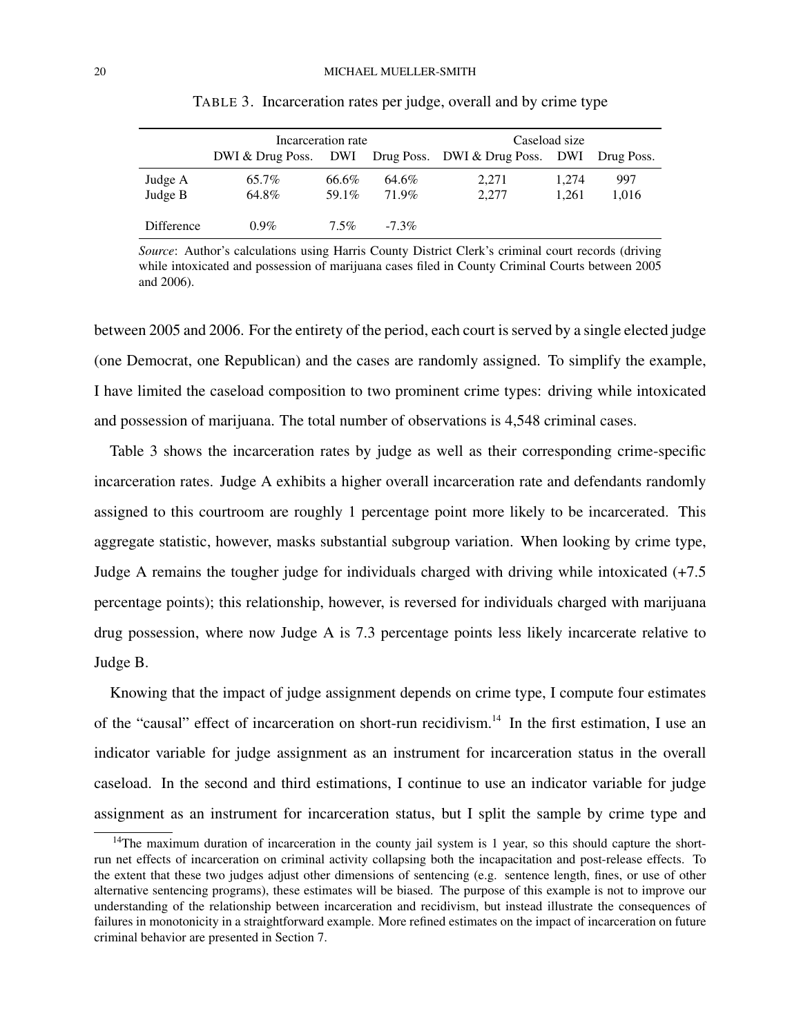|                    | Incarceration rate |                |                | Caseload size                                                   |                |              |
|--------------------|--------------------|----------------|----------------|-----------------------------------------------------------------|----------------|--------------|
|                    |                    |                |                | DWI & Drug Poss. DWI Drug Poss. DWI & Drug Poss. DWI Drug Poss. |                |              |
| Judge A<br>Judge B | 65.7%<br>64.8%     | 66.6%<br>59.1% | 64.6%<br>71.9% | 2,271<br>2,277                                                  | 1,274<br>1.261 | 997<br>1,016 |
| Difference         | $0.9\%$            | $7.5\%$        | $-7.3\%$       |                                                                 |                |              |

TABLE 3. Incarceration rates per judge, overall and by crime type

*Source*: Author's calculations using Harris County District Clerk's criminal court records (driving while intoxicated and possession of marijuana cases filed in County Criminal Courts between 2005 and 2006).

between 2005 and 2006. For the entirety of the period, each court is served by a single elected judge (one Democrat, one Republican) and the cases are randomly assigned. To simplify the example, I have limited the caseload composition to two prominent crime types: driving while intoxicated and possession of marijuana. The total number of observations is 4,548 criminal cases.

Table 3 shows the incarceration rates by judge as well as their corresponding crime-specific incarceration rates. Judge A exhibits a higher overall incarceration rate and defendants randomly assigned to this courtroom are roughly 1 percentage point more likely to be incarcerated. This aggregate statistic, however, masks substantial subgroup variation. When looking by crime type, Judge A remains the tougher judge for individuals charged with driving while intoxicated (+7.5 percentage points); this relationship, however, is reversed for individuals charged with marijuana drug possession, where now Judge A is 7.3 percentage points less likely incarcerate relative to Judge B.

Knowing that the impact of judge assignment depends on crime type, I compute four estimates of the "causal" effect of incarceration on short-run recidivism.<sup>14</sup> In the first estimation, I use an indicator variable for judge assignment as an instrument for incarceration status in the overall caseload. In the second and third estimations, I continue to use an indicator variable for judge assignment as an instrument for incarceration status, but I split the sample by crime type and

 $14$ The maximum duration of incarceration in the county jail system is 1 year, so this should capture the shortrun net effects of incarceration on criminal activity collapsing both the incapacitation and post-release effects. To the extent that these two judges adjust other dimensions of sentencing (e.g. sentence length, fines, or use of other alternative sentencing programs), these estimates will be biased. The purpose of this example is not to improve our understanding of the relationship between incarceration and recidivism, but instead illustrate the consequences of failures in monotonicity in a straightforward example. More refined estimates on the impact of incarceration on future criminal behavior are presented in Section 7.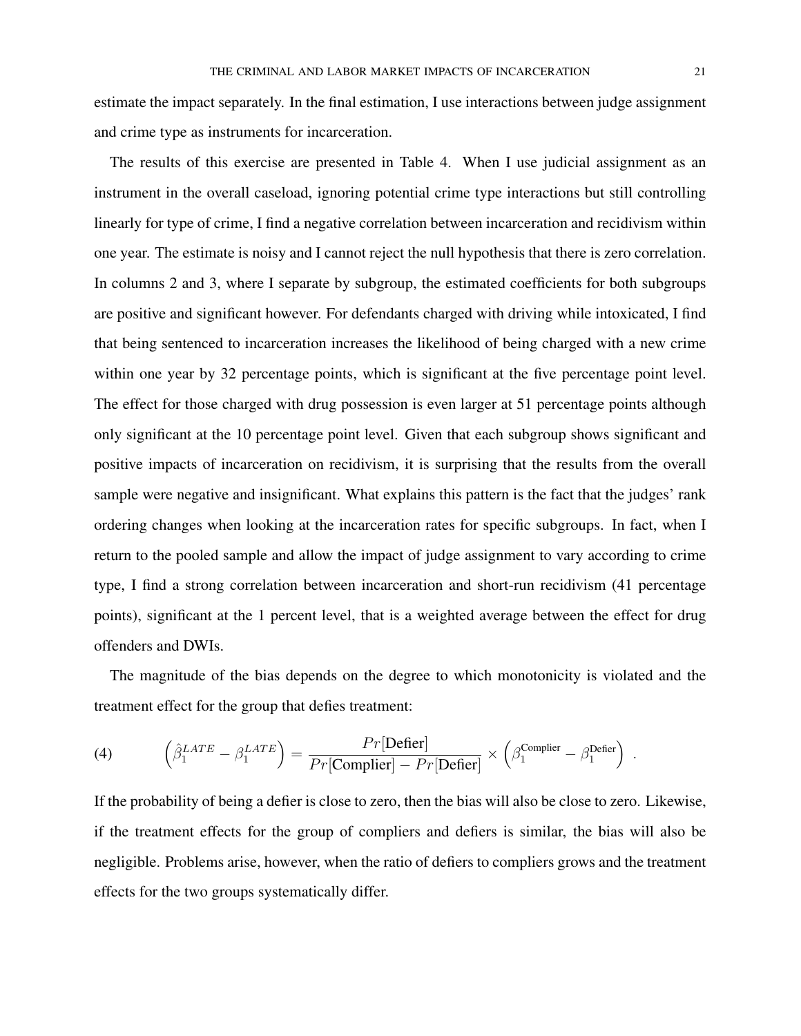estimate the impact separately. In the final estimation, I use interactions between judge assignment and crime type as instruments for incarceration.

The results of this exercise are presented in Table 4. When I use judicial assignment as an instrument in the overall caseload, ignoring potential crime type interactions but still controlling linearly for type of crime, I find a negative correlation between incarceration and recidivism within one year. The estimate is noisy and I cannot reject the null hypothesis that there is zero correlation. In columns 2 and 3, where I separate by subgroup, the estimated coefficients for both subgroups are positive and significant however. For defendants charged with driving while intoxicated, I find that being sentenced to incarceration increases the likelihood of being charged with a new crime within one year by 32 percentage points, which is significant at the five percentage point level. The effect for those charged with drug possession is even larger at 51 percentage points although only significant at the 10 percentage point level. Given that each subgroup shows significant and positive impacts of incarceration on recidivism, it is surprising that the results from the overall sample were negative and insignificant. What explains this pattern is the fact that the judges' rank ordering changes when looking at the incarceration rates for specific subgroups. In fact, when I return to the pooled sample and allow the impact of judge assignment to vary according to crime type, I find a strong correlation between incarceration and short-run recidivism (41 percentage points), significant at the 1 percent level, that is a weighted average between the effect for drug offenders and DWIs.

The magnitude of the bias depends on the degree to which monotonicity is violated and the treatment effect for the group that defies treatment:

(4) 
$$
\left(\hat{\beta}_1^{LATE} - \beta_1^{LATE}\right) = \frac{Pr[\text{Defier}]}{Pr[\text{Complier}] - Pr[\text{Defier}]} \times \left(\beta_1^{\text{Complier}} - \beta_1^{\text{Defier}}\right)
$$

If the probability of being a defier is close to zero, then the bias will also be close to zero. Likewise, if the treatment effects for the group of compliers and defiers is similar, the bias will also be negligible. Problems arise, however, when the ratio of defiers to compliers grows and the treatment effects for the two groups systematically differ.

.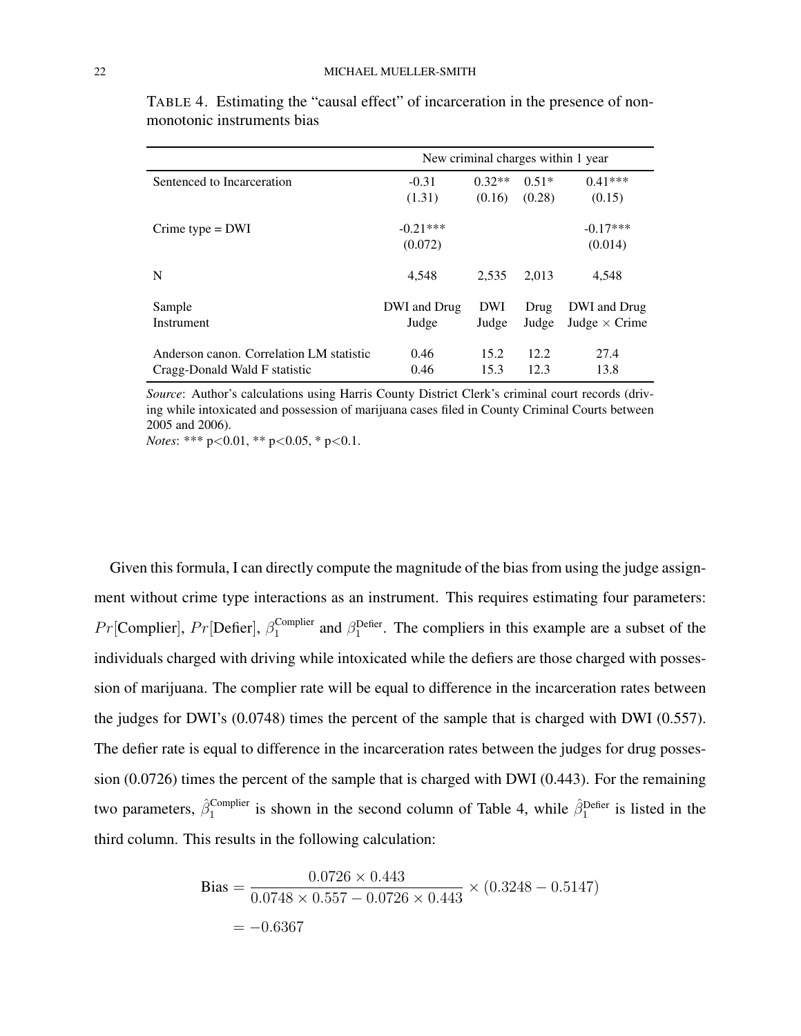|                                          | New criminal charges within 1 year |            |         |                      |
|------------------------------------------|------------------------------------|------------|---------|----------------------|
| Sentenced to Incarceration               | $-0.31$                            | $0.32**$   | $0.51*$ | $0.41***$            |
|                                          | (1.31)                             | (0.16)     | (0.28)  | (0.15)               |
| Crime type $=$ DWI                       | $-0.21***$                         |            |         | $-0.17***$           |
|                                          | (0.072)                            |            |         | (0.014)              |
| N                                        | 4,548                              | 2.535      | 2.013   | 4,548                |
| Sample                                   | DWI and Drug                       | <b>DWI</b> | Drug    | DWI and Drug         |
| Instrument                               | Judge                              | Judge      | Judge   | Judge $\times$ Crime |
| Anderson canon. Correlation LM statistic | 0.46                               | 15.2       | 12.2.   | 27.4                 |
| Cragg-Donald Wald F statistic            | 0.46                               | 15.3       | 12.3    | 13.8                 |

TABLE 4. Estimating the "causal effect" of incarceration in the presence of nonmonotonic instruments bias

*Source*: Author's calculations using Harris County District Clerk's criminal court records (driving while intoxicated and possession of marijuana cases filed in County Criminal Courts between 2005 and 2006).

*Notes*: \*\*\* p<0.01, \*\* p<0.05, \* p<0.1.

Given this formula, I can directly compute the magnitude of the bias from using the judge assignment without crime type interactions as an instrument. This requires estimating four parameters:  $Pr[$ Complier],  $Pr[$ Defier],  $\beta_1^{\text{Complier}}$ <sup>Complier</sup> and  $\beta_1^{\text{Defier}}$ . The compliers in this example are a subset of the individuals charged with driving while intoxicated while the defiers are those charged with possession of marijuana. The complier rate will be equal to difference in the incarceration rates between the judges for DWI's (0.0748) times the percent of the sample that is charged with DWI (0.557). The defier rate is equal to difference in the incarceration rates between the judges for drug possession (0.0726) times the percent of the sample that is charged with DWI (0.443). For the remaining two parameters,  $\hat{\beta}_1^{\text{Complier}}$  is shown in the second column of Table 4, while  $\hat{\beta}_1^{\text{Defier}}$  is listed in the third column. This results in the following calculation:

Bias = 
$$
\frac{0.0726 \times 0.443}{0.0748 \times 0.557 - 0.0726 \times 0.443} \times (0.3248 - 0.5147)
$$

$$
= -0.6367
$$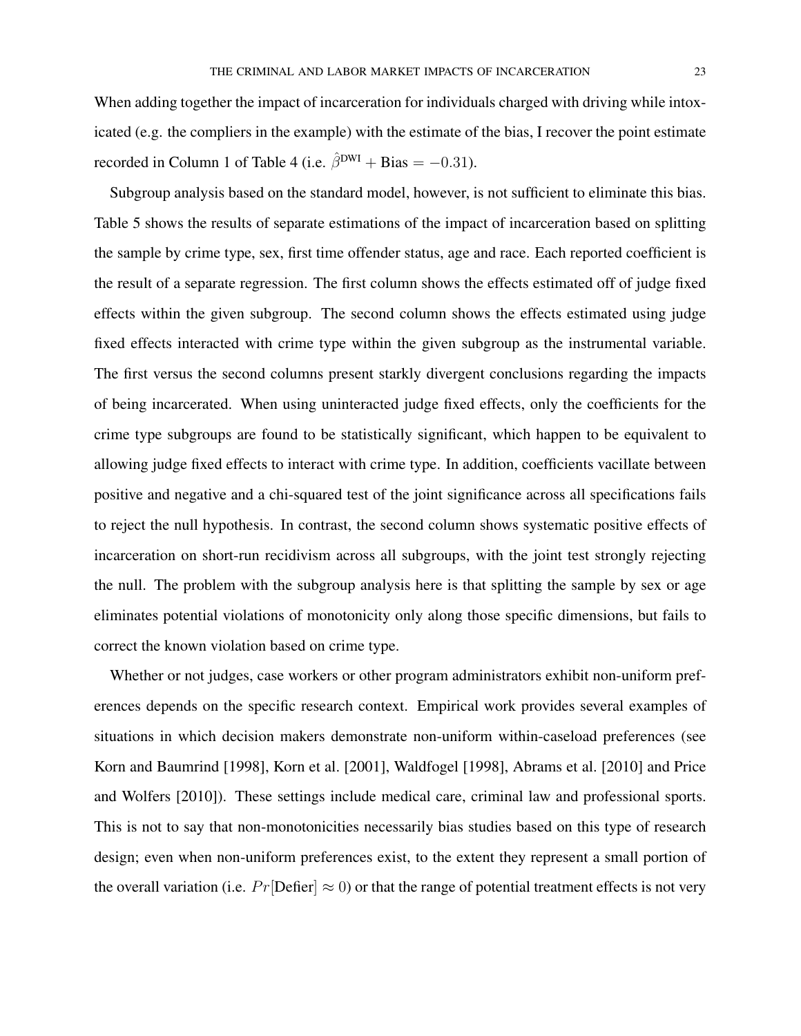When adding together the impact of incarceration for individuals charged with driving while intoxicated (e.g. the compliers in the example) with the estimate of the bias, I recover the point estimate recorded in Column 1 of Table 4 (i.e.  $\hat{\beta}^{DWI}$  + Bias = -0.31).

Subgroup analysis based on the standard model, however, is not sufficient to eliminate this bias. Table 5 shows the results of separate estimations of the impact of incarceration based on splitting the sample by crime type, sex, first time offender status, age and race. Each reported coefficient is the result of a separate regression. The first column shows the effects estimated off of judge fixed effects within the given subgroup. The second column shows the effects estimated using judge fixed effects interacted with crime type within the given subgroup as the instrumental variable. The first versus the second columns present starkly divergent conclusions regarding the impacts of being incarcerated. When using uninteracted judge fixed effects, only the coefficients for the crime type subgroups are found to be statistically significant, which happen to be equivalent to allowing judge fixed effects to interact with crime type. In addition, coefficients vacillate between positive and negative and a chi-squared test of the joint significance across all specifications fails to reject the null hypothesis. In contrast, the second column shows systematic positive effects of incarceration on short-run recidivism across all subgroups, with the joint test strongly rejecting the null. The problem with the subgroup analysis here is that splitting the sample by sex or age eliminates potential violations of monotonicity only along those specific dimensions, but fails to correct the known violation based on crime type.

Whether or not judges, case workers or other program administrators exhibit non-uniform preferences depends on the specific research context. Empirical work provides several examples of situations in which decision makers demonstrate non-uniform within-caseload preferences (see Korn and Baumrind [1998], Korn et al. [2001], Waldfogel [1998], Abrams et al. [2010] and Price and Wolfers [2010]). These settings include medical care, criminal law and professional sports. This is not to say that non-monotonicities necessarily bias studies based on this type of research design; even when non-uniform preferences exist, to the extent they represent a small portion of the overall variation (i.e.  $Pr[\text{Defier}] \approx 0$ ) or that the range of potential treatment effects is not very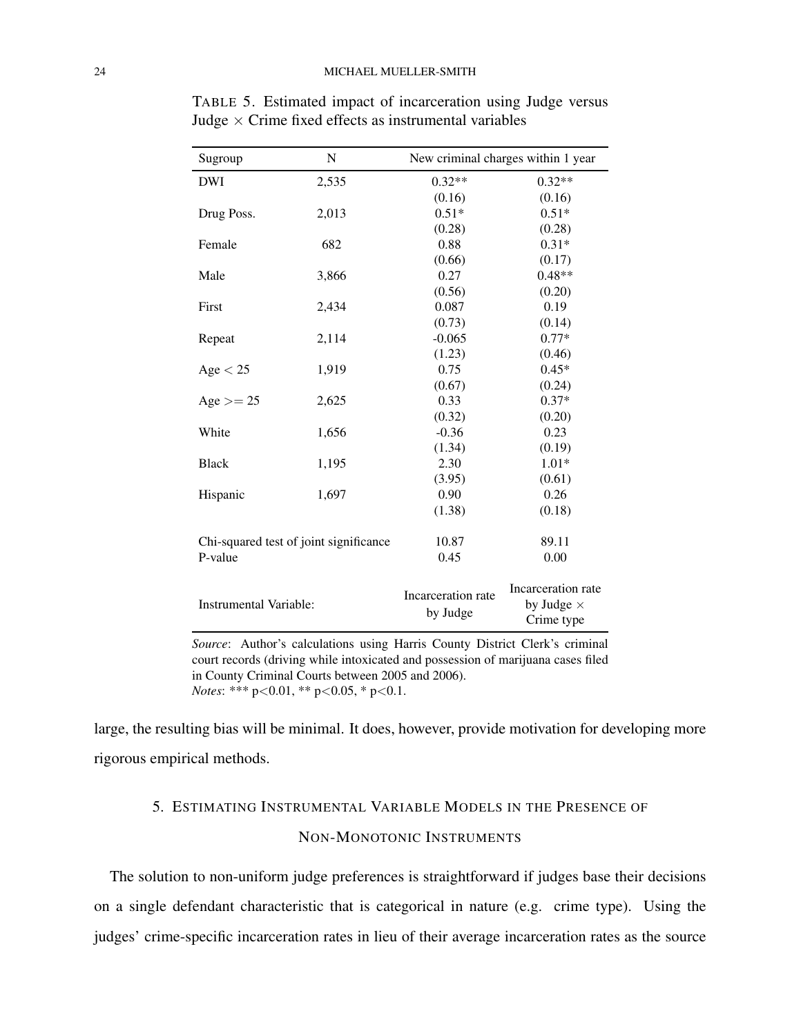| Sugroup                                           | N     | New criminal charges within 1 year |                                                       |  |
|---------------------------------------------------|-------|------------------------------------|-------------------------------------------------------|--|
| <b>DWI</b>                                        | 2,535 | $0.32**$                           | $0.32**$                                              |  |
|                                                   |       | (0.16)                             | (0.16)                                                |  |
| Drug Poss.                                        | 2,013 | $0.51*$                            | $0.51*$                                               |  |
|                                                   |       | (0.28)                             | (0.28)                                                |  |
| Female                                            | 682   | 0.88                               | $0.31*$                                               |  |
|                                                   |       | (0.66)                             | (0.17)                                                |  |
| Male                                              | 3,866 | 0.27                               | $0.48**$                                              |  |
|                                                   |       | (0.56)                             | (0.20)                                                |  |
| First                                             | 2,434 | 0.087                              | 0.19                                                  |  |
|                                                   |       | (0.73)                             | (0.14)                                                |  |
| Repeat                                            | 2,114 | $-0.065$                           | $0.77*$                                               |  |
|                                                   |       | (1.23)                             | (0.46)                                                |  |
| Age < 25                                          | 1,919 | 0.75                               | $0.45*$                                               |  |
|                                                   |       | (0.67)                             | (0.24)                                                |  |
| $Age \ge 25$                                      | 2,625 | 0.33                               | $0.37*$                                               |  |
|                                                   |       | (0.32)                             | (0.20)                                                |  |
| White                                             | 1,656 | $-0.36$                            | 0.23                                                  |  |
|                                                   |       | (1.34)                             | (0.19)                                                |  |
| <b>Black</b>                                      | 1,195 | 2.30                               | $1.01*$                                               |  |
|                                                   |       | (3.95)                             | (0.61)                                                |  |
| Hispanic                                          | 1,697 | 0.90                               | 0.26                                                  |  |
|                                                   |       | (1.38)                             | (0.18)                                                |  |
| Chi-squared test of joint significance<br>P-value |       | 10.87                              | 89.11                                                 |  |
|                                                   |       | 0.45                               | 0.00                                                  |  |
| <b>Instrumental Variable:</b>                     |       | Incarceration rate<br>by Judge     | Incarceration rate<br>by Judge $\times$<br>Crime type |  |

TABLE 5. Estimated impact of incarceration using Judge versus Judge  $\times$  Crime fixed effects as instrumental variables

*Source*: Author's calculations using Harris County District Clerk's criminal court records (driving while intoxicated and possession of marijuana cases filed in County Criminal Courts between 2005 and 2006). *Notes*: \*\*\* p<0.01, \*\* p<0.05, \* p<0.1.

large, the resulting bias will be minimal. It does, however, provide motivation for developing more rigorous empirical methods.

# 5. ESTIMATING INSTRUMENTAL VARIABLE MODELS IN THE PRESENCE OF NON-MONOTONIC INSTRUMENTS

The solution to non-uniform judge preferences is straightforward if judges base their decisions on a single defendant characteristic that is categorical in nature (e.g. crime type). Using the judges' crime-specific incarceration rates in lieu of their average incarceration rates as the source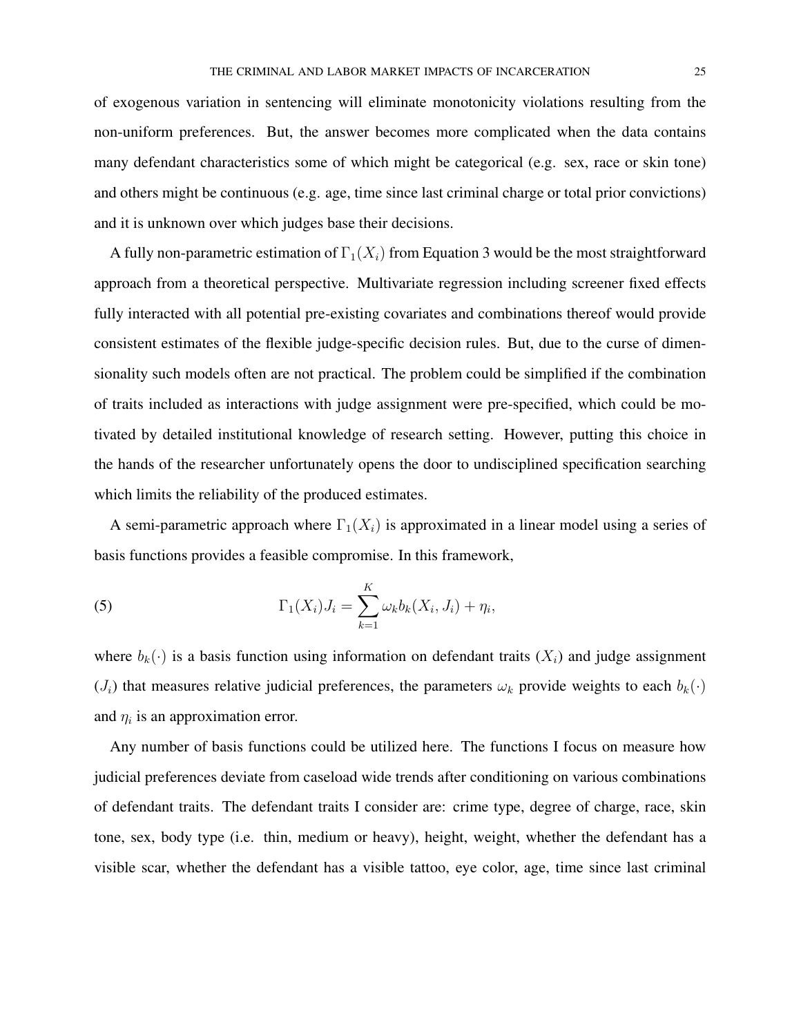of exogenous variation in sentencing will eliminate monotonicity violations resulting from the non-uniform preferences. But, the answer becomes more complicated when the data contains many defendant characteristics some of which might be categorical (e.g. sex, race or skin tone) and others might be continuous (e.g. age, time since last criminal charge or total prior convictions) and it is unknown over which judges base their decisions.

A fully non-parametric estimation of  $\Gamma_1(X_i)$  from Equation 3 would be the most straightforward approach from a theoretical perspective. Multivariate regression including screener fixed effects fully interacted with all potential pre-existing covariates and combinations thereof would provide consistent estimates of the flexible judge-specific decision rules. But, due to the curse of dimensionality such models often are not practical. The problem could be simplified if the combination of traits included as interactions with judge assignment were pre-specified, which could be motivated by detailed institutional knowledge of research setting. However, putting this choice in the hands of the researcher unfortunately opens the door to undisciplined specification searching which limits the reliability of the produced estimates.

A semi-parametric approach where  $\Gamma_1(X_i)$  is approximated in a linear model using a series of basis functions provides a feasible compromise. In this framework,

(5) 
$$
\Gamma_1(X_i)J_i = \sum_{k=1}^K \omega_k b_k(X_i, J_i) + \eta_i,
$$

where  $b_k(\cdot)$  is a basis function using information on defendant traits  $(X_i)$  and judge assignment  $(J_i)$  that measures relative judicial preferences, the parameters  $\omega_k$  provide weights to each  $b_k(\cdot)$ and  $\eta_i$  is an approximation error.

Any number of basis functions could be utilized here. The functions I focus on measure how judicial preferences deviate from caseload wide trends after conditioning on various combinations of defendant traits. The defendant traits I consider are: crime type, degree of charge, race, skin tone, sex, body type (i.e. thin, medium or heavy), height, weight, whether the defendant has a visible scar, whether the defendant has a visible tattoo, eye color, age, time since last criminal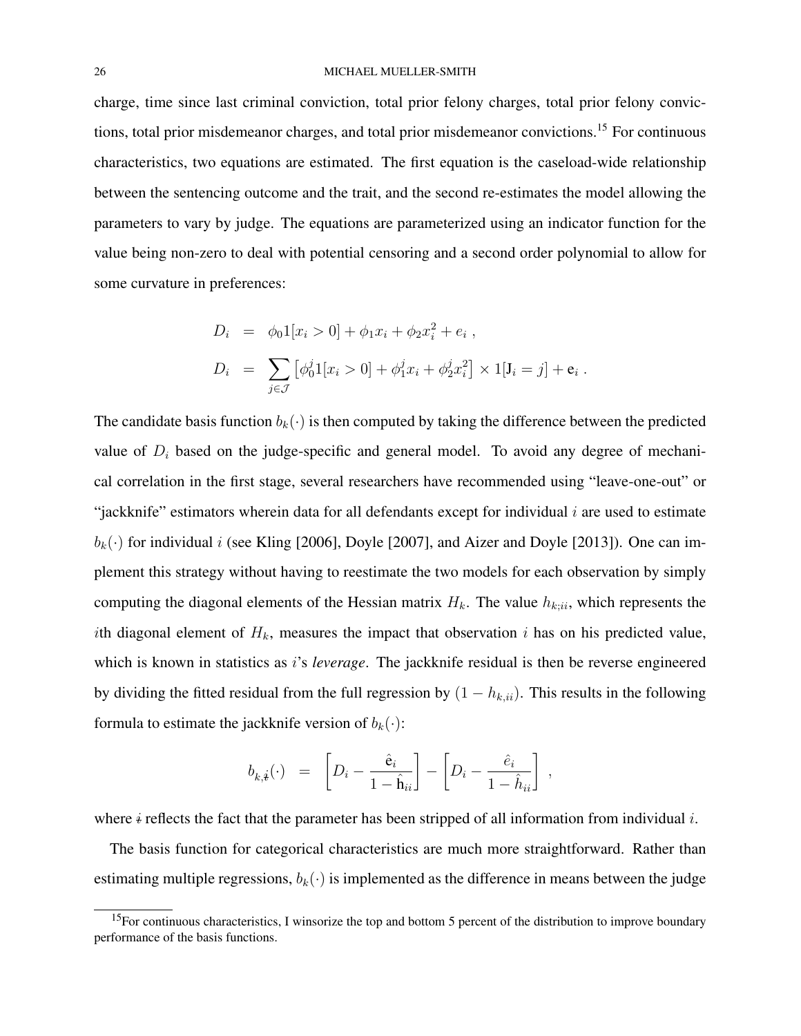charge, time since last criminal conviction, total prior felony charges, total prior felony convictions, total prior misdemeanor charges, and total prior misdemeanor convictions.<sup>15</sup> For continuous characteristics, two equations are estimated. The first equation is the caseload-wide relationship between the sentencing outcome and the trait, and the second re-estimates the model allowing the parameters to vary by judge. The equations are parameterized using an indicator function for the value being non-zero to deal with potential censoring and a second order polynomial to allow for some curvature in preferences:

$$
D_i = \phi_0 1[x_i > 0] + \phi_1 x_i + \phi_2 x_i^2 + e_i ,
$$
  
\n
$$
D_i = \sum_{j \in J} [\phi_0^j 1[x_i > 0] + \phi_1^j x_i + \phi_2^j x_i^2] \times 1[J_i = j] + e_i
$$

.

The candidate basis function  $b_k(\cdot)$  is then computed by taking the difference between the predicted value of  $D_i$  based on the judge-specific and general model. To avoid any degree of mechanical correlation in the first stage, several researchers have recommended using "leave-one-out" or "jackknife" estimators wherein data for all defendants except for individual  $i$  are used to estimate  $b_k(\cdot)$  for individual i (see Kling [2006], Doyle [2007], and Aizer and Doyle [2013]). One can implement this strategy without having to reestimate the two models for each observation by simply computing the diagonal elements of the Hessian matrix  $H_k$ . The value  $h_{k;ii}$ , which represents the ith diagonal element of  $H_k$ , measures the impact that observation i has on his predicted value, which is known in statistics as i's *leverage*. The jackknife residual is then be reverse engineered by dividing the fitted residual from the full regression by  $(1 - h_{k,ii})$ . This results in the following formula to estimate the jackknife version of  $b_k(\cdot)$ :

$$
b_{k,\dot{\mathbf{t}}}(\cdot) \;\; = \;\; \left[ D_i - \frac{\hat{\mathbf{e}}_i}{1-\hat{\mathbf{h}}_{ii}} \right] - \left[ D_i - \frac{\hat{e}_i}{1-\hat{h}_{ii}} \right] \;,
$$

where  $\dot{\theta}$  reflects the fact that the parameter has been stripped of all information from individual i.

The basis function for categorical characteristics are much more straightforward. Rather than estimating multiple regressions,  $b_k(\cdot)$  is implemented as the difference in means between the judge

 $15$ For continuous characteristics, I winsorize the top and bottom 5 percent of the distribution to improve boundary performance of the basis functions.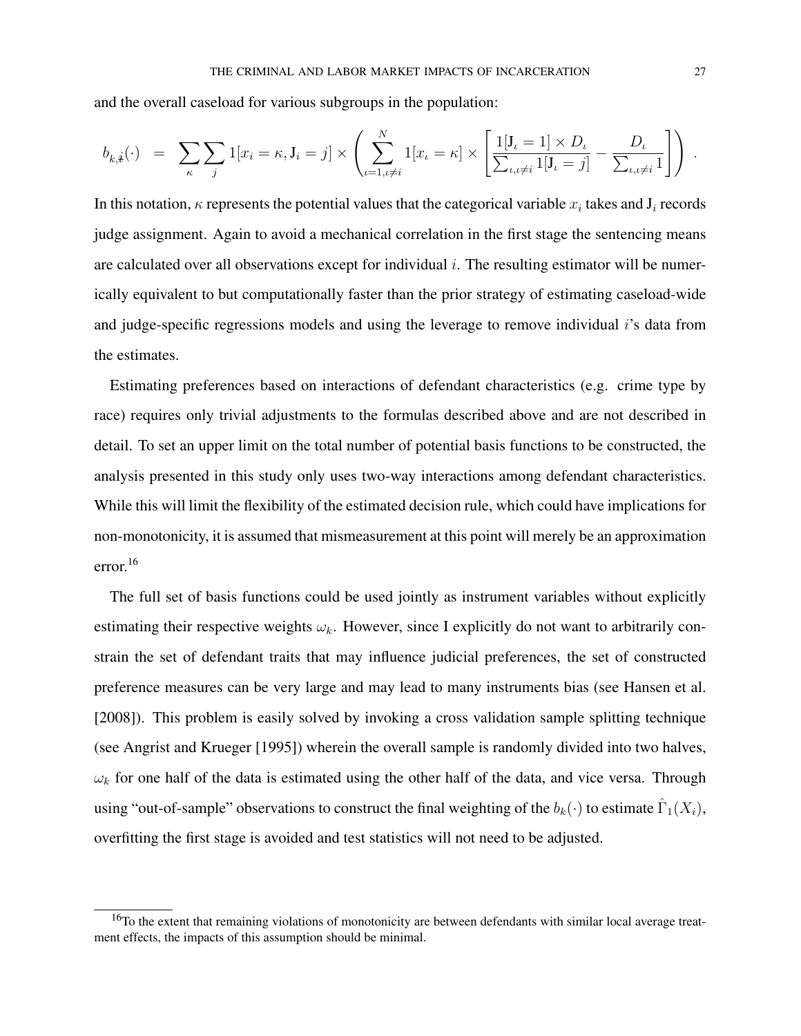and the overall caseload for various subgroups in the population:

$$
b_{k,\mathbf{i}}(\cdot) = \sum_{\kappa} \sum_{j} 1[x_i = \kappa, \mathbf{J}_i = j] \times \left( \sum_{\iota=1,\iota \neq i}^N 1[x_\iota = \kappa] \times \left[ \frac{1[\mathbf{J}_\iota = 1] \times D_\iota}{\sum_{\iota,\iota \neq i} 1[\mathbf{J}_\iota = j]} - \frac{D_\iota}{\sum_{\iota,\iota \neq i} 1} \right] \right).
$$

In this notation,  $\kappa$  represents the potential values that the categorical variable  $x_i$  takes and  $J_i$  records judge assignment. Again to avoid a mechanical correlation in the first stage the sentencing means are calculated over all observations except for individual  $i$ . The resulting estimator will be numerically equivalent to but computationally faster than the prior strategy of estimating caseload-wide and judge-specific regressions models and using the leverage to remove individual i's data from the estimates.

Estimating preferences based on interactions of defendant characteristics (e.g. crime type by race) requires only trivial adjustments to the formulas described above and are not described in detail. To set an upper limit on the total number of potential basis functions to be constructed, the analysis presented in this study only uses two-way interactions among defendant characteristics. While this will limit the flexibility of the estimated decision rule, which could have implications for non-monotonicity, it is assumed that mismeasurement at this point will merely be an approximation error.<sup>16</sup>

The full set of basis functions could be used jointly as instrument variables without explicitly estimating their respective weights  $\omega_k$ . However, since I explicitly do not want to arbitrarily constrain the set of defendant traits that may influence judicial preferences, the set of constructed preference measures can be very large and may lead to many instruments bias (see Hansen et al. [2008]). This problem is easily solved by invoking a cross validation sample splitting technique (see Angrist and Krueger [1995]) wherein the overall sample is randomly divided into two halves,  $\omega_k$  for one half of the data is estimated using the other half of the data, and vice versa. Through using "out-of-sample" observations to construct the final weighting of the  $b_k(\cdot)$  to estimate  $\hat{\Gamma}_1(X_i)$ , overfitting the first stage is avoided and test statistics will not need to be adjusted.

 $16T$ o the extent that remaining violations of monotonicity are between defendants with similar local average treatment effects, the impacts of this assumption should be minimal.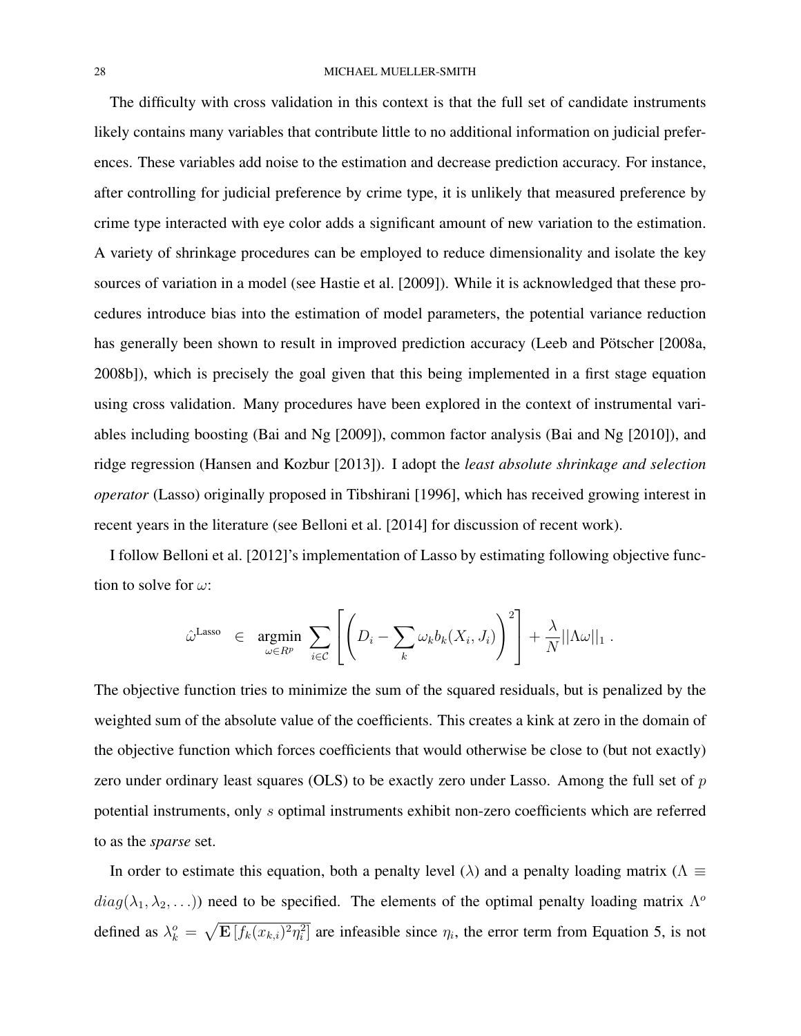The difficulty with cross validation in this context is that the full set of candidate instruments likely contains many variables that contribute little to no additional information on judicial preferences. These variables add noise to the estimation and decrease prediction accuracy. For instance, after controlling for judicial preference by crime type, it is unlikely that measured preference by crime type interacted with eye color adds a significant amount of new variation to the estimation. A variety of shrinkage procedures can be employed to reduce dimensionality and isolate the key sources of variation in a model (see Hastie et al. [2009]). While it is acknowledged that these procedures introduce bias into the estimation of model parameters, the potential variance reduction has generally been shown to result in improved prediction accuracy (Leeb and Pötscher [2008a, 2008b]), which is precisely the goal given that this being implemented in a first stage equation using cross validation. Many procedures have been explored in the context of instrumental variables including boosting (Bai and Ng [2009]), common factor analysis (Bai and Ng [2010]), and ridge regression (Hansen and Kozbur [2013]). I adopt the *least absolute shrinkage and selection operator* (Lasso) originally proposed in Tibshirani [1996], which has received growing interest in recent years in the literature (see Belloni et al. [2014] for discussion of recent work).

I follow Belloni et al. [2012]'s implementation of Lasso by estimating following objective function to solve for  $\omega$ :

$$
\hat{\omega}^{\text{Lasso}} \in \operatorname*{argmin}_{\omega \in R^p} \sum_{i \in C} \left[ \left( D_i - \sum_k \omega_k b_k(X_i, J_i) \right)^2 \right] + \frac{\lambda}{N} ||\Lambda \omega||_1.
$$

The objective function tries to minimize the sum of the squared residuals, but is penalized by the weighted sum of the absolute value of the coefficients. This creates a kink at zero in the domain of the objective function which forces coefficients that would otherwise be close to (but not exactly) zero under ordinary least squares (OLS) to be exactly zero under Lasso. Among the full set of  $p$ potential instruments, only s optimal instruments exhibit non-zero coefficients which are referred to as the *sparse* set.

In order to estimate this equation, both a penalty level ( $\lambda$ ) and a penalty loading matrix ( $\Lambda \equiv$  $diag(\lambda_1, \lambda_2, \ldots)$  need to be specified. The elements of the optimal penalty loading matrix  $\Lambda^{\circ}$ defined as  $\lambda_k^o = \sqrt{\mathbf{E}\left[f_k(x_{k,i})^2 \eta_i^2\right]}$  are infeasible since  $\eta_i$ , the error term from Equation 5, is not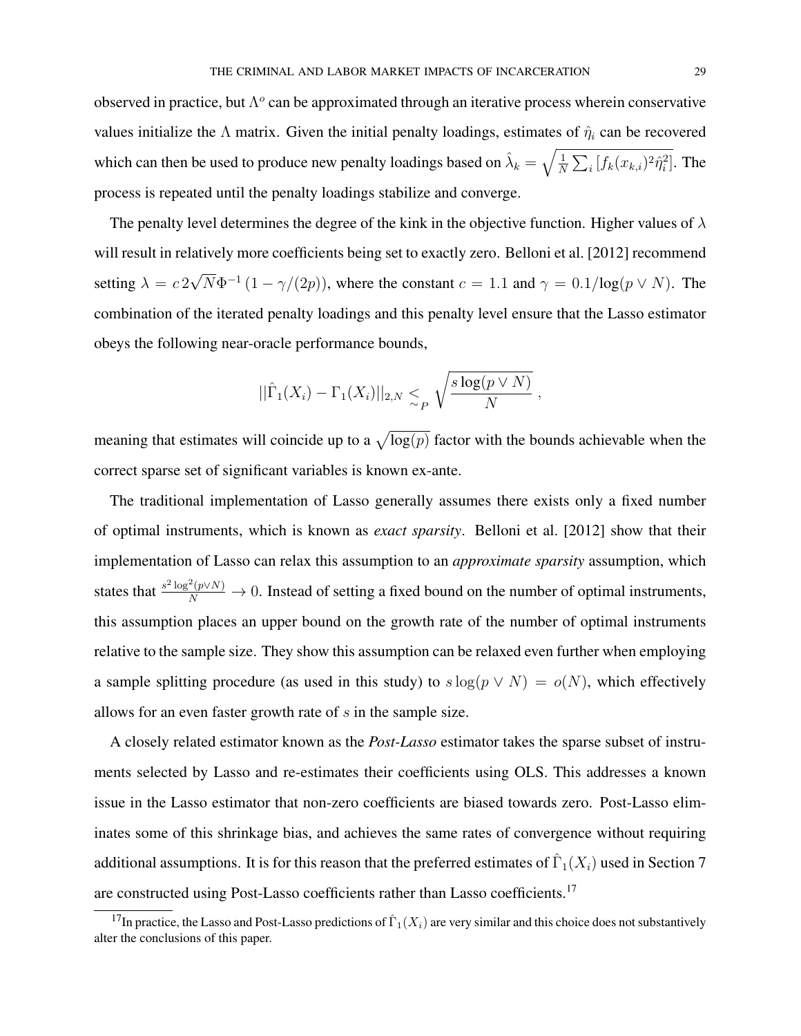observed in practice, but  $\Lambda^o$  can be approximated through an iterative process wherein conservative values initialize the  $\Lambda$  matrix. Given the initial penalty loadings, estimates of  $\hat{\eta}_i$  can be recovered which can then be used to produce new penalty loadings based on  $\hat{\lambda}_k = \sqrt{\frac{1}{N}}$  $\frac{1}{N}\sum_i \left[ f_k(x_{k,i})^2 \hat{\eta}_i^2 \right]$ . The process is repeated until the penalty loadings stabilize and converge.

The penalty level determines the degree of the kink in the objective function. Higher values of  $\lambda$ will result in relatively more coefficients being set to exactly zero. Belloni et al. [2012] recommend setting  $\lambda = c \, 2$ √  $\overline{N}\Phi^{-1}(1-\gamma/(2p))$ , where the constant  $c=1.1$  and  $\gamma=0.1/\log(p\vee N)$ . The combination of the iterated penalty loadings and this penalty level ensure that the Lasso estimator obeys the following near-oracle performance bounds,

$$
||\hat{\Gamma}_1(X_i) - \Gamma_1(X_i)||_{2,N} \leq p \sqrt{\frac{s \log(p \vee N)}{N}} ,
$$

meaning that estimates will coincide up to a  $\sqrt{\log(p)}$  factor with the bounds achievable when the correct sparse set of significant variables is known ex-ante.

The traditional implementation of Lasso generally assumes there exists only a fixed number of optimal instruments, which is known as *exact sparsity*. Belloni et al. [2012] show that their implementation of Lasso can relax this assumption to an *approximate sparsity* assumption, which states that  $\frac{s^2 \log^2(p \vee N)}{N} \to 0$ . Instead of setting a fixed bound on the number of optimal instruments, this assumption places an upper bound on the growth rate of the number of optimal instruments relative to the sample size. They show this assumption can be relaxed even further when employing a sample splitting procedure (as used in this study) to  $s \log(p \vee N) = o(N)$ , which effectively allows for an even faster growth rate of s in the sample size.

A closely related estimator known as the *Post-Lasso* estimator takes the sparse subset of instruments selected by Lasso and re-estimates their coefficients using OLS. This addresses a known issue in the Lasso estimator that non-zero coefficients are biased towards zero. Post-Lasso eliminates some of this shrinkage bias, and achieves the same rates of convergence without requiring additional assumptions. It is for this reason that the preferred estimates of  $\hat{\Gamma}_1(X_i)$  used in Section 7 are constructed using Post-Lasso coefficients rather than Lasso coefficients.<sup>17</sup>

<sup>&</sup>lt;sup>17</sup>In practice, the Lasso and Post-Lasso predictions of  $\hat{\Gamma}_1(X_i)$  are very similar and this choice does not substantively alter the conclusions of this paper.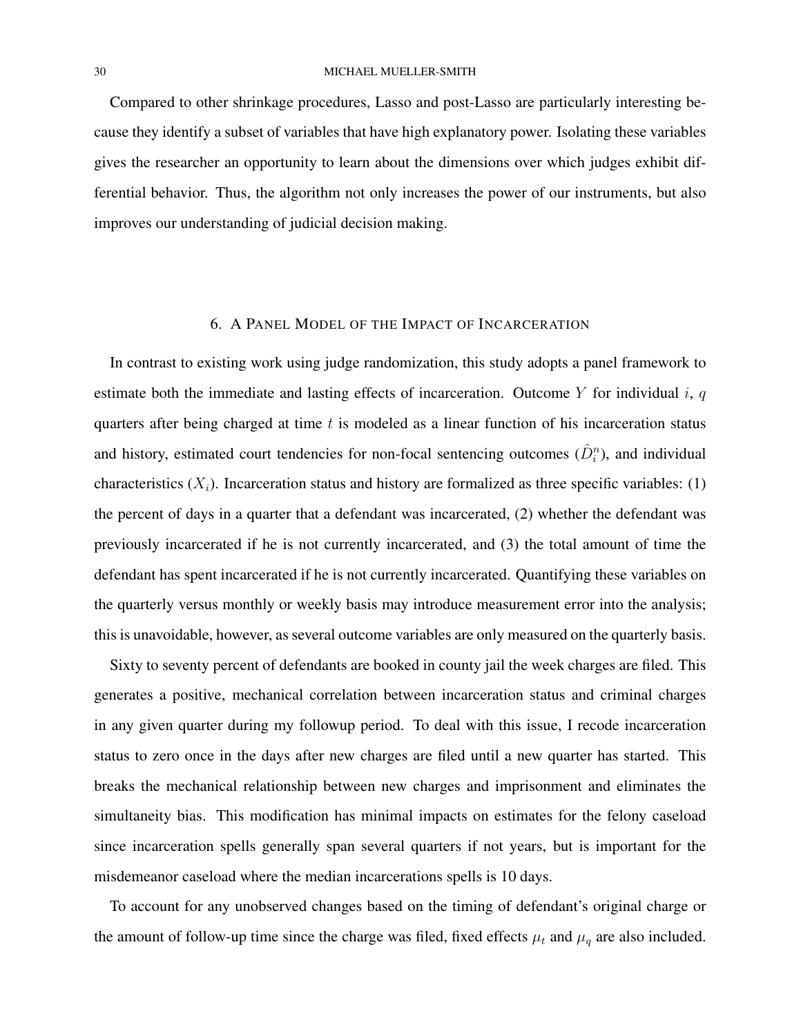Compared to other shrinkage procedures, Lasso and post-Lasso are particularly interesting because they identify a subset of variables that have high explanatory power. Isolating these variables gives the researcher an opportunity to learn about the dimensions over which judges exhibit differential behavior. Thus, the algorithm not only increases the power of our instruments, but also improves our understanding of judicial decision making.

## 6. A PANEL MODEL OF THE IMPACT OF INCARCERATION

In contrast to existing work using judge randomization, this study adopts a panel framework to estimate both the immediate and lasting effects of incarceration. Outcome  $Y$  for individual  $i, q$ quarters after being charged at time  $t$  is modeled as a linear function of his incarceration status and history, estimated court tendencies for non-focal sentencing outcomes  $(\hat{D}_i^n)$ , and individual characteristics  $(X_i)$ . Incarceration status and history are formalized as three specific variables: (1) the percent of days in a quarter that a defendant was incarcerated, (2) whether the defendant was previously incarcerated if he is not currently incarcerated, and (3) the total amount of time the defendant has spent incarcerated if he is not currently incarcerated. Quantifying these variables on the quarterly versus monthly or weekly basis may introduce measurement error into the analysis; this is unavoidable, however, as several outcome variables are only measured on the quarterly basis.

Sixty to seventy percent of defendants are booked in county jail the week charges are filed. This generates a positive, mechanical correlation between incarceration status and criminal charges in any given quarter during my followup period. To deal with this issue, I recode incarceration status to zero once in the days after new charges are filed until a new quarter has started. This breaks the mechanical relationship between new charges and imprisonment and eliminates the simultaneity bias. This modification has minimal impacts on estimates for the felony caseload since incarceration spells generally span several quarters if not years, but is important for the misdemeanor caseload where the median incarcerations spells is 10 days.

To account for any unobserved changes based on the timing of defendant's original charge or the amount of follow-up time since the charge was filed, fixed effects  $\mu_t$  and  $\mu_q$  are also included.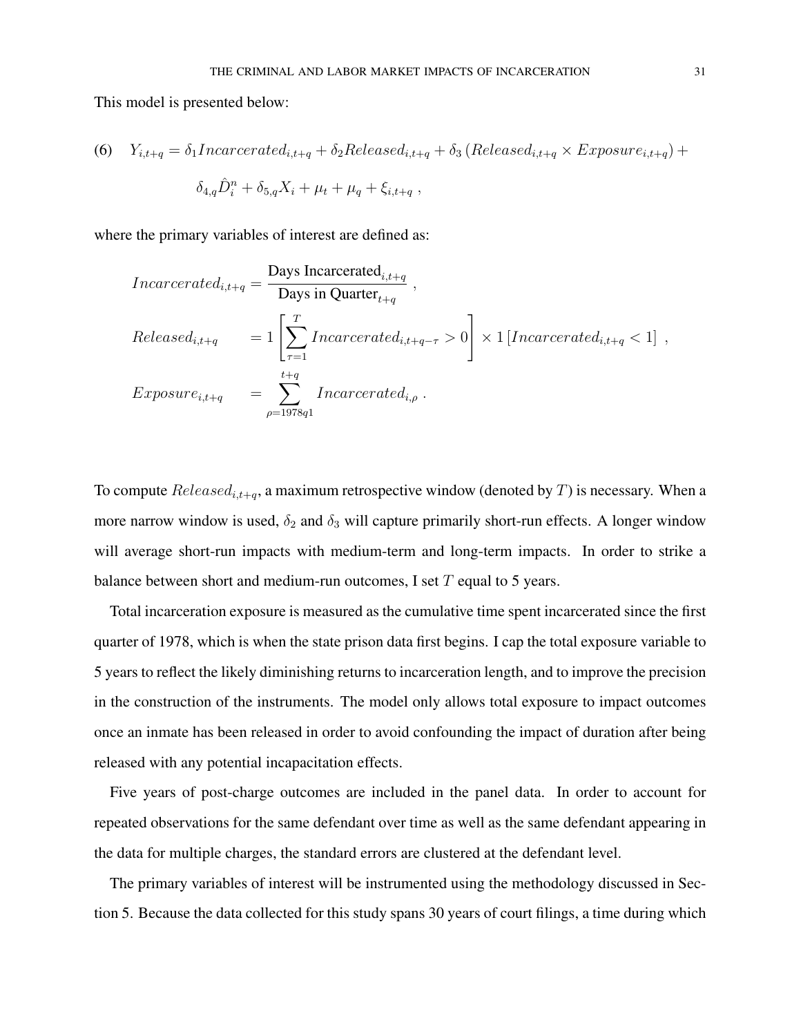This model is presented below:

(6) 
$$
Y_{i,t+q} = \delta_1 Incareerated_{i,t+q} + \delta_2 Released_{i,t+q} + \delta_3 (Released_{i,t+q} \times Exposure_{i,t+q}) +
$$
  

$$
\delta_{4,q} \hat{D}_i^n + \delta_{5,q} X_i + \mu_t + \mu_q + \xi_{i,t+q} ,
$$

where the primary variables of interest are defined as:

$$
Incarerated_{i,t+q} = \frac{\text{Days Incarerated}_{i,t+q}}{\text{Days in Quarter}_{t+q}},
$$
\n
$$
Released_{i,t+q} = 1 \left[ \sum_{\tau=1}^{T} Incarerated_{i,t+q-\tau} > 0 \right] \times 1 [Incarerated_{i,t+q} < 1],
$$
\n
$$
Exposure_{i,t+q} = \sum_{\rho=1978q1}^{t+q} Incarerated_{i,\rho}.
$$

To compute  $Released_{i,t+q}$ , a maximum retrospective window (denoted by T) is necessary. When a more narrow window is used,  $\delta_2$  and  $\delta_3$  will capture primarily short-run effects. A longer window will average short-run impacts with medium-term and long-term impacts. In order to strike a balance between short and medium-run outcomes, I set  $T$  equal to 5 years.

Total incarceration exposure is measured as the cumulative time spent incarcerated since the first quarter of 1978, which is when the state prison data first begins. I cap the total exposure variable to 5 years to reflect the likely diminishing returns to incarceration length, and to improve the precision in the construction of the instruments. The model only allows total exposure to impact outcomes once an inmate has been released in order to avoid confounding the impact of duration after being released with any potential incapacitation effects.

Five years of post-charge outcomes are included in the panel data. In order to account for repeated observations for the same defendant over time as well as the same defendant appearing in the data for multiple charges, the standard errors are clustered at the defendant level.

The primary variables of interest will be instrumented using the methodology discussed in Section 5. Because the data collected for this study spans 30 years of court filings, a time during which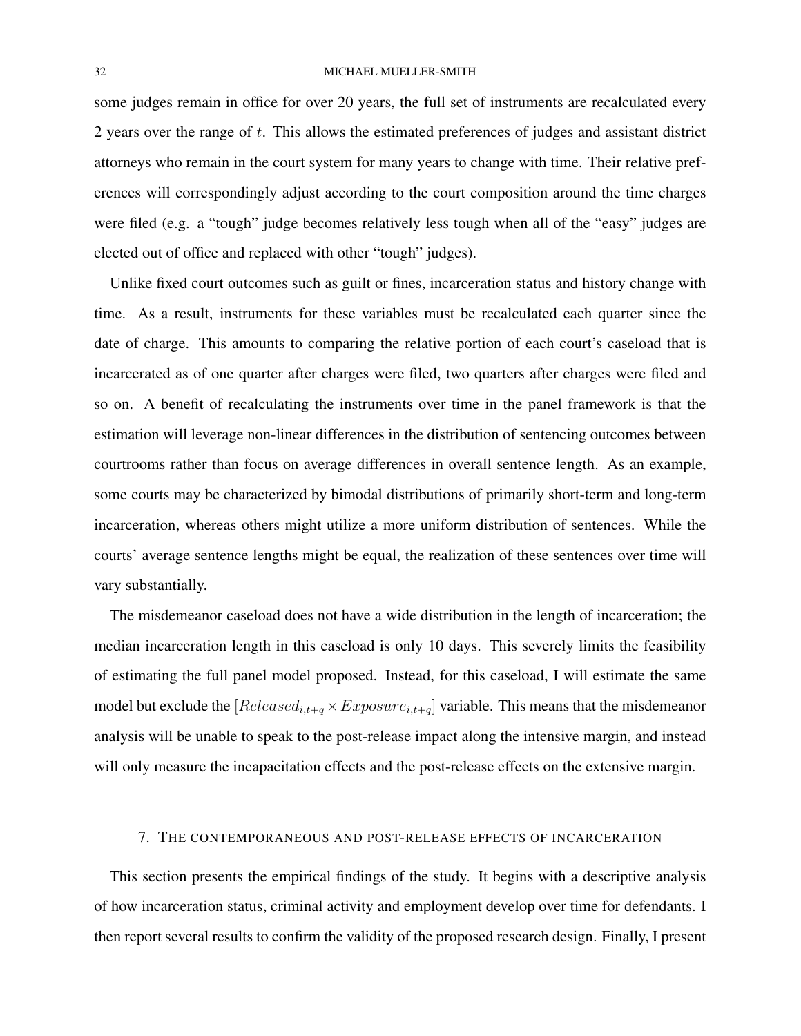some judges remain in office for over 20 years, the full set of instruments are recalculated every 2 years over the range of t. This allows the estimated preferences of judges and assistant district attorneys who remain in the court system for many years to change with time. Their relative preferences will correspondingly adjust according to the court composition around the time charges were filed (e.g. a "tough" judge becomes relatively less tough when all of the "easy" judges are elected out of office and replaced with other "tough" judges).

Unlike fixed court outcomes such as guilt or fines, incarceration status and history change with time. As a result, instruments for these variables must be recalculated each quarter since the date of charge. This amounts to comparing the relative portion of each court's caseload that is incarcerated as of one quarter after charges were filed, two quarters after charges were filed and so on. A benefit of recalculating the instruments over time in the panel framework is that the estimation will leverage non-linear differences in the distribution of sentencing outcomes between courtrooms rather than focus on average differences in overall sentence length. As an example, some courts may be characterized by bimodal distributions of primarily short-term and long-term incarceration, whereas others might utilize a more uniform distribution of sentences. While the courts' average sentence lengths might be equal, the realization of these sentences over time will vary substantially.

The misdemeanor caseload does not have a wide distribution in the length of incarceration; the median incarceration length in this caseload is only 10 days. This severely limits the feasibility of estimating the full panel model proposed. Instead, for this caseload, I will estimate the same model but exclude the  $[Released_{i,t+q} \times Exposure_{i,t+q}]$  variable. This means that the misdemeanor analysis will be unable to speak to the post-release impact along the intensive margin, and instead will only measure the incapacitation effects and the post-release effects on the extensive margin.

## 7. THE CONTEMPORANEOUS AND POST-RELEASE EFFECTS OF INCARCERATION

This section presents the empirical findings of the study. It begins with a descriptive analysis of how incarceration status, criminal activity and employment develop over time for defendants. I then report several results to confirm the validity of the proposed research design. Finally, I present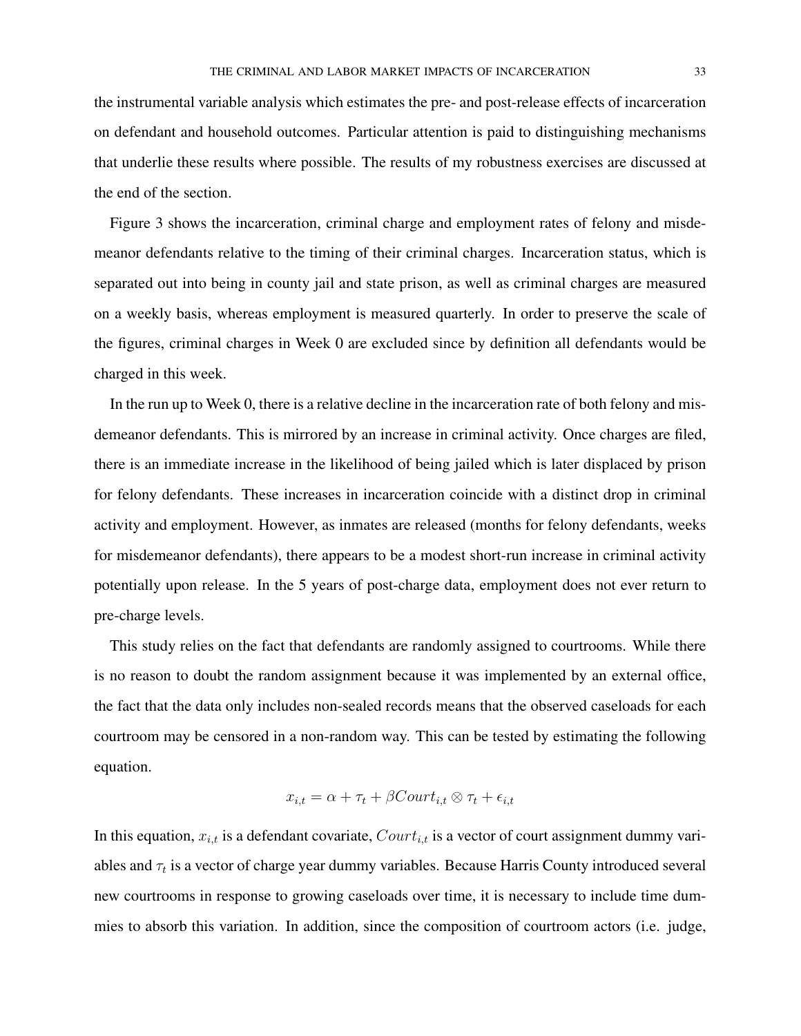the instrumental variable analysis which estimates the pre- and post-release effects of incarceration on defendant and household outcomes. Particular attention is paid to distinguishing mechanisms that underlie these results where possible. The results of my robustness exercises are discussed at the end of the section.

Figure 3 shows the incarceration, criminal charge and employment rates of felony and misdemeanor defendants relative to the timing of their criminal charges. Incarceration status, which is separated out into being in county jail and state prison, as well as criminal charges are measured on a weekly basis, whereas employment is measured quarterly. In order to preserve the scale of the figures, criminal charges in Week 0 are excluded since by definition all defendants would be charged in this week.

In the run up to Week 0, there is a relative decline in the incarceration rate of both felony and misdemeanor defendants. This is mirrored by an increase in criminal activity. Once charges are filed, there is an immediate increase in the likelihood of being jailed which is later displaced by prison for felony defendants. These increases in incarceration coincide with a distinct drop in criminal activity and employment. However, as inmates are released (months for felony defendants, weeks for misdemeanor defendants), there appears to be a modest short-run increase in criminal activity potentially upon release. In the 5 years of post-charge data, employment does not ever return to pre-charge levels.

This study relies on the fact that defendants are randomly assigned to courtrooms. While there is no reason to doubt the random assignment because it was implemented by an external office, the fact that the data only includes non-sealed records means that the observed caseloads for each courtroom may be censored in a non-random way. This can be tested by estimating the following equation.

$$
x_{i,t} = \alpha + \tau_t + \beta Court_{i,t} \otimes \tau_t + \epsilon_{i,t}
$$

In this equation,  $x_{i,t}$  is a defendant covariate,  $Contr_{i,t}$  is a vector of court assignment dummy variables and  $\tau_t$  is a vector of charge year dummy variables. Because Harris County introduced several new courtrooms in response to growing caseloads over time, it is necessary to include time dummies to absorb this variation. In addition, since the composition of courtroom actors (i.e. judge,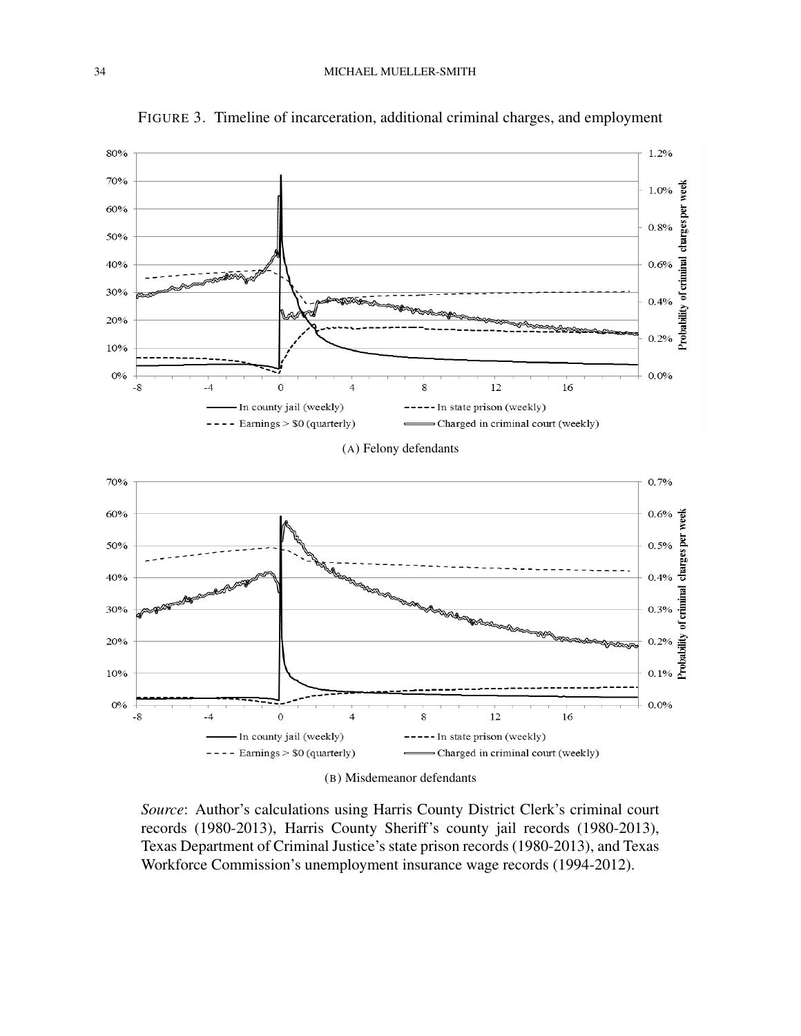

FIGURE 3. Timeline of incarceration, additional criminal charges, and employment

(B) Misdemeanor defendants

*Source*: Author's calculations using Harris County District Clerk's criminal court records (1980-2013), Harris County Sheriff's county jail records (1980-2013), Texas Department of Criminal Justice's state prison records (1980-2013), and Texas Workforce Commission's unemployment insurance wage records (1994-2012).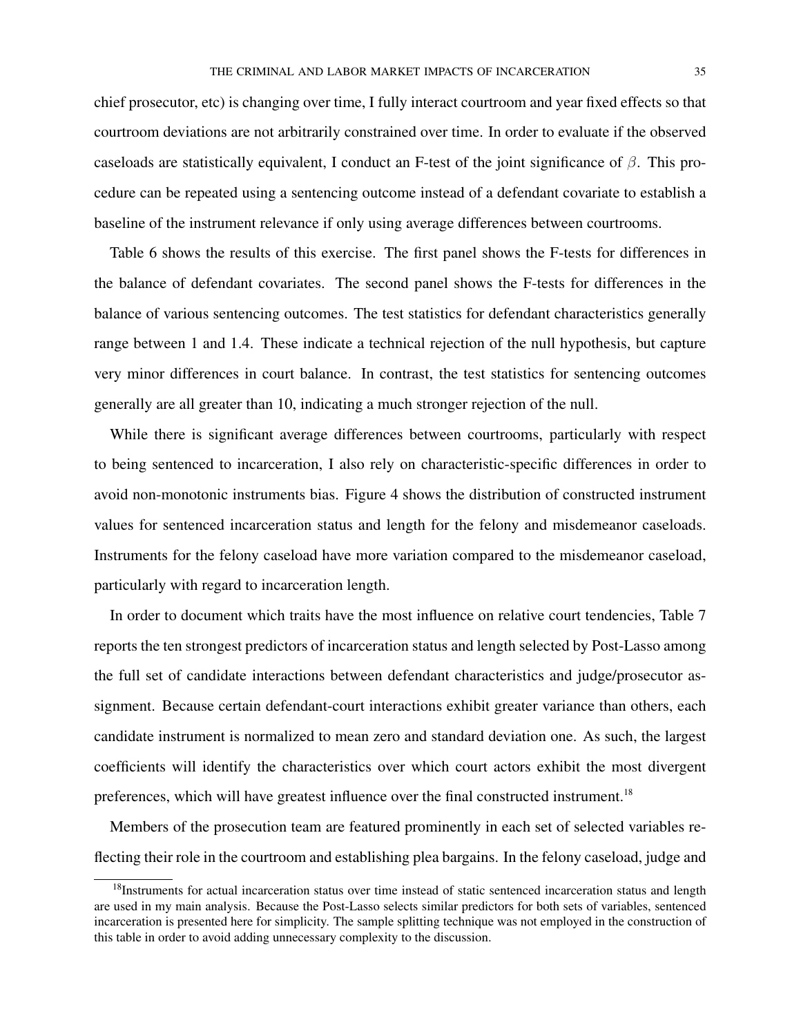chief prosecutor, etc) is changing over time, I fully interact courtroom and year fixed effects so that courtroom deviations are not arbitrarily constrained over time. In order to evaluate if the observed caseloads are statistically equivalent, I conduct an F-test of the joint significance of  $\beta$ . This procedure can be repeated using a sentencing outcome instead of a defendant covariate to establish a baseline of the instrument relevance if only using average differences between courtrooms.

Table 6 shows the results of this exercise. The first panel shows the F-tests for differences in the balance of defendant covariates. The second panel shows the F-tests for differences in the balance of various sentencing outcomes. The test statistics for defendant characteristics generally range between 1 and 1.4. These indicate a technical rejection of the null hypothesis, but capture very minor differences in court balance. In contrast, the test statistics for sentencing outcomes generally are all greater than 10, indicating a much stronger rejection of the null.

While there is significant average differences between courtrooms, particularly with respect to being sentenced to incarceration, I also rely on characteristic-specific differences in order to avoid non-monotonic instruments bias. Figure 4 shows the distribution of constructed instrument values for sentenced incarceration status and length for the felony and misdemeanor caseloads. Instruments for the felony caseload have more variation compared to the misdemeanor caseload, particularly with regard to incarceration length.

In order to document which traits have the most influence on relative court tendencies, Table 7 reports the ten strongest predictors of incarceration status and length selected by Post-Lasso among the full set of candidate interactions between defendant characteristics and judge/prosecutor assignment. Because certain defendant-court interactions exhibit greater variance than others, each candidate instrument is normalized to mean zero and standard deviation one. As such, the largest coefficients will identify the characteristics over which court actors exhibit the most divergent preferences, which will have greatest influence over the final constructed instrument.<sup>18</sup>

Members of the prosecution team are featured prominently in each set of selected variables reflecting their role in the courtroom and establishing plea bargains. In the felony caseload, judge and

<sup>&</sup>lt;sup>18</sup>Instruments for actual incarceration status over time instead of static sentenced incarceration status and length are used in my main analysis. Because the Post-Lasso selects similar predictors for both sets of variables, sentenced incarceration is presented here for simplicity. The sample splitting technique was not employed in the construction of this table in order to avoid adding unnecessary complexity to the discussion.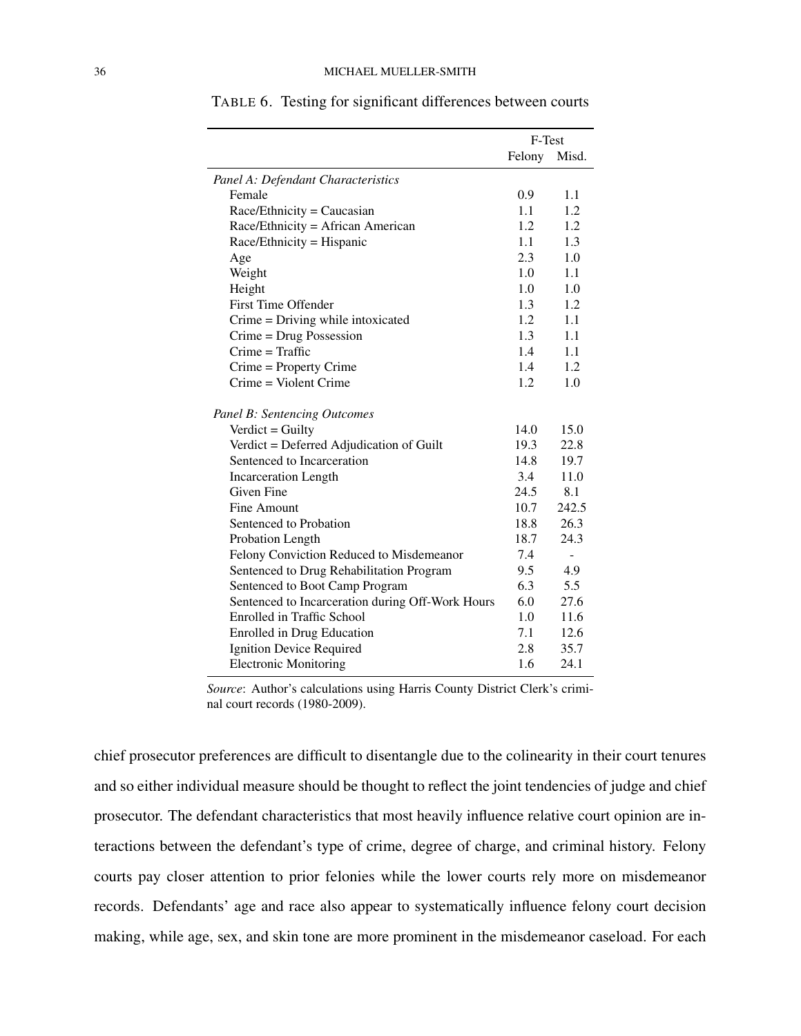|                                                  | F-Test |       |
|--------------------------------------------------|--------|-------|
|                                                  | Felony | Misd. |
| Panel A: Defendant Characteristics               |        |       |
| Female                                           | 0.9    | 1.1   |
| $Race/Ethnicity = Caucasian$                     | 1.1    | 1.2   |
| Race/Ethnicity = African American                | 1.2    | 1.2   |
| Race/Ethnicity = Hispanic                        | 1.1    | 1.3   |
| Age                                              | 2.3    | 1.0   |
| Weight                                           | 1.0    | 1.1   |
| Height                                           | 1.0    | 1.0   |
| First Time Offender                              | 1.3    | 1.2   |
| Crime = Driving while intoxicated                | 1.2    | 1.1   |
| $C$ rime = Drug Possession                       | 1.3    | 1.1   |
| $C$ rime = Traffic                               | 1.4    | 1.1   |
| Crime = Property Crime                           | 1.4    | 1.2   |
| Crime = Violent Crime                            | 1.2    | 1.0   |
| <b>Panel B: Sentencing Outcomes</b>              |        |       |
| Verdict = Guilty                                 | 14.0   | 15.0  |
| Verdict = Deferred Adjudication of Guilt         | 19.3   | 22.8  |
| Sentenced to Incarceration                       | 14.8   | 19.7  |
| <b>Incarceration Length</b>                      | 3.4    | 11.0  |
| <b>Given Fine</b>                                | 24.5   | 8.1   |
| Fine Amount                                      | 10.7   | 242.5 |
| Sentenced to Probation                           | 18.8   | 26.3  |
| Probation Length                                 | 18.7   | 24.3  |
| Felony Conviction Reduced to Misdemeanor         | 7.4    |       |
| Sentenced to Drug Rehabilitation Program         | 9.5    | 4.9   |
| Sentenced to Boot Camp Program                   | 6.3    | 5.5   |
| Sentenced to Incarceration during Off-Work Hours | 6.0    | 27.6  |
| Enrolled in Traffic School                       | 1.0    | 11.6  |
| <b>Enrolled in Drug Education</b>                | 7.1    | 12.6  |
| <b>Ignition Device Required</b>                  | 2.8    | 35.7  |
| <b>Electronic Monitoring</b>                     | 1.6    | 24.1  |

TABLE 6. Testing for significant differences between courts

*Source*: Author's calculations using Harris County District Clerk's criminal court records (1980-2009).

chief prosecutor preferences are difficult to disentangle due to the colinearity in their court tenures and so either individual measure should be thought to reflect the joint tendencies of judge and chief prosecutor. The defendant characteristics that most heavily influence relative court opinion are interactions between the defendant's type of crime, degree of charge, and criminal history. Felony courts pay closer attention to prior felonies while the lower courts rely more on misdemeanor records. Defendants' age and race also appear to systematically influence felony court decision making, while age, sex, and skin tone are more prominent in the misdemeanor caseload. For each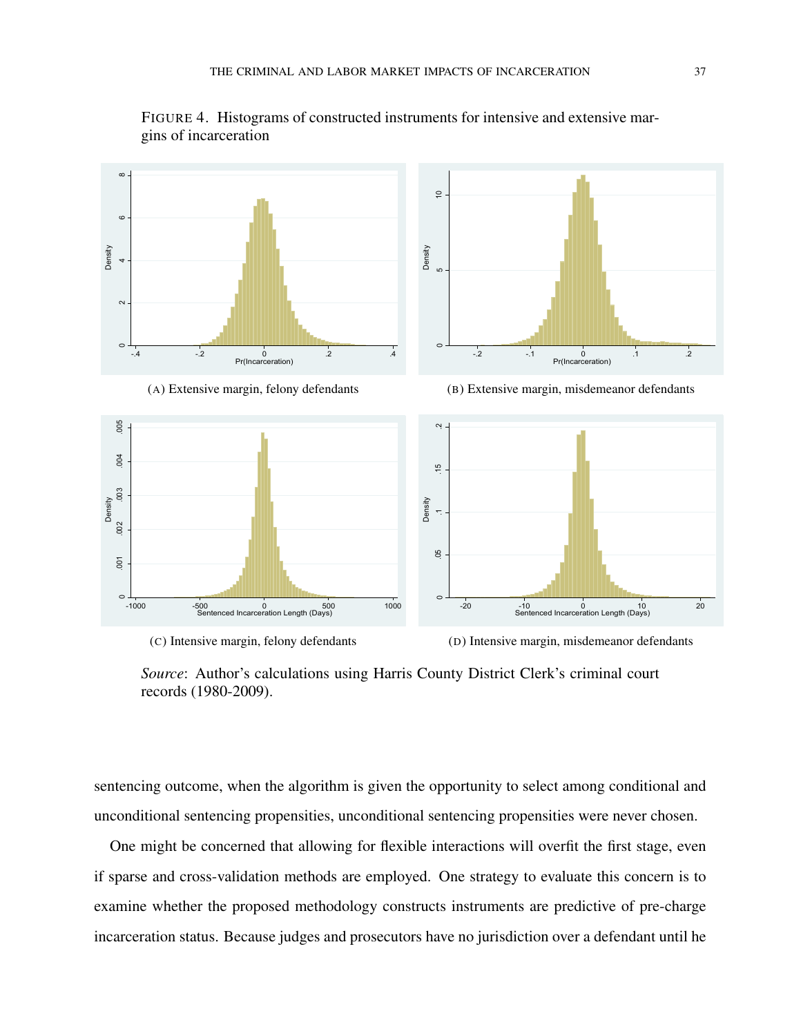

FIGURE 4. Histograms of constructed instruments for intensive and extensive margins of incarceration

*Source*: Author's calculations using Harris County District Clerk's criminal court records (1980-2009).

sentencing outcome, when the algorithm is given the opportunity to select among conditional and unconditional sentencing propensities, unconditional sentencing propensities were never chosen.

One might be concerned that allowing for flexible interactions will overfit the first stage, even if sparse and cross-validation methods are employed. One strategy to evaluate this concern is to examine whether the proposed methodology constructs instruments are predictive of pre-charge incarceration status. Because judges and prosecutors have no jurisdiction over a defendant until he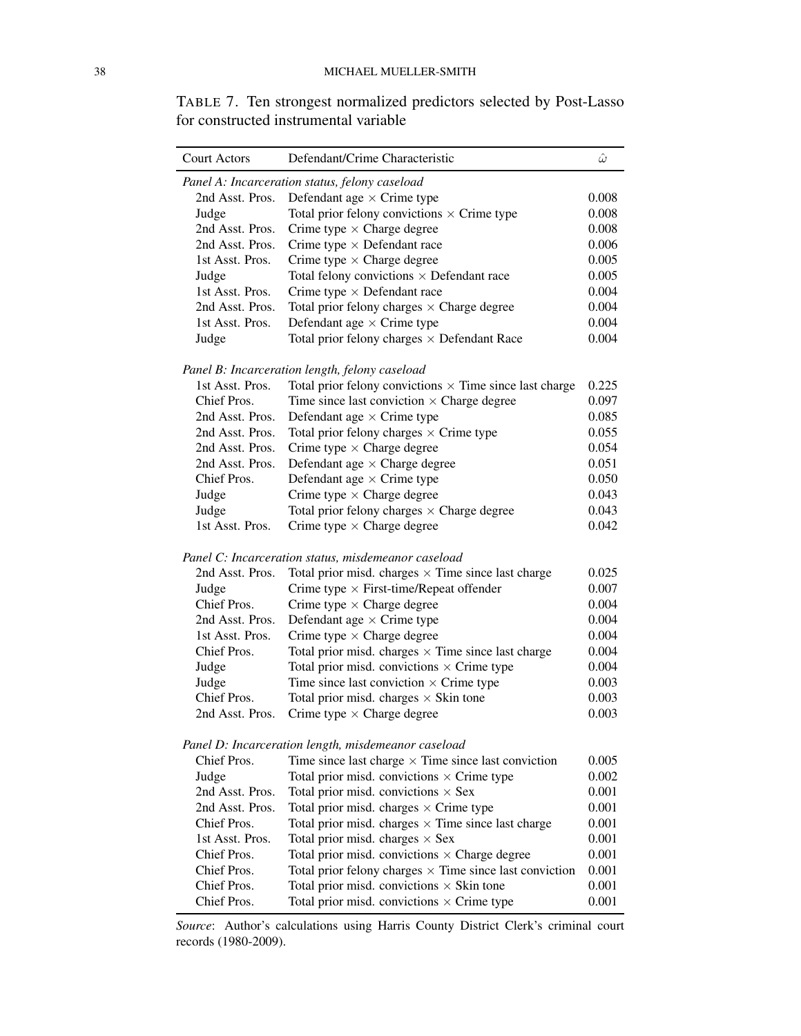TABLE 7. Ten strongest normalized predictors selected by Post-Lasso for constructed instrumental variable

| <b>Court Actors</b> | Defendant/Crime Characteristic                                 | $\hat{\omega}$ |
|---------------------|----------------------------------------------------------------|----------------|
|                     | Panel A: Incarceration status, felony caseload                 |                |
| 2nd Asst. Pros.     | Defendant age $\times$ Crime type                              | 0.008          |
| Judge               | Total prior felony convictions $\times$ Crime type             | 0.008          |
| 2nd Asst. Pros.     | Crime type $\times$ Charge degree                              | 0.008          |
| 2nd Asst. Pros.     | Crime type $\times$ Defendant race                             | 0.006          |
| 1st Asst. Pros.     | Crime type $\times$ Charge degree                              | 0.005          |
| Judge               | Total felony convictions $\times$ Defendant race               | 0.005          |
| 1st Asst. Pros.     | Crime type $\times$ Defendant race                             | 0.004          |
| 2nd Asst. Pros.     | Total prior felony charges $\times$ Charge degree              | 0.004          |
| 1st Asst. Pros.     | Defendant age $\times$ Crime type                              | 0.004          |
| Judge               | Total prior felony charges $\times$ Defendant Race             | 0.004          |
|                     | Panel B: Incarceration length, felony caseload                 |                |
| 1st Asst. Pros.     | Total prior felony convictions $\times$ Time since last charge | 0.225          |
| Chief Pros.         | Time since last conviction $\times$ Charge degree              | 0.097          |
| 2nd Asst. Pros.     | Defendant age $\times$ Crime type                              | 0.085          |
| 2nd Asst. Pros.     | Total prior felony charges $\times$ Crime type                 | 0.055          |
| 2nd Asst. Pros.     | Crime type $\times$ Charge degree                              | 0.054          |
| 2nd Asst. Pros.     | Defendant age $\times$ Charge degree                           | 0.051          |
| Chief Pros.         | Defendant age $\times$ Crime type                              | 0.050          |
| Judge               | Crime type $\times$ Charge degree                              | 0.043          |
| Judge               | Total prior felony charges $\times$ Charge degree              | 0.043          |
| 1st Asst. Pros.     | Crime type $\times$ Charge degree                              | 0.042          |
|                     | Panel C: Incarceration status, misdemeanor caseload            |                |
| 2nd Asst. Pros.     | Total prior misd. charges $\times$ Time since last charge      | 0.025          |
| Judge               | Crime type $\times$ First-time/Repeat offender                 | 0.007          |
| Chief Pros.         | Crime type $\times$ Charge degree                              | 0.004          |
| 2nd Asst. Pros.     | Defendant age $\times$ Crime type                              | 0.004          |
| 1st Asst. Pros.     | Crime type $\times$ Charge degree                              | 0.004          |
| Chief Pros.         | Total prior misd. charges $\times$ Time since last charge      | 0.004          |
| Judge               | Total prior misd. convictions $\times$ Crime type              | 0.004          |
| Judge               | Time since last conviction $\times$ Crime type                 | 0.003          |
| Chief Pros.         | Total prior misd. charges $\times$ Skin tone                   | 0.003          |
| 2nd Asst. Pros.     | Crime type $\times$ Charge degree                              | 0.003          |
|                     | Panel D: Incarceration length, misdemeanor caseload            |                |
| Chief Pros.         | Time since last charge $\times$ Time since last conviction     | 0.005          |
| Judge               | Total prior misd. convictions $\times$ Crime type              | 0.002          |
| 2nd Asst. Pros.     | Total prior misd. convictions $\times$ Sex                     | 0.001          |
| 2nd Asst. Pros.     | Total prior misd. charges $\times$ Crime type                  | 0.001          |
| Chief Pros.         | Total prior misd. charges $\times$ Time since last charge      | 0.001          |
| 1st Asst. Pros.     | Total prior misd. charges $\times$ Sex                         | 0.001          |
| Chief Pros.         | Total prior misd. convictions $\times$ Charge degree           | 0.001          |
| Chief Pros.         | Total prior felony charges $\times$ Time since last conviction | 0.001          |
| Chief Pros.         | Total prior misd. convictions $\times$ Skin tone               | 0.001          |
| Chief Pros.         | Total prior misd. convictions $\times$ Crime type              | 0.001          |
|                     |                                                                |                |

*Source*: Author's calculations using Harris County District Clerk's criminal court records (1980-2009).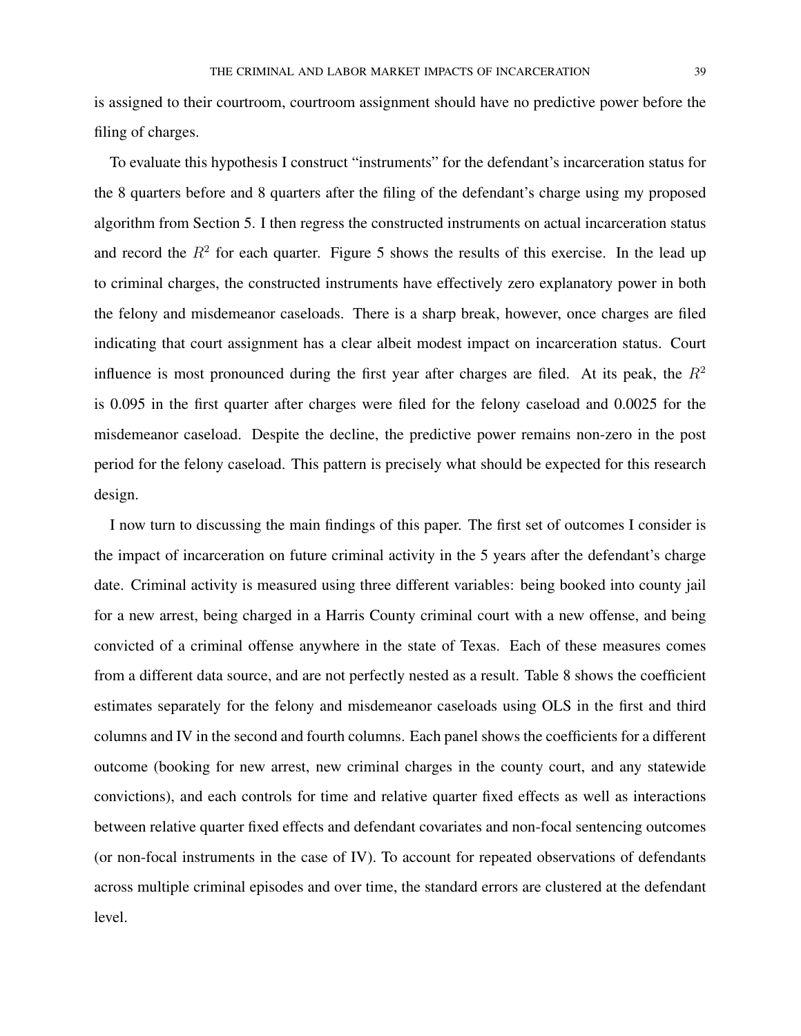is assigned to their courtroom, courtroom assignment should have no predictive power before the filing of charges.

To evaluate this hypothesis I construct "instruments" for the defendant's incarceration status for the 8 quarters before and 8 quarters after the filing of the defendant's charge using my proposed algorithm from Section 5. I then regress the constructed instruments on actual incarceration status and record the  $R<sup>2</sup>$  for each quarter. Figure 5 shows the results of this exercise. In the lead up to criminal charges, the constructed instruments have effectively zero explanatory power in both the felony and misdemeanor caseloads. There is a sharp break, however, once charges are filed indicating that court assignment has a clear albeit modest impact on incarceration status. Court influence is most pronounced during the first year after charges are filed. At its peak, the  $R^2$ is 0.095 in the first quarter after charges were filed for the felony caseload and 0.0025 for the misdemeanor caseload. Despite the decline, the predictive power remains non-zero in the post period for the felony caseload. This pattern is precisely what should be expected for this research design.

I now turn to discussing the main findings of this paper. The first set of outcomes I consider is the impact of incarceration on future criminal activity in the 5 years after the defendant's charge date. Criminal activity is measured using three different variables: being booked into county jail for a new arrest, being charged in a Harris County criminal court with a new offense, and being convicted of a criminal offense anywhere in the state of Texas. Each of these measures comes from a different data source, and are not perfectly nested as a result. Table 8 shows the coefficient estimates separately for the felony and misdemeanor caseloads using OLS in the first and third columns and IV in the second and fourth columns. Each panel shows the coefficients for a different outcome (booking for new arrest, new criminal charges in the county court, and any statewide convictions), and each controls for time and relative quarter fixed effects as well as interactions between relative quarter fixed effects and defendant covariates and non-focal sentencing outcomes (or non-focal instruments in the case of IV). To account for repeated observations of defendants across multiple criminal episodes and over time, the standard errors are clustered at the defendant level.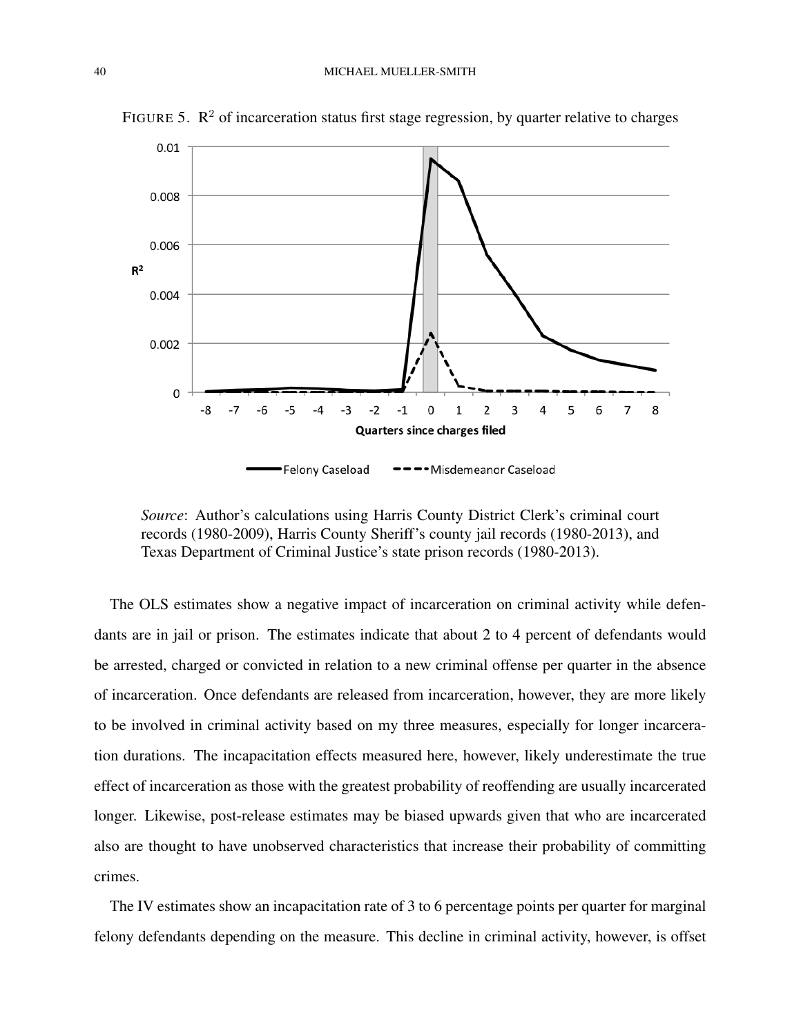

FIGURE 5.  $\mathbb{R}^2$  of incarceration status first stage regression, by quarter relative to charges

*Source*: Author's calculations using Harris County District Clerk's criminal court records (1980-2009), Harris County Sheriff's county jail records (1980-2013), and Texas Department of Criminal Justice's state prison records (1980-2013).

The OLS estimates show a negative impact of incarceration on criminal activity while defendants are in jail or prison. The estimates indicate that about 2 to 4 percent of defendants would be arrested, charged or convicted in relation to a new criminal offense per quarter in the absence of incarceration. Once defendants are released from incarceration, however, they are more likely to be involved in criminal activity based on my three measures, especially for longer incarceration durations. The incapacitation effects measured here, however, likely underestimate the true effect of incarceration as those with the greatest probability of reoffending are usually incarcerated longer. Likewise, post-release estimates may be biased upwards given that who are incarcerated also are thought to have unobserved characteristics that increase their probability of committing crimes.

The IV estimates show an incapacitation rate of 3 to 6 percentage points per quarter for marginal felony defendants depending on the measure. This decline in criminal activity, however, is offset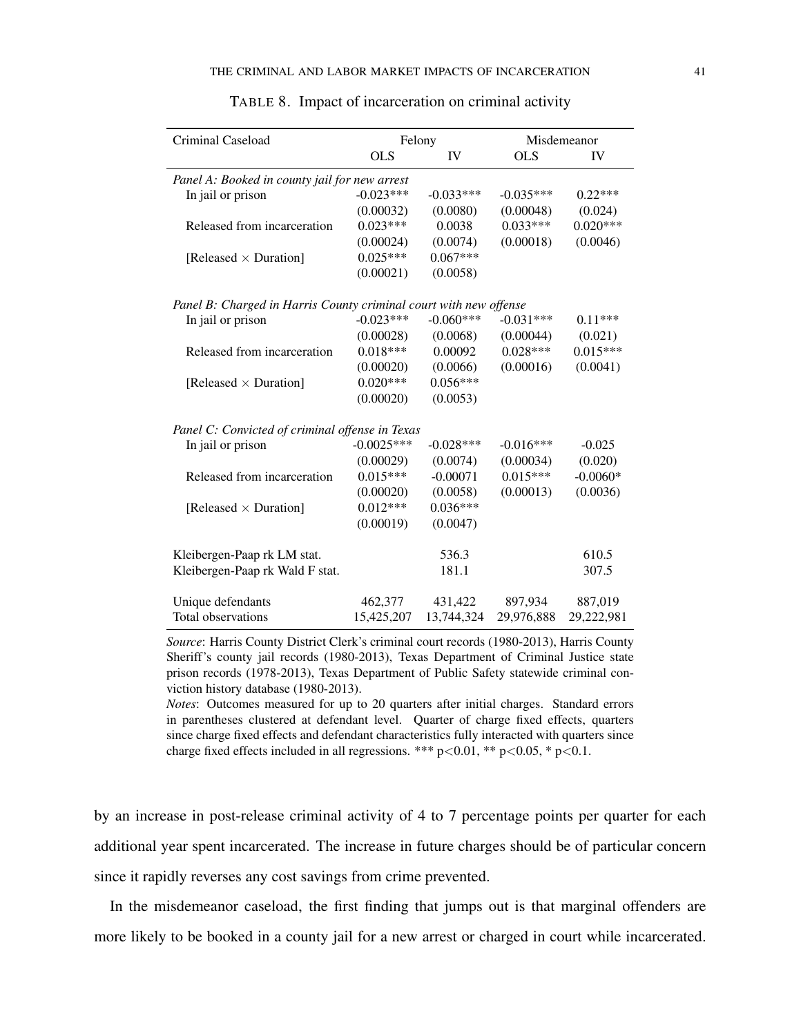| Criminal Caseload                                                 | Felony       |             |             | Misdemeanor |
|-------------------------------------------------------------------|--------------|-------------|-------------|-------------|
|                                                                   | <b>OLS</b>   | IV          | <b>OLS</b>  | IV          |
| Panel A: Booked in county jail for new arrest                     |              |             |             |             |
| In jail or prison                                                 | $-0.023***$  | $-0.033***$ | $-0.035***$ | $0.22***$   |
|                                                                   | (0.00032)    | (0.0080)    | (0.00048)   | (0.024)     |
| Released from incarceration                                       | $0.023***$   | 0.0038      | $0.033***$  | $0.020***$  |
|                                                                   | (0.00024)    | (0.0074)    | (0.00018)   | (0.0046)    |
| [Released $\times$ Duration]                                      | $0.025***$   | $0.067***$  |             |             |
|                                                                   | (0.00021)    | (0.0058)    |             |             |
| Panel B: Charged in Harris County criminal court with new offense |              |             |             |             |
| In jail or prison                                                 | $-0.023***$  | $-0.060***$ | $-0.031***$ | $0.11***$   |
|                                                                   | (0.00028)    | (0.0068)    | (0.00044)   | (0.021)     |
| Released from incarceration                                       | $0.018***$   | 0.00092     | $0.028***$  | $0.015***$  |
|                                                                   | (0.00020)    | (0.0066)    | (0.00016)   | (0.0041)    |
| [Released $\times$ Duration]                                      | $0.020***$   | $0.056***$  |             |             |
|                                                                   | (0.00020)    | (0.0053)    |             |             |
| Panel C: Convicted of criminal offense in Texas                   |              |             |             |             |
| In jail or prison                                                 | $-0.0025***$ | $-0.028***$ | $-0.016***$ | $-0.025$    |
|                                                                   | (0.00029)    | (0.0074)    | (0.00034)   | (0.020)     |
| Released from incarceration                                       | $0.015***$   | $-0.00071$  | $0.015***$  | $-0.0060*$  |
|                                                                   | (0.00020)    | (0.0058)    | (0.00013)   | (0.0036)    |
| [Released $\times$ Duration]                                      | $0.012***$   | $0.036***$  |             |             |
|                                                                   | (0.00019)    | (0.0047)    |             |             |
| Kleibergen-Paap rk LM stat.                                       |              | 536.3       |             | 610.5       |
| Kleibergen-Paap rk Wald F stat.                                   |              | 181.1       |             | 307.5       |
|                                                                   |              |             |             |             |
| Unique defendants                                                 | 462,377      | 431,422     | 897,934     | 887,019     |
| Total observations                                                | 15,425,207   | 13,744,324  | 29,976,888  | 29,222,981  |

| TABLE 8. Impact of incarceration on criminal activity |  |  |  |  |
|-------------------------------------------------------|--|--|--|--|
|                                                       |  |  |  |  |

*Source*: Harris County District Clerk's criminal court records (1980-2013), Harris County Sheriff's county jail records (1980-2013), Texas Department of Criminal Justice state prison records (1978-2013), Texas Department of Public Safety statewide criminal conviction history database (1980-2013).

*Notes*: Outcomes measured for up to 20 quarters after initial charges. Standard errors in parentheses clustered at defendant level. Quarter of charge fixed effects, quarters since charge fixed effects and defendant characteristics fully interacted with quarters since charge fixed effects included in all regressions. \*\*\*  $p<0.01$ , \*\*  $p<0.05$ , \*  $p<0.1$ .

by an increase in post-release criminal activity of 4 to 7 percentage points per quarter for each additional year spent incarcerated. The increase in future charges should be of particular concern since it rapidly reverses any cost savings from crime prevented.

In the misdemeanor caseload, the first finding that jumps out is that marginal offenders are more likely to be booked in a county jail for a new arrest or charged in court while incarcerated.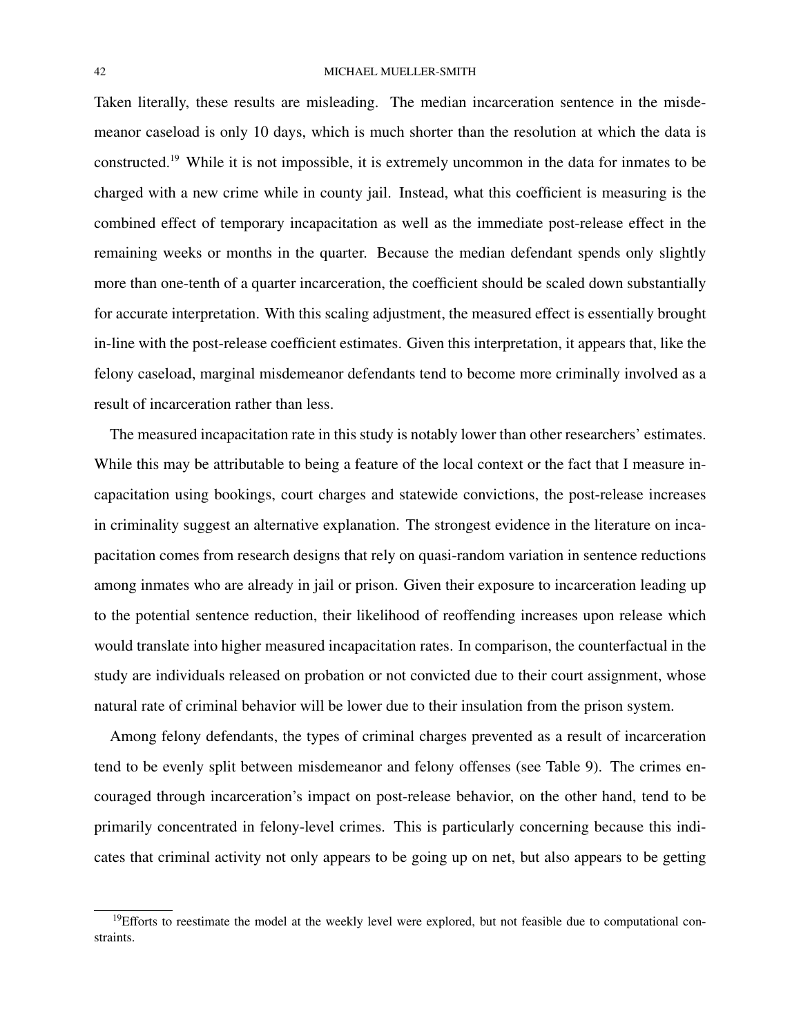### 42 MICHAEL MUELLER-SMITH

Taken literally, these results are misleading. The median incarceration sentence in the misdemeanor caseload is only 10 days, which is much shorter than the resolution at which the data is constructed.<sup>19</sup> While it is not impossible, it is extremely uncommon in the data for inmates to be charged with a new crime while in county jail. Instead, what this coefficient is measuring is the combined effect of temporary incapacitation as well as the immediate post-release effect in the remaining weeks or months in the quarter. Because the median defendant spends only slightly more than one-tenth of a quarter incarceration, the coefficient should be scaled down substantially for accurate interpretation. With this scaling adjustment, the measured effect is essentially brought in-line with the post-release coefficient estimates. Given this interpretation, it appears that, like the felony caseload, marginal misdemeanor defendants tend to become more criminally involved as a result of incarceration rather than less.

The measured incapacitation rate in this study is notably lower than other researchers' estimates. While this may be attributable to being a feature of the local context or the fact that I measure incapacitation using bookings, court charges and statewide convictions, the post-release increases in criminality suggest an alternative explanation. The strongest evidence in the literature on incapacitation comes from research designs that rely on quasi-random variation in sentence reductions among inmates who are already in jail or prison. Given their exposure to incarceration leading up to the potential sentence reduction, their likelihood of reoffending increases upon release which would translate into higher measured incapacitation rates. In comparison, the counterfactual in the study are individuals released on probation or not convicted due to their court assignment, whose natural rate of criminal behavior will be lower due to their insulation from the prison system.

Among felony defendants, the types of criminal charges prevented as a result of incarceration tend to be evenly split between misdemeanor and felony offenses (see Table 9). The crimes encouraged through incarceration's impact on post-release behavior, on the other hand, tend to be primarily concentrated in felony-level crimes. This is particularly concerning because this indicates that criminal activity not only appears to be going up on net, but also appears to be getting

 $19$ Efforts to reestimate the model at the weekly level were explored, but not feasible due to computational constraints.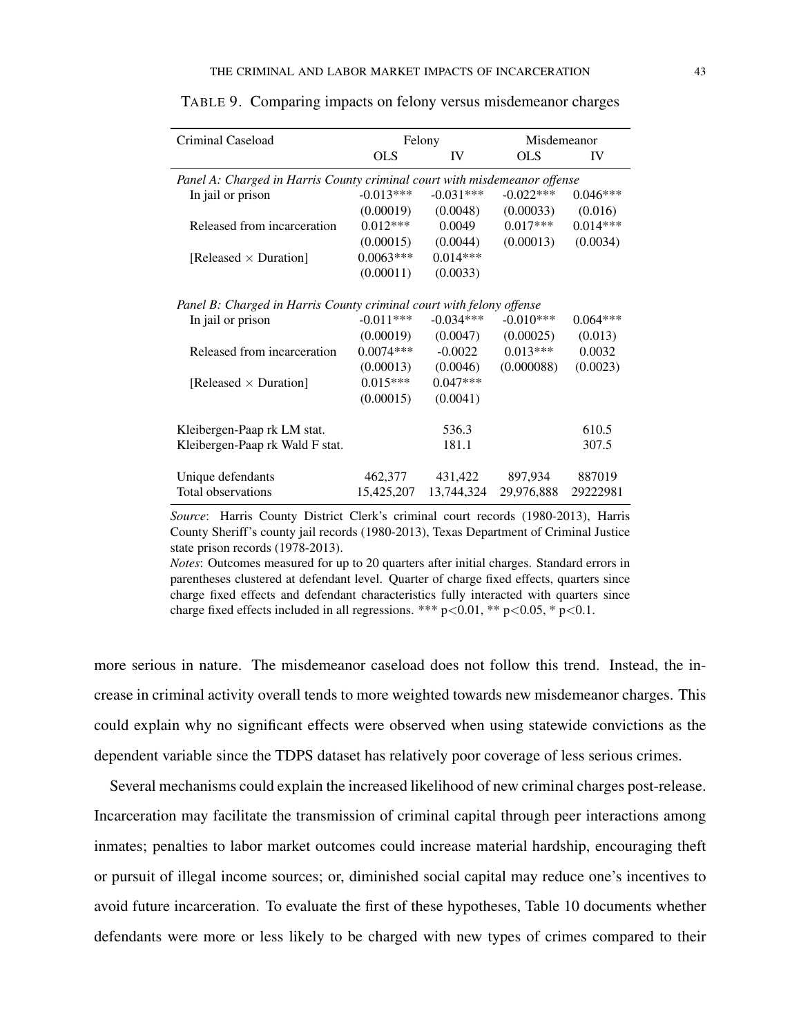| Criminal Caseload                                                         |             | Felony      |             | Misdemeanor |  |  |
|---------------------------------------------------------------------------|-------------|-------------|-------------|-------------|--|--|
|                                                                           | <b>OLS</b>  | IV          | OLS         | IV          |  |  |
| Panel A: Charged in Harris County criminal court with misdemeanor offense |             |             |             |             |  |  |
| In jail or prison                                                         | $-0.013***$ | $-0.031***$ | $-0.022***$ | $0.046***$  |  |  |
|                                                                           | (0.00019)   | (0.0048)    | (0.00033)   | (0.016)     |  |  |
| Released from incarceration                                               | $0.012***$  | 0.0049      | $0.017***$  | $0.014***$  |  |  |
|                                                                           | (0.00015)   | (0.0044)    | (0.00013)   | (0.0034)    |  |  |
| [Released $\times$ Duration]                                              | $0.0063***$ | $0.014***$  |             |             |  |  |
|                                                                           | (0.00011)   | (0.0033)    |             |             |  |  |
| Panel B: Charged in Harris County criminal court with felony offense      |             |             |             |             |  |  |
| In jail or prison                                                         | $-0.011***$ | $-0.034***$ | $-0.010***$ | $0.064***$  |  |  |
|                                                                           | (0.00019)   | (0.0047)    | (0.00025)   | (0.013)     |  |  |
| Released from incarceration                                               | $0.0074***$ | $-0.0022$   | $0.013***$  | 0.0032      |  |  |
|                                                                           | (0.00013)   | (0.0046)    | (0.000088)  | (0.0023)    |  |  |
| [Released $\times$ Duration]                                              | $0.015***$  | $0.047***$  |             |             |  |  |
|                                                                           | (0.00015)   | (0.0041)    |             |             |  |  |
| Kleibergen-Paap rk LM stat.                                               |             | 536.3       |             | 610.5       |  |  |
| Kleibergen-Paap rk Wald F stat.                                           |             | 181.1       |             | 307.5       |  |  |
| Unique defendants                                                         | 462,377     | 431,422     | 897,934     | 887019      |  |  |
| Total observations                                                        | 15,425,207  | 13,744,324  | 29,976,888  | 29222981    |  |  |

TABLE 9. Comparing impacts on felony versus misdemeanor charges

*Source*: Harris County District Clerk's criminal court records (1980-2013), Harris County Sheriff's county jail records (1980-2013), Texas Department of Criminal Justice state prison records (1978-2013).

*Notes*: Outcomes measured for up to 20 quarters after initial charges. Standard errors in parentheses clustered at defendant level. Quarter of charge fixed effects, quarters since charge fixed effects and defendant characteristics fully interacted with quarters since charge fixed effects included in all regressions. \*\*\*  $p<0.01$ , \*\*  $p<0.05$ , \*  $p<0.1$ .

more serious in nature. The misdemeanor caseload does not follow this trend. Instead, the increase in criminal activity overall tends to more weighted towards new misdemeanor charges. This could explain why no significant effects were observed when using statewide convictions as the dependent variable since the TDPS dataset has relatively poor coverage of less serious crimes.

Several mechanisms could explain the increased likelihood of new criminal charges post-release. Incarceration may facilitate the transmission of criminal capital through peer interactions among inmates; penalties to labor market outcomes could increase material hardship, encouraging theft or pursuit of illegal income sources; or, diminished social capital may reduce one's incentives to avoid future incarceration. To evaluate the first of these hypotheses, Table 10 documents whether defendants were more or less likely to be charged with new types of crimes compared to their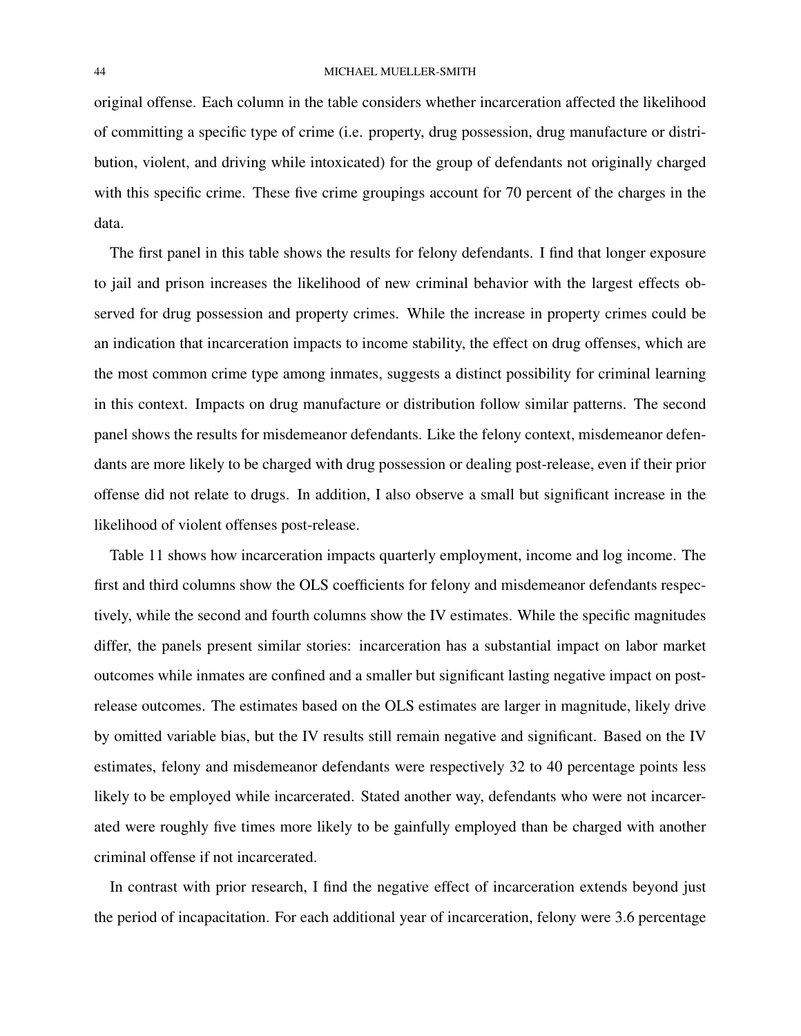#### 44 MICHAEL MUELLER-SMITH

original offense. Each column in the table considers whether incarceration affected the likelihood of committing a specific type of crime (i.e. property, drug possession, drug manufacture or distribution, violent, and driving while intoxicated) for the group of defendants not originally charged with this specific crime. These five crime groupings account for 70 percent of the charges in the data.

The first panel in this table shows the results for felony defendants. I find that longer exposure to jail and prison increases the likelihood of new criminal behavior with the largest effects observed for drug possession and property crimes. While the increase in property crimes could be an indication that incarceration impacts to income stability, the effect on drug offenses, which are the most common crime type among inmates, suggests a distinct possibility for criminal learning in this context. Impacts on drug manufacture or distribution follow similar patterns. The second panel shows the results for misdemeanor defendants. Like the felony context, misdemeanor defendants are more likely to be charged with drug possession or dealing post-release, even if their prior offense did not relate to drugs. In addition, I also observe a small but significant increase in the likelihood of violent offenses post-release.

Table 11 shows how incarceration impacts quarterly employment, income and log income. The first and third columns show the OLS coefficients for felony and misdemeanor defendants respectively, while the second and fourth columns show the IV estimates. While the specific magnitudes differ, the panels present similar stories: incarceration has a substantial impact on labor market outcomes while inmates are confined and a smaller but significant lasting negative impact on postrelease outcomes. The estimates based on the OLS estimates are larger in magnitude, likely drive by omitted variable bias, but the IV results still remain negative and significant. Based on the IV estimates, felony and misdemeanor defendants were respectively 32 to 40 percentage points less likely to be employed while incarcerated. Stated another way, defendants who were not incarcerated were roughly five times more likely to be gainfully employed than be charged with another criminal offense if not incarcerated.

In contrast with prior research, I find the negative effect of incarceration extends beyond just the period of incapacitation. For each additional year of incarceration, felony were 3.6 percentage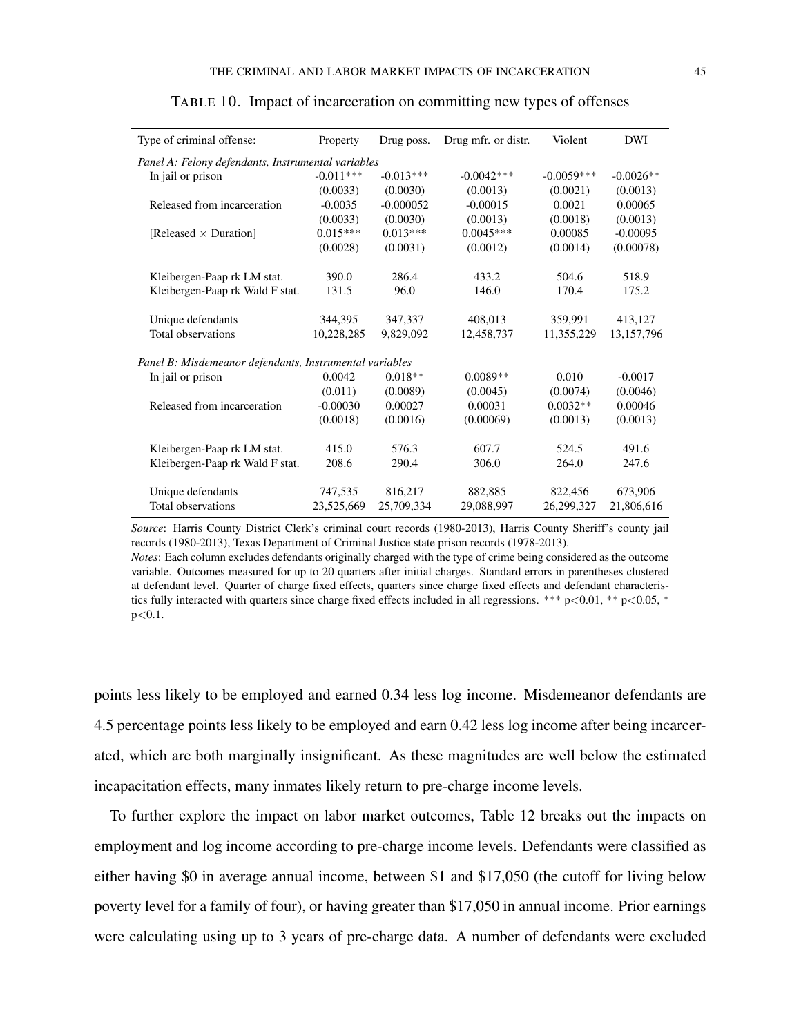| Type of criminal offense:                               | Property    | Drug poss.  | Drug mfr. or distr. | Violent      | DWI         |
|---------------------------------------------------------|-------------|-------------|---------------------|--------------|-------------|
| Panel A: Felony defendants, Instrumental variables      |             |             |                     |              |             |
| In jail or prison                                       | $-0.011***$ | $-0.013***$ | $-0.0042***$        | $-0.0059***$ | $-0.0026**$ |
|                                                         | (0.0033)    | (0.0030)    | (0.0013)            | (0.0021)     | (0.0013)    |
| Released from incarceration                             | $-0.0035$   | $-0.000052$ | $-0.00015$          | 0.0021       | 0.00065     |
|                                                         | (0.0033)    | (0.0030)    | (0.0013)            | (0.0018)     | (0.0013)    |
| [Released $\times$ Duration]                            | $0.015***$  | $0.013***$  | $0.0045***$         | 0.00085      | $-0.00095$  |
|                                                         | (0.0028)    | (0.0031)    | (0.0012)            | (0.0014)     | (0.00078)   |
| Kleibergen-Paap rk LM stat.                             | 390.0       | 286.4       | 433.2               | 504.6        | 518.9       |
| Kleibergen-Paap rk Wald F stat.                         | 131.5       | 96.0        | 146.0               | 170.4        | 175.2       |
|                                                         |             |             |                     |              |             |
| Unique defendants                                       | 344,395     | 347,337     | 408,013             | 359,991      | 413,127     |
| Total observations                                      | 10,228,285  | 9,829,092   | 12,458,737          | 11,355,229   | 13,157,796  |
| Panel B: Misdemeanor defendants, Instrumental variables |             |             |                     |              |             |
| In jail or prison                                       | 0.0042      | $0.018**$   | $0.0089**$          | 0.010        | $-0.0017$   |
|                                                         | (0.011)     | (0.0089)    | (0.0045)            | (0.0074)     | (0.0046)    |
| Released from incarceration                             | $-0.00030$  | 0.00027     | 0.00031             | $0.0032**$   | 0.00046     |
|                                                         | (0.0018)    | (0.0016)    | (0.00069)           | (0.0013)     | (0.0013)    |
| Kleibergen-Paap rk LM stat.                             | 415.0       | 576.3       | 607.7               | 524.5        | 491.6       |
| Kleibergen-Paap rk Wald F stat.                         | 208.6       | 290.4       | 306.0               | 264.0        | 247.6       |
|                                                         |             |             |                     |              |             |
| Unique defendants                                       | 747,535     | 816,217     | 882,885             | 822,456      | 673,906     |
| Total observations                                      | 23,525,669  | 25,709,334  | 29,088,997          | 26,299,327   | 21,806,616  |

|  | TABLE 10. Impact of incarceration on committing new types of offenses |  |  |  |
|--|-----------------------------------------------------------------------|--|--|--|
|  |                                                                       |  |  |  |

*Source*: Harris County District Clerk's criminal court records (1980-2013), Harris County Sheriff's county jail records (1980-2013), Texas Department of Criminal Justice state prison records (1978-2013).

*Notes*: Each column excludes defendants originally charged with the type of crime being considered as the outcome variable. Outcomes measured for up to 20 quarters after initial charges. Standard errors in parentheses clustered at defendant level. Quarter of charge fixed effects, quarters since charge fixed effects and defendant characteristics fully interacted with quarters since charge fixed effects included in all regressions. \*\*\*  $p < 0.01$ , \*\*  $p < 0.05$ , \*  $p<0.1$ .

points less likely to be employed and earned 0.34 less log income. Misdemeanor defendants are 4.5 percentage points less likely to be employed and earn 0.42 less log income after being incarcerated, which are both marginally insignificant. As these magnitudes are well below the estimated incapacitation effects, many inmates likely return to pre-charge income levels.

To further explore the impact on labor market outcomes, Table 12 breaks out the impacts on employment and log income according to pre-charge income levels. Defendants were classified as either having \$0 in average annual income, between \$1 and \$17,050 (the cutoff for living below poverty level for a family of four), or having greater than \$17,050 in annual income. Prior earnings were calculating using up to 3 years of pre-charge data. A number of defendants were excluded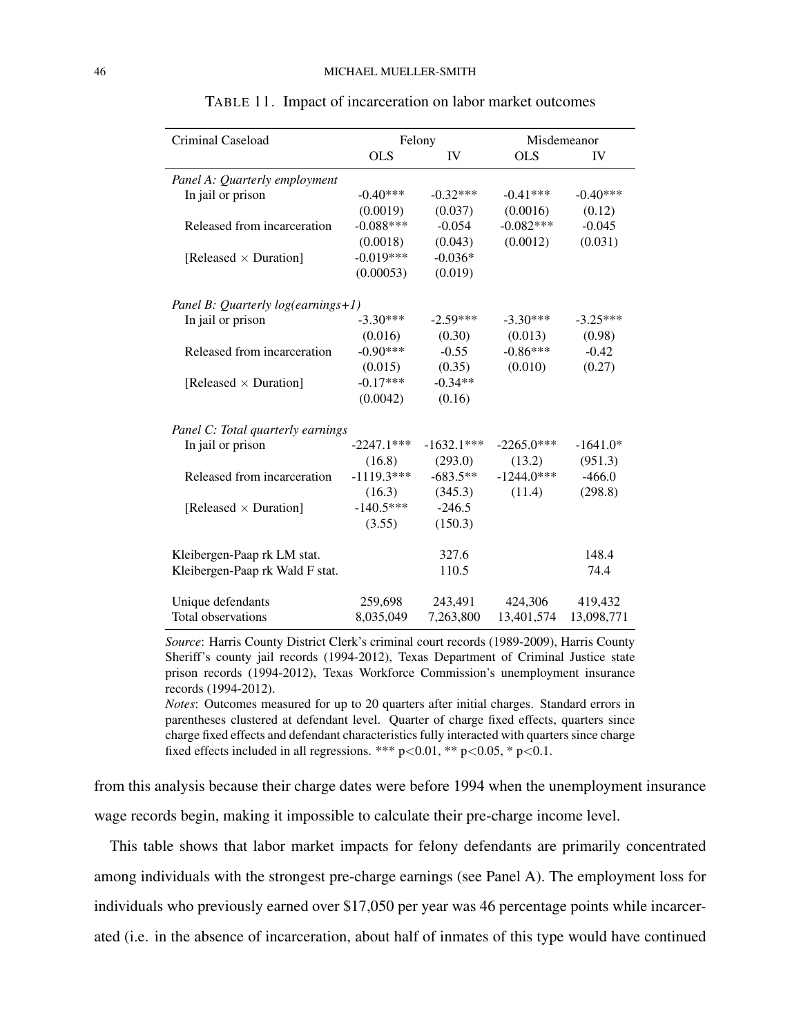| Criminal Caseload                      |              | Felony       | Misdemeanor  |            |
|----------------------------------------|--------------|--------------|--------------|------------|
|                                        | <b>OLS</b>   | IV           | <b>OLS</b>   | IV         |
| Panel A: Quarterly employment          |              |              |              |            |
| In jail or prison                      | $-0.40***$   | $-0.32***$   | $-0.41***$   | $-0.40***$ |
|                                        | (0.0019)     | (0.037)      | (0.0016)     | (0.12)     |
| Released from incarceration            | $-0.088***$  | $-0.054$     | $-0.082***$  | $-0.045$   |
|                                        | (0.0018)     | (0.043)      | (0.0012)     | (0.031)    |
| [Released $\times$ Duration]           | $-0.019***$  | $-0.036*$    |              |            |
|                                        | (0.00053)    | (0.019)      |              |            |
| Panel B: Quarterly $log(earnings + 1)$ |              |              |              |            |
| In jail or prison                      | $-3.30***$   | $-2.59***$   | $-3.30***$   | $-3.25***$ |
|                                        | (0.016)      | (0.30)       | (0.013)      | (0.98)     |
| Released from incarceration            | $-0.90***$   | $-0.55$      | $-0.86***$   | $-0.42$    |
|                                        | (0.015)      | (0.35)       | (0.010)      | (0.27)     |
| [Released $\times$ Duration]           | $-0.17***$   | $-0.34**$    |              |            |
|                                        | (0.0042)     | (0.16)       |              |            |
| Panel C: Total quarterly earnings      |              |              |              |            |
| In jail or prison                      | $-2247.1***$ | $-1632.1***$ | $-2265.0***$ | $-1641.0*$ |
|                                        | (16.8)       | (293.0)      | (13.2)       | (951.3)    |
| Released from incarceration            | $-1119.3***$ | $-683.5**$   | $-1244.0***$ | $-466.0$   |
|                                        | (16.3)       | (345.3)      | (11.4)       | (298.8)    |
| [Released $\times$ Duration]           | $-140.5***$  | $-246.5$     |              |            |
|                                        | (3.55)       | (150.3)      |              |            |
| Kleibergen-Paap rk LM stat.            |              | 327.6        |              | 148.4      |
| Kleibergen-Paap rk Wald F stat.        |              | 110.5        |              | 74.4       |
| Unique defendants                      | 259,698      | 243,491      | 424,306      | 419,432    |
| Total observations                     | 8,035,049    | 7,263,800    | 13,401,574   | 13,098,771 |

TABLE 11. Impact of incarceration on labor market outcomes

*Source*: Harris County District Clerk's criminal court records (1989-2009), Harris County Sheriff's county jail records (1994-2012), Texas Department of Criminal Justice state prison records (1994-2012), Texas Workforce Commission's unemployment insurance records (1994-2012).

*Notes*: Outcomes measured for up to 20 quarters after initial charges. Standard errors in parentheses clustered at defendant level. Quarter of charge fixed effects, quarters since charge fixed effects and defendant characteristics fully interacted with quarters since charge fixed effects included in all regressions. \*\*\*  $p<0.01$ , \*\*  $p<0.05$ , \*  $p<0.1$ .

from this analysis because their charge dates were before 1994 when the unemployment insurance wage records begin, making it impossible to calculate their pre-charge income level.

This table shows that labor market impacts for felony defendants are primarily concentrated among individuals with the strongest pre-charge earnings (see Panel A). The employment loss for individuals who previously earned over \$17,050 per year was 46 percentage points while incarcerated (i.e. in the absence of incarceration, about half of inmates of this type would have continued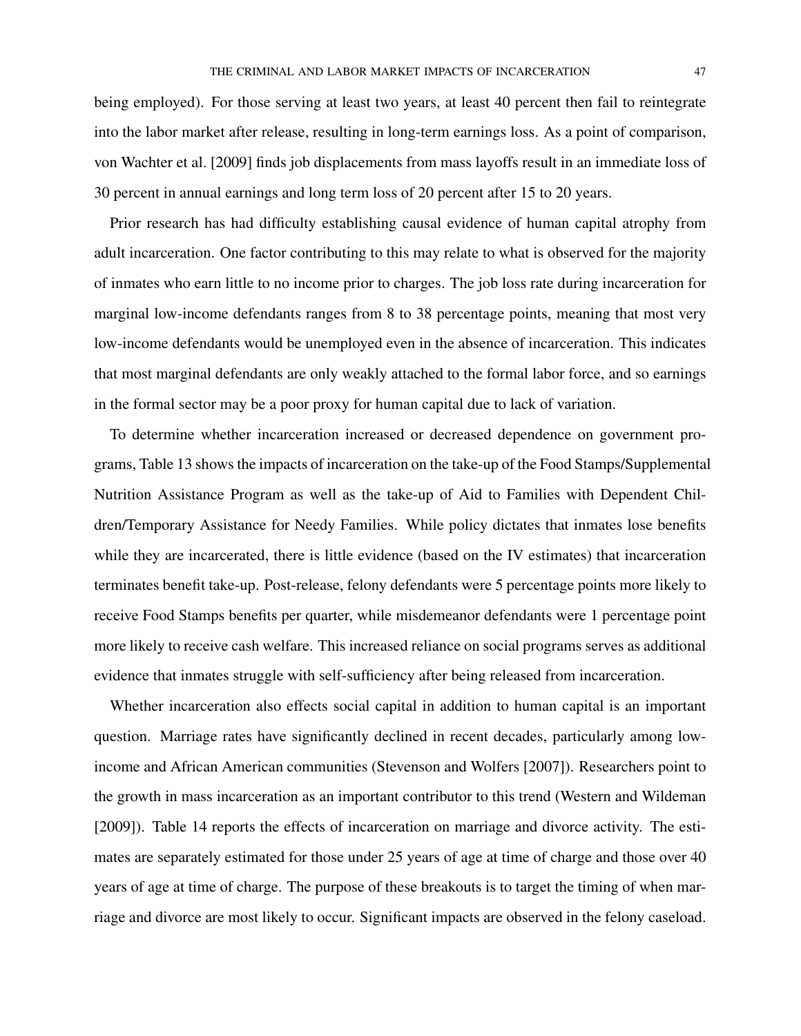being employed). For those serving at least two years, at least 40 percent then fail to reintegrate into the labor market after release, resulting in long-term earnings loss. As a point of comparison, von Wachter et al. [2009] finds job displacements from mass layoffs result in an immediate loss of 30 percent in annual earnings and long term loss of 20 percent after 15 to 20 years.

Prior research has had difficulty establishing causal evidence of human capital atrophy from adult incarceration. One factor contributing to this may relate to what is observed for the majority of inmates who earn little to no income prior to charges. The job loss rate during incarceration for marginal low-income defendants ranges from 8 to 38 percentage points, meaning that most very low-income defendants would be unemployed even in the absence of incarceration. This indicates that most marginal defendants are only weakly attached to the formal labor force, and so earnings in the formal sector may be a poor proxy for human capital due to lack of variation.

To determine whether incarceration increased or decreased dependence on government programs, Table 13 shows the impacts of incarceration on the take-up of the Food Stamps/Supplemental Nutrition Assistance Program as well as the take-up of Aid to Families with Dependent Children/Temporary Assistance for Needy Families. While policy dictates that inmates lose benefits while they are incarcerated, there is little evidence (based on the IV estimates) that incarceration terminates benefit take-up. Post-release, felony defendants were 5 percentage points more likely to receive Food Stamps benefits per quarter, while misdemeanor defendants were 1 percentage point more likely to receive cash welfare. This increased reliance on social programs serves as additional evidence that inmates struggle with self-sufficiency after being released from incarceration.

Whether incarceration also effects social capital in addition to human capital is an important question. Marriage rates have significantly declined in recent decades, particularly among lowincome and African American communities (Stevenson and Wolfers [2007]). Researchers point to the growth in mass incarceration as an important contributor to this trend (Western and Wildeman [2009]). Table 14 reports the effects of incarceration on marriage and divorce activity. The estimates are separately estimated for those under 25 years of age at time of charge and those over 40 years of age at time of charge. The purpose of these breakouts is to target the timing of when marriage and divorce are most likely to occur. Significant impacts are observed in the felony caseload.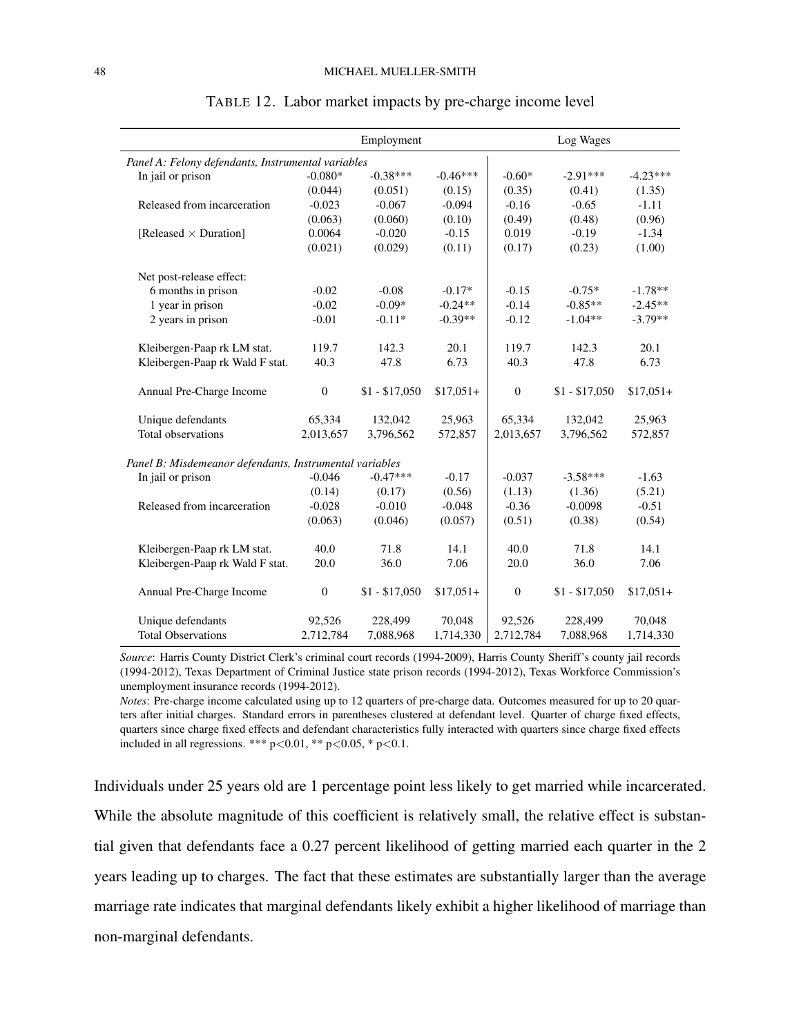|                                                         |                  | Employment     |            | Log Wages        |                |            |
|---------------------------------------------------------|------------------|----------------|------------|------------------|----------------|------------|
| Panel A: Felony defendants, Instrumental variables      |                  |                |            |                  |                |            |
| In jail or prison                                       | $-0.080*$        | $-0.38***$     | $-0.46***$ | $-0.60*$         | $-2.91***$     | $-4.23***$ |
|                                                         | (0.044)          | (0.051)        | (0.15)     | (0.35)           | (0.41)         | (1.35)     |
| Released from incarceration                             | $-0.023$         | $-0.067$       | $-0.094$   | $-0.16$          | $-0.65$        | $-1.11$    |
|                                                         | (0.063)          | (0.060)        | (0.10)     | (0.49)           | (0.48)         | (0.96)     |
| [Released $\times$ Duration]                            | 0.0064           | $-0.020$       | $-0.15$    | 0.019            | $-0.19$        | $-1.34$    |
|                                                         | (0.021)          | (0.029)        | (0.11)     | (0.17)           | (0.23)         | (1.00)     |
| Net post-release effect:                                |                  |                |            |                  |                |            |
| 6 months in prison                                      | $-0.02$          | $-0.08$        | $-0.17*$   | $-0.15$          | $-0.75*$       | $-1.78**$  |
| 1 year in prison                                        | $-0.02$          | $-0.09*$       | $-0.24**$  | $-0.14$          | $-0.85**$      | $-2.45**$  |
| 2 years in prison                                       | $-0.01$          | $-0.11*$       | $-0.39**$  | $-0.12$          | $-1.04**$      | $-3.79**$  |
| Kleibergen-Paap rk LM stat.                             | 119.7            | 142.3          | 20.1       | 119.7            | 142.3          | 20.1       |
| Kleibergen-Paap rk Wald F stat.                         | 40.3             | 47.8           | 6.73       | 40.3             | 47.8           | 6.73       |
| Annual Pre-Charge Income                                | $\boldsymbol{0}$ | $$1 - $17,050$ | $$17,051+$ | $\boldsymbol{0}$ | $$1 - $17,050$ | $$17,051+$ |
| Unique defendants                                       | 65,334           | 132,042        | 25,963     | 65,334           | 132,042        | 25,963     |
| Total observations                                      | 2,013,657        | 3,796,562      | 572,857    | 2,013,657        | 3,796,562      | 572,857    |
| Panel B: Misdemeanor defendants, Instrumental variables |                  |                |            |                  |                |            |
| In jail or prison                                       | $-0.046$         | $-0.47***$     | $-0.17$    | $-0.037$         | $-3.58***$     | $-1.63$    |
|                                                         | (0.14)           | (0.17)         | (0.56)     | (1.13)           | (1.36)         | (5.21)     |
| Released from incarceration                             | $-0.028$         | $-0.010$       | $-0.048$   | $-0.36$          | $-0.0098$      | $-0.51$    |
|                                                         | (0.063)          | (0.046)        | (0.057)    | (0.51)           | (0.38)         | (0.54)     |
| Kleibergen-Paap rk LM stat.                             | 40.0             | 71.8           | 14.1       | 40.0             | 71.8           | 14.1       |
| Kleibergen-Paap rk Wald F stat.                         | 20.0             | 36.0           | 7.06       | 20.0             | 36.0           | 7.06       |
| Annual Pre-Charge Income                                | $\mathbf{0}$     | $$1 - $17,050$ | $$17,051+$ | $\mathbf{0}$     | $$1 - $17,050$ | $$17,051+$ |
| Unique defendants                                       | 92,526           | 228,499        | 70,048     | 92,526           | 228,499        | 70,048     |
| <b>Total Observations</b>                               | 2,712,784        | 7,088,968      | 1,714,330  | 2,712,784        | 7,088,968      | 1,714,330  |

TABLE 12. Labor market impacts by pre-charge income level

*Source*: Harris County District Clerk's criminal court records (1994-2009), Harris County Sheriff's county jail records (1994-2012), Texas Department of Criminal Justice state prison records (1994-2012), Texas Workforce Commission's unemployment insurance records (1994-2012).

*Notes*: Pre-charge income calculated using up to 12 quarters of pre-charge data. Outcomes measured for up to 20 quarters after initial charges. Standard errors in parentheses clustered at defendant level. Quarter of charge fixed effects, quarters since charge fixed effects and defendant characteristics fully interacted with quarters since charge fixed effects included in all regressions. \*\*\*  $p < 0.01$ , \*\*  $p < 0.05$ , \*  $p < 0.1$ .

Individuals under 25 years old are 1 percentage point less likely to get married while incarcerated. While the absolute magnitude of this coefficient is relatively small, the relative effect is substantial given that defendants face a 0.27 percent likelihood of getting married each quarter in the 2 years leading up to charges. The fact that these estimates are substantially larger than the average marriage rate indicates that marginal defendants likely exhibit a higher likelihood of marriage than non-marginal defendants.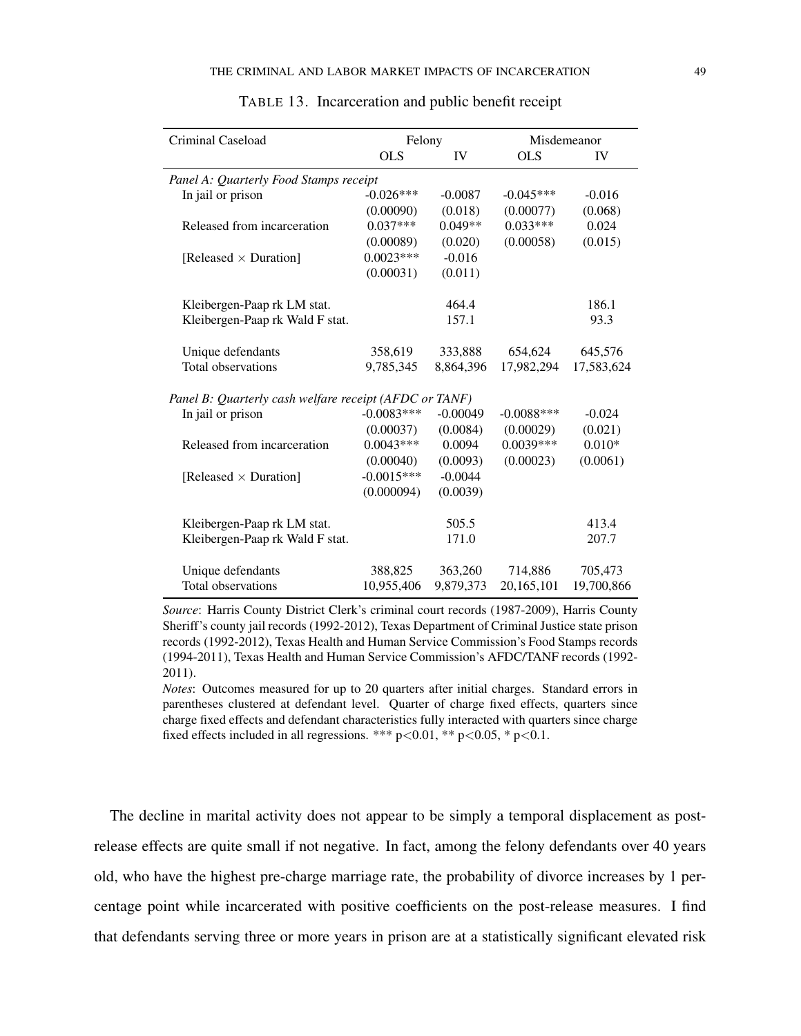| Criminal Caseload                                      | Felony       |            | Misdemeanor  |            |
|--------------------------------------------------------|--------------|------------|--------------|------------|
|                                                        | <b>OLS</b>   | IV         | <b>OLS</b>   | IV         |
| Panel A: Quarterly Food Stamps receipt                 |              |            |              |            |
| In jail or prison                                      | $-0.026***$  | $-0.0087$  | $-0.045***$  | $-0.016$   |
|                                                        | (0.00090)    | (0.018)    | (0.00077)    | (0.068)    |
| Released from incarceration                            | $0.037***$   | $0.049**$  | $0.033***$   | 0.024      |
|                                                        | (0.00089)    | (0.020)    | (0.00058)    | (0.015)    |
| [Released $\times$ Duration]                           | $0.0023***$  | $-0.016$   |              |            |
|                                                        | (0.00031)    | (0.011)    |              |            |
| Kleibergen-Paap rk LM stat.                            |              | 464.4      |              | 186.1      |
| Kleibergen-Paap rk Wald F stat.                        |              | 157.1      |              | 93.3       |
| Unique defendants                                      | 358,619      | 333,888    | 654,624      | 645,576    |
| Total observations                                     | 9,785,345    | 8,864,396  | 17,982,294   | 17,583,624 |
| Panel B: Quarterly cash welfare receipt (AFDC or TANF) |              |            |              |            |
| In jail or prison                                      | $-0.0083***$ | $-0.00049$ | $-0.0088***$ | $-0.024$   |
|                                                        | (0.00037)    | (0.0084)   | (0.00029)    | (0.021)    |
| Released from incarceration                            | $0.0043***$  | 0.0094     | $0.0039***$  | $0.010*$   |
|                                                        | (0.00040)    | (0.0093)   | (0.00023)    | (0.0061)   |
| [Released $\times$ Duration]                           | $-0.0015***$ | $-0.0044$  |              |            |
|                                                        | (0.000094)   | (0.0039)   |              |            |
| Kleibergen-Paap rk LM stat.                            |              | 505.5      |              | 413.4      |
| Kleibergen-Paap rk Wald F stat.                        |              | 171.0      |              | 207.7      |
| Unique defendants                                      | 388,825      | 363,260    | 714,886      | 705,473    |
| Total observations                                     | 10,955,406   | 9,879,373  | 20,165,101   | 19,700,866 |

*Source*: Harris County District Clerk's criminal court records (1987-2009), Harris County Sheriff's county jail records (1992-2012), Texas Department of Criminal Justice state prison records (1992-2012), Texas Health and Human Service Commission's Food Stamps records (1994-2011), Texas Health and Human Service Commission's AFDC/TANF records (1992- 2011).

*Notes*: Outcomes measured for up to 20 quarters after initial charges. Standard errors in parentheses clustered at defendant level. Quarter of charge fixed effects, quarters since charge fixed effects and defendant characteristics fully interacted with quarters since charge fixed effects included in all regressions. \*\*\*  $p<0.01$ , \*\*  $p<0.05$ , \*  $p<0.1$ .

The decline in marital activity does not appear to be simply a temporal displacement as postrelease effects are quite small if not negative. In fact, among the felony defendants over 40 years old, who have the highest pre-charge marriage rate, the probability of divorce increases by 1 percentage point while incarcerated with positive coefficients on the post-release measures. I find that defendants serving three or more years in prison are at a statistically significant elevated risk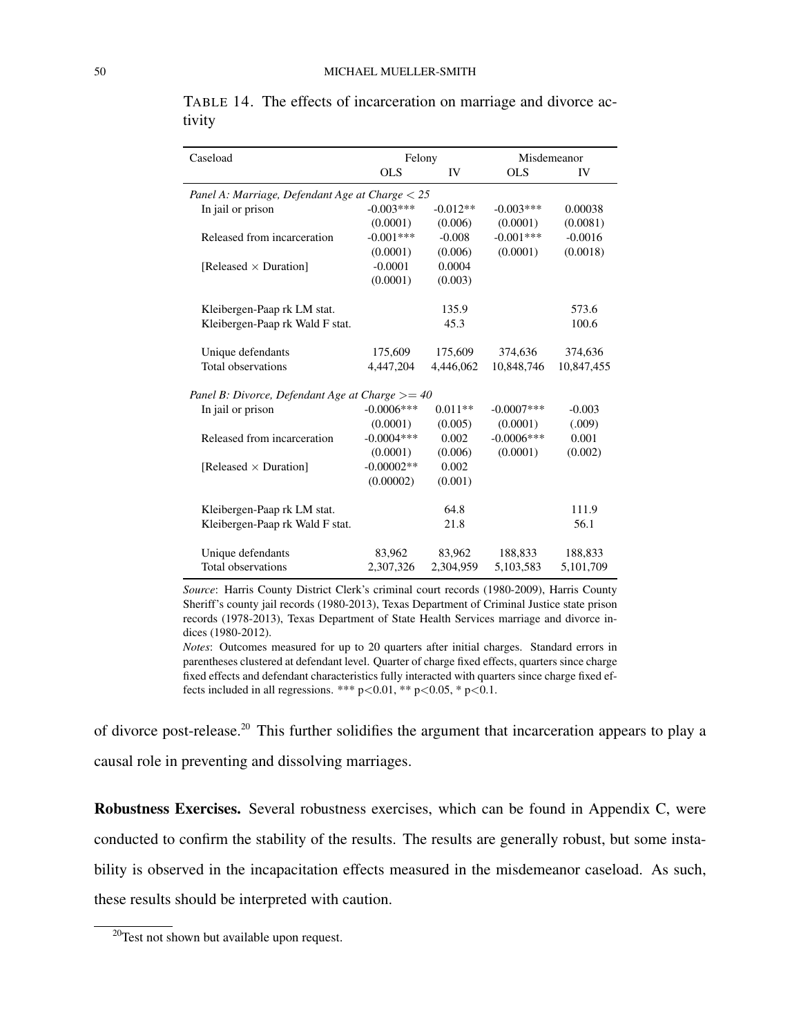| Caseload                                          | Felony        |            |               | Misdemeanor |
|---------------------------------------------------|---------------|------------|---------------|-------------|
|                                                   | OLS           | IV         | OLS           | IV          |
| Panel A: Marriage, Defendant Age at Charge $< 25$ |               |            |               |             |
| In jail or prison                                 | $-0.003***$   | $-0.012**$ | $-0.003***$   | 0.00038     |
|                                                   | (0.0001)      | (0.006)    | (0.0001)      | (0.0081)    |
| Released from incarceration                       | $-0.001***$   | $-0.008$   | $-0.001***$   | $-0.0016$   |
|                                                   | (0.0001)      | (0.006)    | (0.0001)      | (0.0018)    |
| [Released $\times$ Duration]                      | $-0.0001$     | 0.0004     |               |             |
|                                                   | (0.0001)      | (0.003)    |               |             |
| Kleibergen-Paap rk LM stat.                       |               | 135.9      |               | 573.6       |
| Kleibergen-Paap rk Wald F stat.                   |               | 45.3       |               | 100.6       |
| Unique defendants                                 | 175,609       | 175,609    | 374,636       | 374,636     |
| Total observations                                | 4,447,204     | 4,446,062  | 10,848,746    | 10,847,455  |
| Panel B: Divorce, Defendant Age at Charge $>=$ 40 |               |            |               |             |
| In jail or prison                                 | $-0.0006$ *** | $0.011**$  | $-0.0007$ *** | $-0.003$    |
|                                                   | (0.0001)      | (0.005)    | (0.0001)      | (.009)      |
| Released from incarceration                       | $-0.0004$ *** | 0.002      | $-0.0006$ *** | 0.001       |
|                                                   | (0.0001)      | (0.006)    | (0.0001)      | (0.002)     |
| [Released $\times$ Duration]                      | $-0.00002**$  | 0.002      |               |             |
|                                                   | (0.00002)     | (0.001)    |               |             |
| Kleibergen-Paap rk LM stat.                       |               | 64.8       |               | 111.9       |
| Kleibergen-Paap rk Wald F stat.                   |               | 21.8       |               | 56.1        |
| Unique defendants                                 | 83,962        | 83,962     | 188,833       | 188,833     |
| Total observations                                | 2,307,326     | 2,304,959  | 5,103,583     | 5,101,709   |
|                                                   |               |            |               |             |

TABLE 14. The effects of incarceration on marriage and divorce activity

*Source*: Harris County District Clerk's criminal court records (1980-2009), Harris County Sheriff's county jail records (1980-2013), Texas Department of Criminal Justice state prison records (1978-2013), Texas Department of State Health Services marriage and divorce indices (1980-2012).

*Notes*: Outcomes measured for up to 20 quarters after initial charges. Standard errors in parentheses clustered at defendant level. Quarter of charge fixed effects, quarters since charge fixed effects and defendant characteristics fully interacted with quarters since charge fixed effects included in all regressions. \*\*\*  $p<0.01$ , \*\*  $p<0.05$ , \*  $p<0.1$ .

of divorce post-release.<sup>20</sup> This further solidifies the argument that incarceration appears to play a causal role in preventing and dissolving marriages.

Robustness Exercises. Several robustness exercises, which can be found in Appendix C, were conducted to confirm the stability of the results. The results are generally robust, but some instability is observed in the incapacitation effects measured in the misdemeanor caseload. As such, these results should be interpreted with caution.

<sup>&</sup>lt;sup>20</sup>Test not shown but available upon request.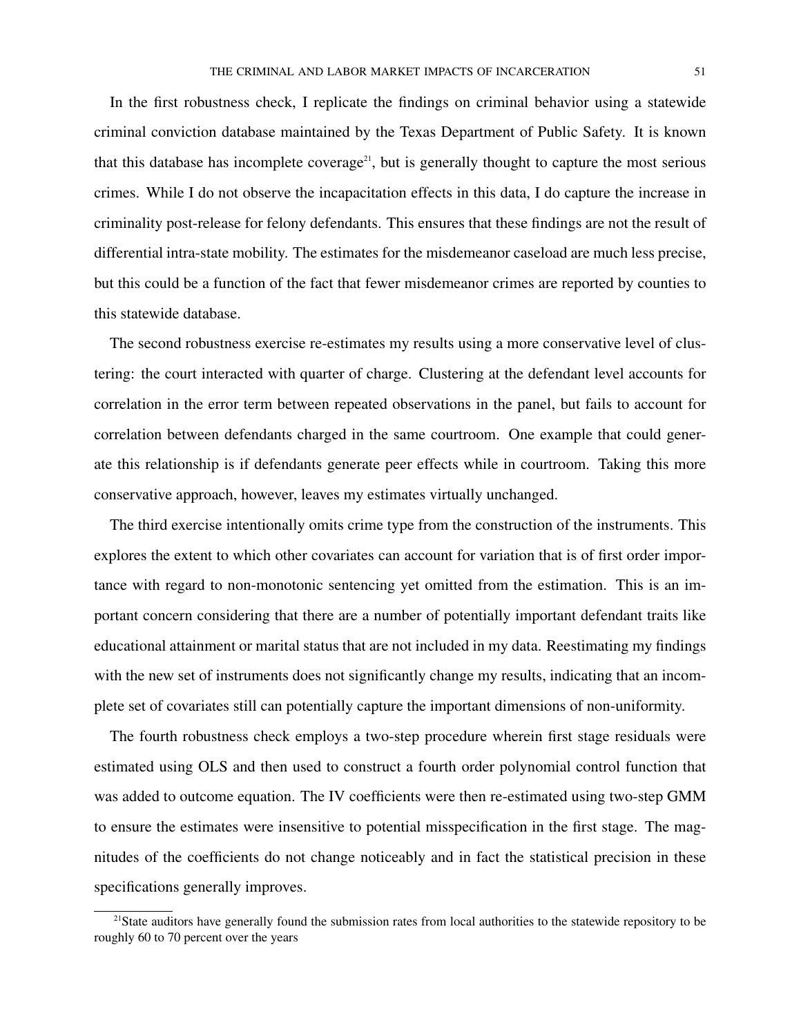In the first robustness check, I replicate the findings on criminal behavior using a statewide criminal conviction database maintained by the Texas Department of Public Safety. It is known that this database has incomplete coverage<sup>21</sup>, but is generally thought to capture the most serious crimes. While I do not observe the incapacitation effects in this data, I do capture the increase in criminality post-release for felony defendants. This ensures that these findings are not the result of differential intra-state mobility. The estimates for the misdemeanor caseload are much less precise, but this could be a function of the fact that fewer misdemeanor crimes are reported by counties to this statewide database.

The second robustness exercise re-estimates my results using a more conservative level of clustering: the court interacted with quarter of charge. Clustering at the defendant level accounts for correlation in the error term between repeated observations in the panel, but fails to account for correlation between defendants charged in the same courtroom. One example that could generate this relationship is if defendants generate peer effects while in courtroom. Taking this more conservative approach, however, leaves my estimates virtually unchanged.

The third exercise intentionally omits crime type from the construction of the instruments. This explores the extent to which other covariates can account for variation that is of first order importance with regard to non-monotonic sentencing yet omitted from the estimation. This is an important concern considering that there are a number of potentially important defendant traits like educational attainment or marital status that are not included in my data. Reestimating my findings with the new set of instruments does not significantly change my results, indicating that an incomplete set of covariates still can potentially capture the important dimensions of non-uniformity.

The fourth robustness check employs a two-step procedure wherein first stage residuals were estimated using OLS and then used to construct a fourth order polynomial control function that was added to outcome equation. The IV coefficients were then re-estimated using two-step GMM to ensure the estimates were insensitive to potential misspecification in the first stage. The magnitudes of the coefficients do not change noticeably and in fact the statistical precision in these specifications generally improves.

 $^{21}$ State auditors have generally found the submission rates from local authorities to the statewide repository to be roughly 60 to 70 percent over the years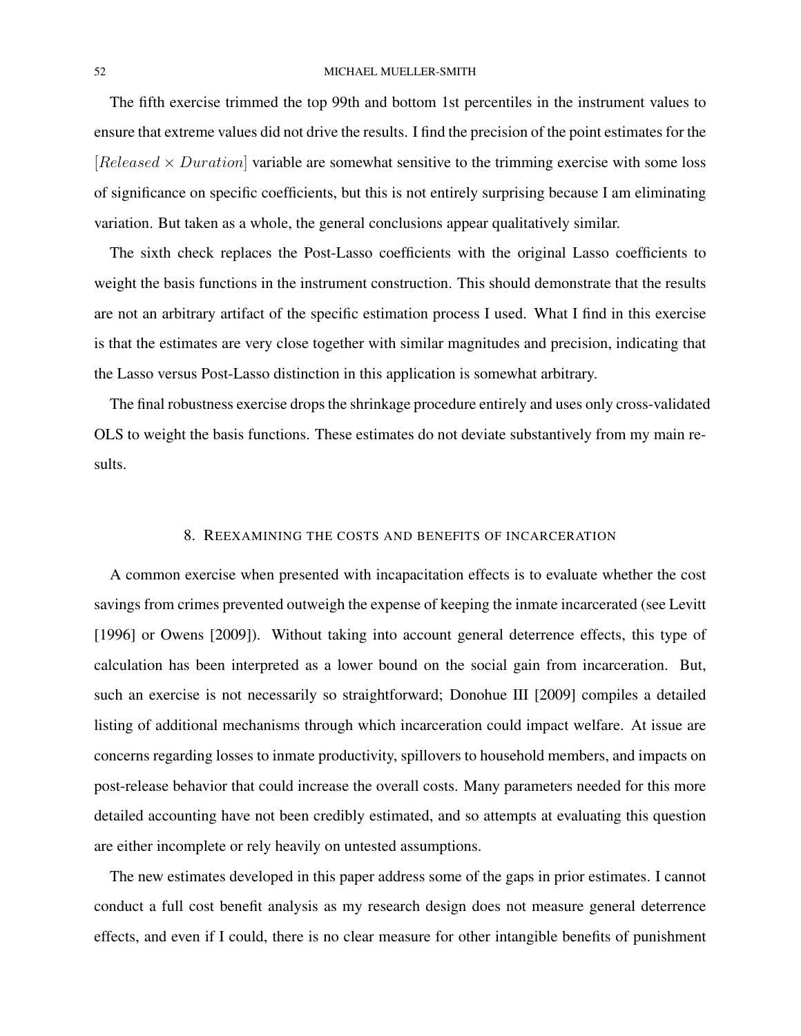### 52 MICHAEL MUELLER-SMITH

The fifth exercise trimmed the top 99th and bottom 1st percentiles in the instrument values to ensure that extreme values did not drive the results. I find the precision of the point estimates for the [Released  $\times$  Duration] variable are somewhat sensitive to the trimming exercise with some loss of significance on specific coefficients, but this is not entirely surprising because I am eliminating variation. But taken as a whole, the general conclusions appear qualitatively similar.

The sixth check replaces the Post-Lasso coefficients with the original Lasso coefficients to weight the basis functions in the instrument construction. This should demonstrate that the results are not an arbitrary artifact of the specific estimation process I used. What I find in this exercise is that the estimates are very close together with similar magnitudes and precision, indicating that the Lasso versus Post-Lasso distinction in this application is somewhat arbitrary.

The final robustness exercise drops the shrinkage procedure entirely and uses only cross-validated OLS to weight the basis functions. These estimates do not deviate substantively from my main results.

### 8. REEXAMINING THE COSTS AND BENEFITS OF INCARCERATION

A common exercise when presented with incapacitation effects is to evaluate whether the cost savings from crimes prevented outweigh the expense of keeping the inmate incarcerated (see Levitt [1996] or Owens [2009]). Without taking into account general deterrence effects, this type of calculation has been interpreted as a lower bound on the social gain from incarceration. But, such an exercise is not necessarily so straightforward; Donohue III [2009] compiles a detailed listing of additional mechanisms through which incarceration could impact welfare. At issue are concerns regarding losses to inmate productivity, spillovers to household members, and impacts on post-release behavior that could increase the overall costs. Many parameters needed for this more detailed accounting have not been credibly estimated, and so attempts at evaluating this question are either incomplete or rely heavily on untested assumptions.

The new estimates developed in this paper address some of the gaps in prior estimates. I cannot conduct a full cost benefit analysis as my research design does not measure general deterrence effects, and even if I could, there is no clear measure for other intangible benefits of punishment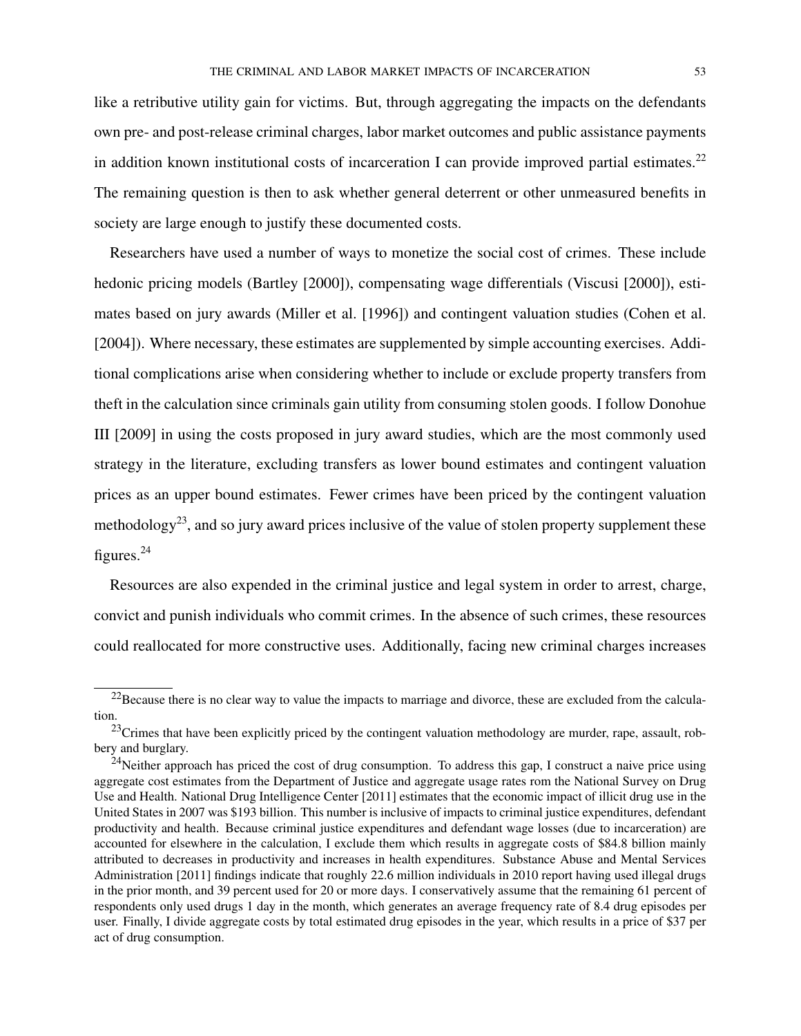like a retributive utility gain for victims. But, through aggregating the impacts on the defendants own pre- and post-release criminal charges, labor market outcomes and public assistance payments in addition known institutional costs of incarceration I can provide improved partial estimates.<sup>22</sup> The remaining question is then to ask whether general deterrent or other unmeasured benefits in society are large enough to justify these documented costs.

Researchers have used a number of ways to monetize the social cost of crimes. These include hedonic pricing models (Bartley [2000]), compensating wage differentials (Viscusi [2000]), estimates based on jury awards (Miller et al. [1996]) and contingent valuation studies (Cohen et al. [2004]). Where necessary, these estimates are supplemented by simple accounting exercises. Additional complications arise when considering whether to include or exclude property transfers from theft in the calculation since criminals gain utility from consuming stolen goods. I follow Donohue III [2009] in using the costs proposed in jury award studies, which are the most commonly used strategy in the literature, excluding transfers as lower bound estimates and contingent valuation prices as an upper bound estimates. Fewer crimes have been priced by the contingent valuation methodology<sup>23</sup>, and so jury award prices inclusive of the value of stolen property supplement these figures.<sup>24</sup>

Resources are also expended in the criminal justice and legal system in order to arrest, charge, convict and punish individuals who commit crimes. In the absence of such crimes, these resources could reallocated for more constructive uses. Additionally, facing new criminal charges increases

 $22$ Because there is no clear way to value the impacts to marriage and divorce, these are excluded from the calculation.

<sup>&</sup>lt;sup>23</sup>Crimes that have been explicitly priced by the contingent valuation methodology are murder, rape, assault, robbery and burglary.

<sup>&</sup>lt;sup>24</sup>Neither approach has priced the cost of drug consumption. To address this gap, I construct a naive price using aggregate cost estimates from the Department of Justice and aggregate usage rates rom the National Survey on Drug Use and Health. National Drug Intelligence Center [2011] estimates that the economic impact of illicit drug use in the United States in 2007 was \$193 billion. This number is inclusive of impacts to criminal justice expenditures, defendant productivity and health. Because criminal justice expenditures and defendant wage losses (due to incarceration) are accounted for elsewhere in the calculation, I exclude them which results in aggregate costs of \$84.8 billion mainly attributed to decreases in productivity and increases in health expenditures. Substance Abuse and Mental Services Administration [2011] findings indicate that roughly 22.6 million individuals in 2010 report having used illegal drugs in the prior month, and 39 percent used for 20 or more days. I conservatively assume that the remaining 61 percent of respondents only used drugs 1 day in the month, which generates an average frequency rate of 8.4 drug episodes per user. Finally, I divide aggregate costs by total estimated drug episodes in the year, which results in a price of \$37 per act of drug consumption.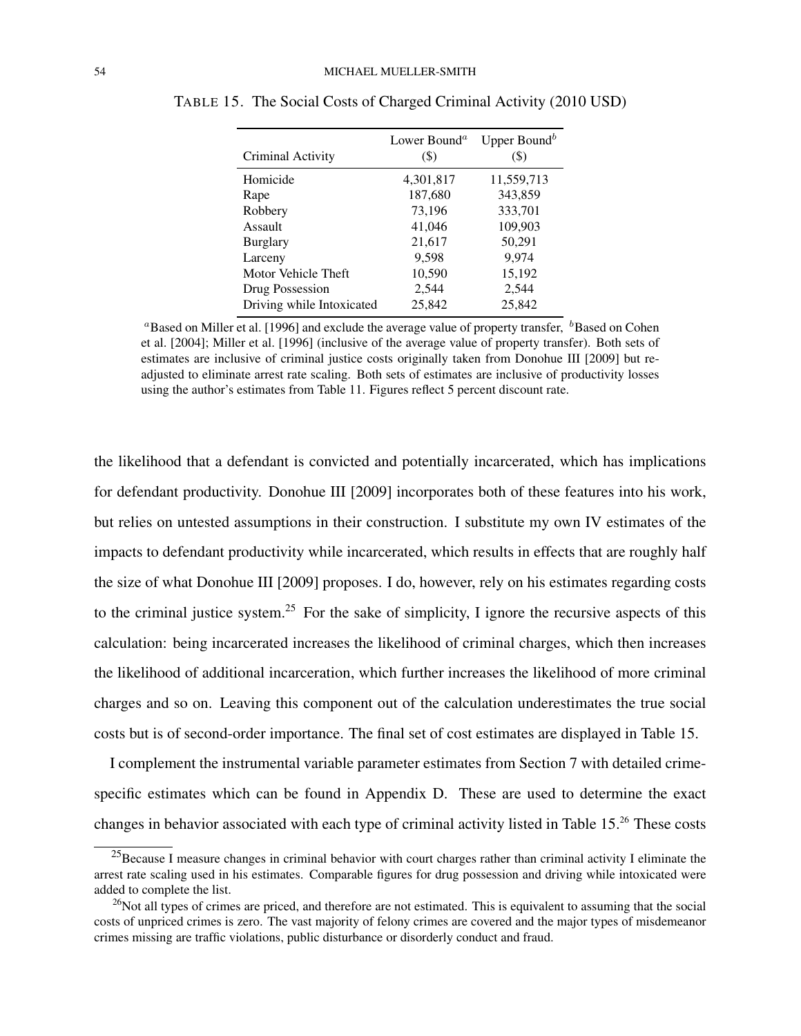| Criminal Activity         | Lower Bound <sup><math>a</math></sup><br>$($ \$ | Upper Bound <sup>b</sup><br>$(\boldsymbol{\$})$ |
|---------------------------|-------------------------------------------------|-------------------------------------------------|
| Homicide                  | 4,301,817                                       | 11,559,713                                      |
| Rape                      | 187,680                                         | 343,859                                         |
| Robbery                   | 73,196                                          | 333,701                                         |
| Assault                   | 41,046                                          | 109,903                                         |
| <b>Burglary</b>           | 21,617                                          | 50,291                                          |
| Larceny                   | 9,598                                           | 9,974                                           |
| Motor Vehicle Theft       | 10,590                                          | 15,192                                          |
| Drug Possession           | 2,544                                           | 2,544                                           |
| Driving while Intoxicated | 25,842                                          | 25.842                                          |

TABLE 15. The Social Costs of Charged Criminal Activity (2010 USD)

<sup>a</sup>Based on Miller et al. [1996] and exclude the average value of property transfer,  $^b$ Based on Cohen et al. [2004]; Miller et al. [1996] (inclusive of the average value of property transfer). Both sets of estimates are inclusive of criminal justice costs originally taken from Donohue III [2009] but readjusted to eliminate arrest rate scaling. Both sets of estimates are inclusive of productivity losses using the author's estimates from Table 11. Figures reflect 5 percent discount rate.

the likelihood that a defendant is convicted and potentially incarcerated, which has implications for defendant productivity. Donohue III [2009] incorporates both of these features into his work, but relies on untested assumptions in their construction. I substitute my own IV estimates of the impacts to defendant productivity while incarcerated, which results in effects that are roughly half the size of what Donohue III [2009] proposes. I do, however, rely on his estimates regarding costs to the criminal justice system.<sup>25</sup> For the sake of simplicity, I ignore the recursive aspects of this calculation: being incarcerated increases the likelihood of criminal charges, which then increases the likelihood of additional incarceration, which further increases the likelihood of more criminal charges and so on. Leaving this component out of the calculation underestimates the true social costs but is of second-order importance. The final set of cost estimates are displayed in Table 15.

I complement the instrumental variable parameter estimates from Section 7 with detailed crimespecific estimates which can be found in Appendix D. These are used to determine the exact changes in behavior associated with each type of criminal activity listed in Table 15.<sup>26</sup> These costs

 $^{25}$ Because I measure changes in criminal behavior with court charges rather than criminal activity I eliminate the arrest rate scaling used in his estimates. Comparable figures for drug possession and driving while intoxicated were added to complete the list.

 $26$ Not all types of crimes are priced, and therefore are not estimated. This is equivalent to assuming that the social costs of unpriced crimes is zero. The vast majority of felony crimes are covered and the major types of misdemeanor crimes missing are traffic violations, public disturbance or disorderly conduct and fraud.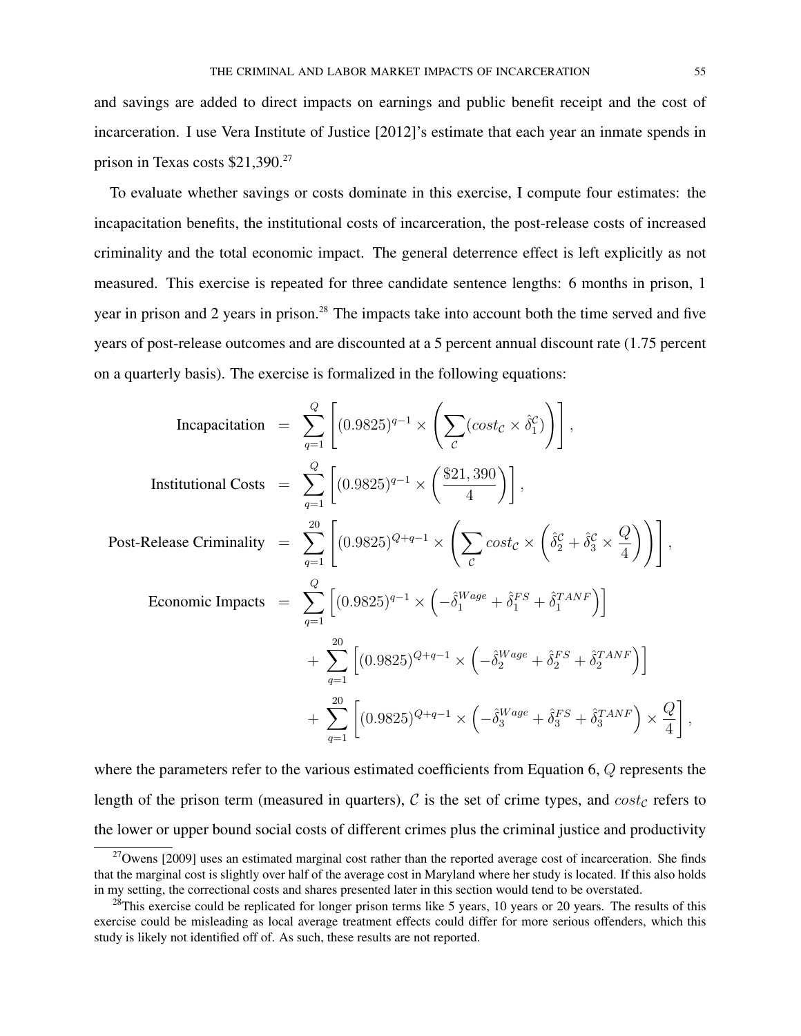and savings are added to direct impacts on earnings and public benefit receipt and the cost of incarceration. I use Vera Institute of Justice [2012]'s estimate that each year an inmate spends in prison in Texas costs \$21,390.<sup>27</sup>

To evaluate whether savings or costs dominate in this exercise, I compute four estimates: the incapacitation benefits, the institutional costs of incarceration, the post-release costs of increased criminality and the total economic impact. The general deterrence effect is left explicitly as not measured. This exercise is repeated for three candidate sentence lengths: 6 months in prison, 1 year in prison and 2 years in prison.<sup>28</sup> The impacts take into account both the time served and five years of post-release outcomes and are discounted at a 5 percent annual discount rate (1.75 percent on a quarterly basis). The exercise is formalized in the following equations:

Incapacitation = 
$$
\sum_{q=1}^{Q} \left[ (0.9825)^{q-1} \times \left( \sum_{\mathcal{C}} (cost_{\mathcal{C}} \times \hat{\delta}_{1}^{\mathcal{C}}) \right) \right],
$$
  
\nInstitutional Costs = 
$$
\sum_{q=1}^{Q} \left[ (0.9825)^{q-1} \times \left( \frac{\$21,390}{4} \right) \right],
$$
  
\nPost-Release Criminality = 
$$
\sum_{q=1}^{20} \left[ (0.9825)^{Q+q-1} \times \left( \sum_{\mathcal{C}} cost_{\mathcal{C}} \times \left( \hat{\delta}_{2}^{\mathcal{C}} + \hat{\delta}_{3}^{\mathcal{C}} \times \frac{Q}{4} \right) \right) \right],
$$
  
\nEconomic Impacts = 
$$
\sum_{q=1}^{Q} \left[ (0.9825)^{q-1} \times \left( -\hat{\delta}_{1}^{Wage} + \hat{\delta}_{1}^{FS} + \hat{\delta}_{1}^{TANF} \right) \right]
$$

$$
+ \sum_{q=1}^{20} \left[ (0.9825)^{Q+q-1} \times \left( -\hat{\delta}_{2}^{Wage} + \hat{\delta}_{2}^{FS} + \hat{\delta}_{2}^{TANF} \right) \right]
$$

$$
+ \sum_{q=1}^{20} \left[ (0.9825)^{Q+q-1} \times \left( -\hat{\delta}_{3}^{Wage} + \hat{\delta}_{3}^{FS} + \hat{\delta}_{3}^{TANF} \right) \times \frac{Q}{4} \right],
$$

where the parameters refer to the various estimated coefficients from Equation 6, Q represents the length of the prison term (measured in quarters),  $C$  is the set of crime types, and  $cost_C$  refers to the lower or upper bound social costs of different crimes plus the criminal justice and productivity

 $^{27}$ Owens [2009] uses an estimated marginal cost rather than the reported average cost of incarceration. She finds that the marginal cost is slightly over half of the average cost in Maryland where her study is located. If this also holds in my setting, the correctional costs and shares presented later in this section would tend to be overstated.

 $28$ This exercise could be replicated for longer prison terms like 5 years, 10 years or 20 years. The results of this exercise could be misleading as local average treatment effects could differ for more serious offenders, which this study is likely not identified off of. As such, these results are not reported.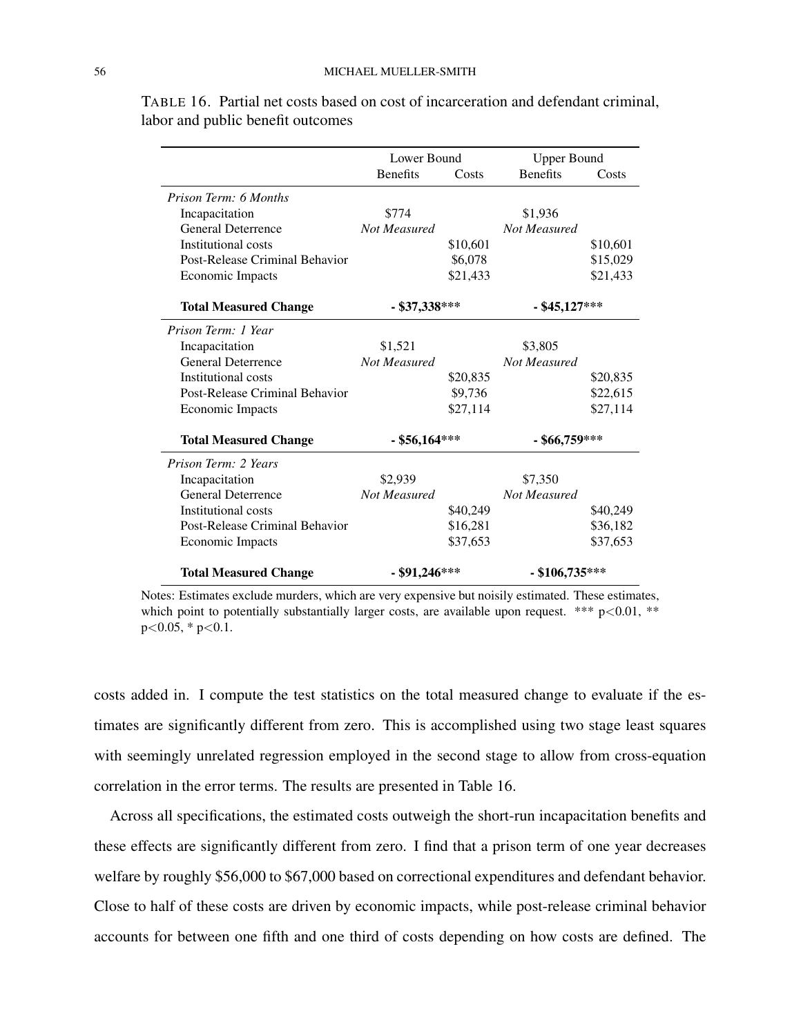|                                | Lower Bound     |          | <b>Upper Bound</b> |          |
|--------------------------------|-----------------|----------|--------------------|----------|
|                                | <b>Benefits</b> | Costs    | <b>Benefits</b>    | Costs    |
| Prison Term: 6 Months          |                 |          |                    |          |
| Incapacitation                 | \$774           |          | \$1,936            |          |
| <b>General Deterrence</b>      | Not Measured    |          | Not Measured       |          |
| Institutional costs            |                 | \$10,601 |                    | \$10,601 |
| Post-Release Criminal Behavior |                 | \$6,078  |                    | \$15,029 |
| <b>Economic Impacts</b>        |                 | \$21,433 |                    | \$21,433 |
| <b>Total Measured Change</b>   | - \$37,338***   |          | $-$ \$45,127***    |          |
| Prison Term: 1 Year            |                 |          |                    |          |
| Incapacitation                 | \$1,521         |          | \$3,805            |          |
| <b>General Deterrence</b>      | Not Measured    |          | Not Measured       |          |
| Institutional costs            |                 | \$20,835 |                    | \$20,835 |
| Post-Release Criminal Behavior |                 | \$9,736  |                    | \$22,615 |
| Economic Impacts               |                 | \$27,114 |                    | \$27,114 |
| <b>Total Measured Change</b>   | $-$ \$56,164*** |          | - \$66,759***      |          |
| Prison Term: 2 Years           |                 |          |                    |          |
| Incapacitation                 | \$2,939         |          | \$7,350            |          |
| <b>General Deterrence</b>      | Not Measured    |          | Not Measured       |          |
| Institutional costs            |                 | \$40,249 |                    | \$40,249 |
| Post-Release Criminal Behavior |                 | \$16,281 |                    | \$36,182 |
| Economic Impacts               |                 | \$37,653 |                    | \$37,653 |
| <b>Total Measured Change</b>   | - \$91,246***   |          | $-$ \$106,735***   |          |

TABLE 16. Partial net costs based on cost of incarceration and defendant criminal, labor and public benefit outcomes

Notes: Estimates exclude murders, which are very expensive but noisily estimated. These estimates, which point to potentially substantially larger costs, are available upon request. \*\*\*  $p<0.01$ , \*\*  $p<0.05$ , \*  $p<0.1$ .

costs added in. I compute the test statistics on the total measured change to evaluate if the estimates are significantly different from zero. This is accomplished using two stage least squares with seemingly unrelated regression employed in the second stage to allow from cross-equation correlation in the error terms. The results are presented in Table 16.

Across all specifications, the estimated costs outweigh the short-run incapacitation benefits and these effects are significantly different from zero. I find that a prison term of one year decreases welfare by roughly \$56,000 to \$67,000 based on correctional expenditures and defendant behavior. Close to half of these costs are driven by economic impacts, while post-release criminal behavior accounts for between one fifth and one third of costs depending on how costs are defined. The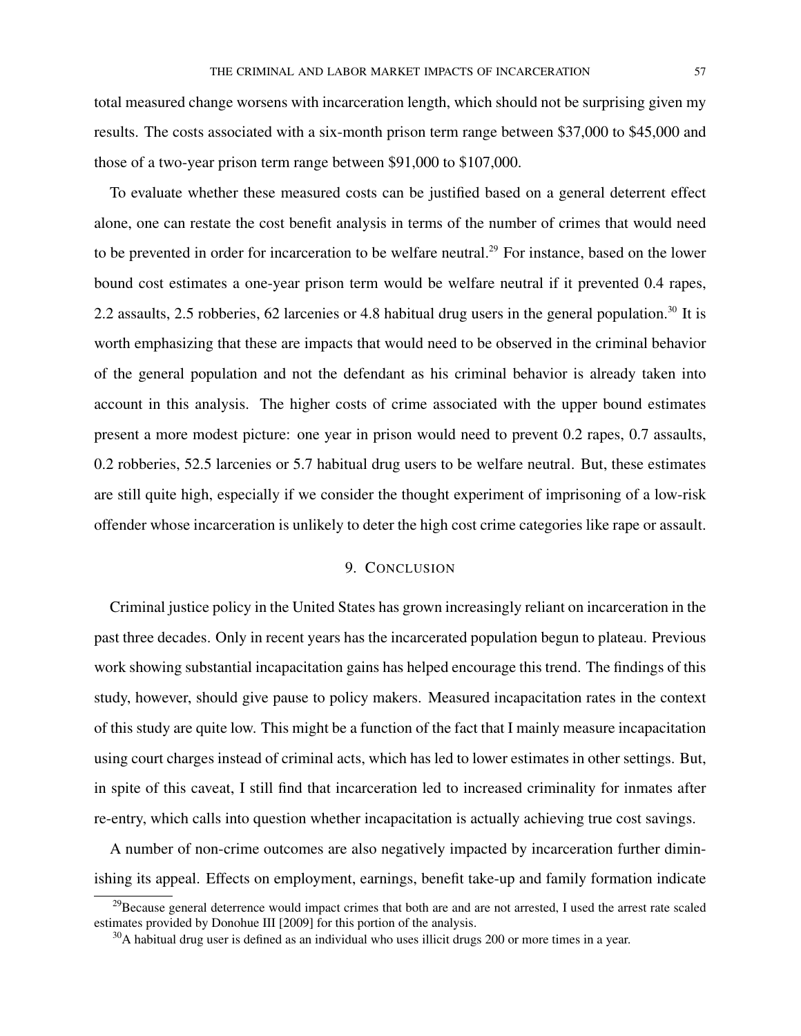total measured change worsens with incarceration length, which should not be surprising given my results. The costs associated with a six-month prison term range between \$37,000 to \$45,000 and those of a two-year prison term range between \$91,000 to \$107,000.

To evaluate whether these measured costs can be justified based on a general deterrent effect alone, one can restate the cost benefit analysis in terms of the number of crimes that would need to be prevented in order for incarceration to be welfare neutral.<sup>29</sup> For instance, based on the lower bound cost estimates a one-year prison term would be welfare neutral if it prevented 0.4 rapes, 2.2 assaults, 2.5 robberies, 62 larcenies or 4.8 habitual drug users in the general population.<sup>30</sup> It is worth emphasizing that these are impacts that would need to be observed in the criminal behavior of the general population and not the defendant as his criminal behavior is already taken into account in this analysis. The higher costs of crime associated with the upper bound estimates present a more modest picture: one year in prison would need to prevent 0.2 rapes, 0.7 assaults, 0.2 robberies, 52.5 larcenies or 5.7 habitual drug users to be welfare neutral. But, these estimates are still quite high, especially if we consider the thought experiment of imprisoning of a low-risk offender whose incarceration is unlikely to deter the high cost crime categories like rape or assault.

## 9. CONCLUSION

Criminal justice policy in the United States has grown increasingly reliant on incarceration in the past three decades. Only in recent years has the incarcerated population begun to plateau. Previous work showing substantial incapacitation gains has helped encourage this trend. The findings of this study, however, should give pause to policy makers. Measured incapacitation rates in the context of this study are quite low. This might be a function of the fact that I mainly measure incapacitation using court charges instead of criminal acts, which has led to lower estimates in other settings. But, in spite of this caveat, I still find that incarceration led to increased criminality for inmates after re-entry, which calls into question whether incapacitation is actually achieving true cost savings.

A number of non-crime outcomes are also negatively impacted by incarceration further diminishing its appeal. Effects on employment, earnings, benefit take-up and family formation indicate

 $^{29}$ Because general deterrence would impact crimes that both are and are not arrested, I used the arrest rate scaled estimates provided by Donohue III [2009] for this portion of the analysis.

<sup>&</sup>lt;sup>30</sup>A habitual drug user is defined as an individual who uses illicit drugs 200 or more times in a year.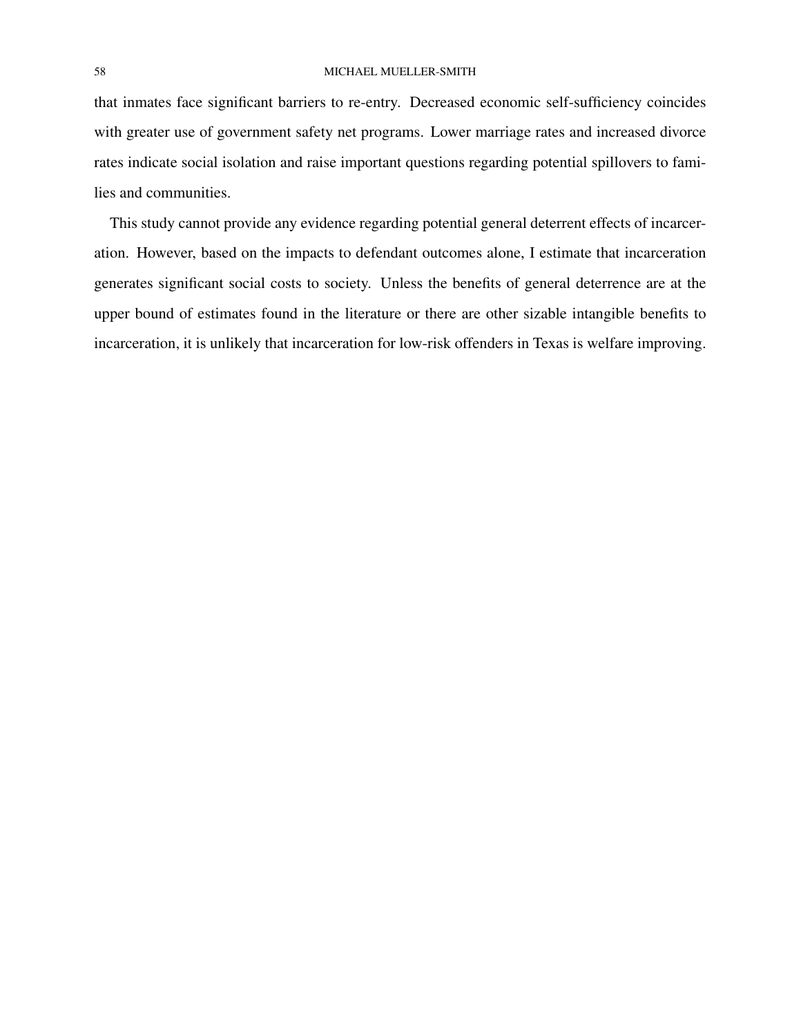that inmates face significant barriers to re-entry. Decreased economic self-sufficiency coincides with greater use of government safety net programs. Lower marriage rates and increased divorce rates indicate social isolation and raise important questions regarding potential spillovers to families and communities.

This study cannot provide any evidence regarding potential general deterrent effects of incarceration. However, based on the impacts to defendant outcomes alone, I estimate that incarceration generates significant social costs to society. Unless the benefits of general deterrence are at the upper bound of estimates found in the literature or there are other sizable intangible benefits to incarceration, it is unlikely that incarceration for low-risk offenders in Texas is welfare improving.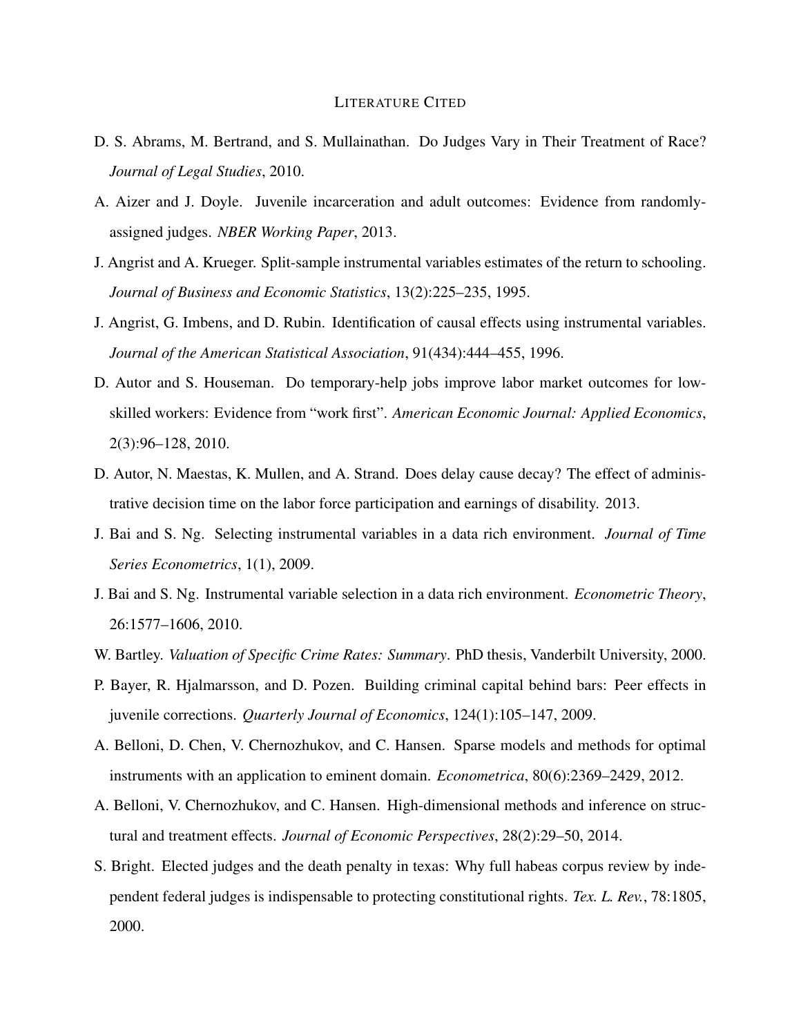## LITERATURE CITED

- D. S. Abrams, M. Bertrand, and S. Mullainathan. Do Judges Vary in Their Treatment of Race? *Journal of Legal Studies*, 2010.
- A. Aizer and J. Doyle. Juvenile incarceration and adult outcomes: Evidence from randomlyassigned judges. *NBER Working Paper*, 2013.
- J. Angrist and A. Krueger. Split-sample instrumental variables estimates of the return to schooling. *Journal of Business and Economic Statistics*, 13(2):225–235, 1995.
- J. Angrist, G. Imbens, and D. Rubin. Identification of causal effects using instrumental variables. *Journal of the American Statistical Association*, 91(434):444–455, 1996.
- D. Autor and S. Houseman. Do temporary-help jobs improve labor market outcomes for lowskilled workers: Evidence from "work first". *American Economic Journal: Applied Economics*, 2(3):96–128, 2010.
- D. Autor, N. Maestas, K. Mullen, and A. Strand. Does delay cause decay? The effect of administrative decision time on the labor force participation and earnings of disability. 2013.
- J. Bai and S. Ng. Selecting instrumental variables in a data rich environment. *Journal of Time Series Econometrics*, 1(1), 2009.
- J. Bai and S. Ng. Instrumental variable selection in a data rich environment. *Econometric Theory*, 26:1577–1606, 2010.
- W. Bartley. *Valuation of Specific Crime Rates: Summary*. PhD thesis, Vanderbilt University, 2000.
- P. Bayer, R. Hjalmarsson, and D. Pozen. Building criminal capital behind bars: Peer effects in juvenile corrections. *Quarterly Journal of Economics*, 124(1):105–147, 2009.
- A. Belloni, D. Chen, V. Chernozhukov, and C. Hansen. Sparse models and methods for optimal instruments with an application to eminent domain. *Econometrica*, 80(6):2369–2429, 2012.
- A. Belloni, V. Chernozhukov, and C. Hansen. High-dimensional methods and inference on structural and treatment effects. *Journal of Economic Perspectives*, 28(2):29–50, 2014.
- S. Bright. Elected judges and the death penalty in texas: Why full habeas corpus review by independent federal judges is indispensable to protecting constitutional rights. *Tex. L. Rev.*, 78:1805, 2000.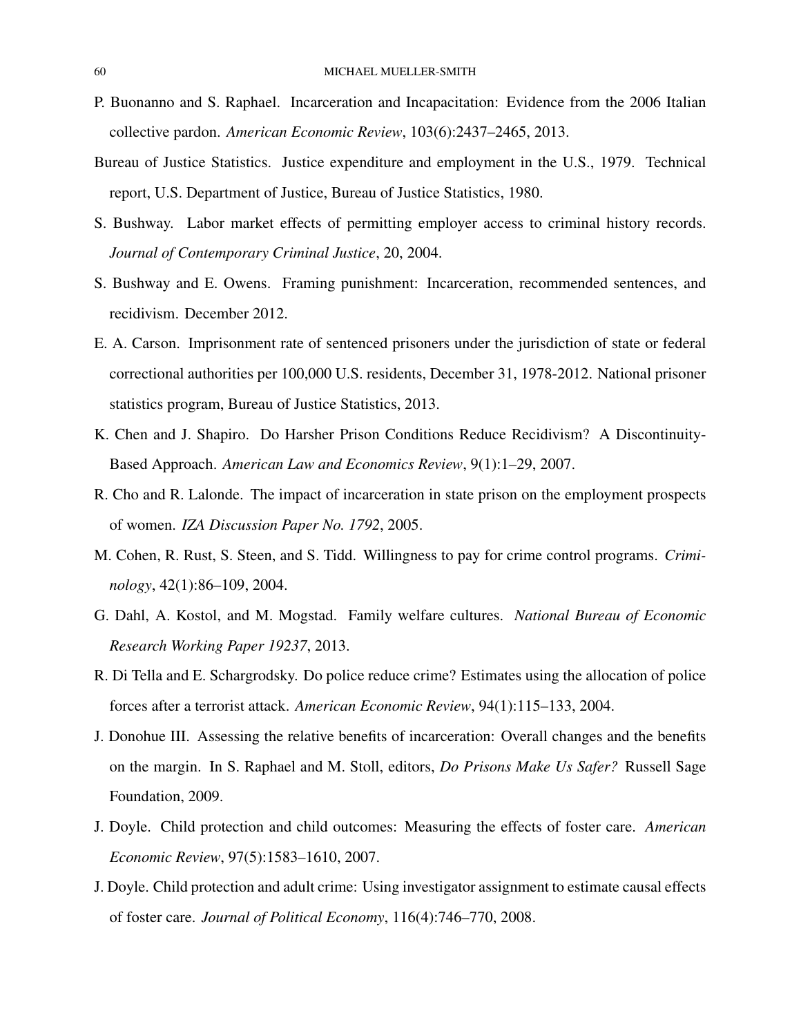- P. Buonanno and S. Raphael. Incarceration and Incapacitation: Evidence from the 2006 Italian collective pardon. *American Economic Review*, 103(6):2437–2465, 2013.
- Bureau of Justice Statistics. Justice expenditure and employment in the U.S., 1979. Technical report, U.S. Department of Justice, Bureau of Justice Statistics, 1980.
- S. Bushway. Labor market effects of permitting employer access to criminal history records. *Journal of Contemporary Criminal Justice*, 20, 2004.
- S. Bushway and E. Owens. Framing punishment: Incarceration, recommended sentences, and recidivism. December 2012.
- E. A. Carson. Imprisonment rate of sentenced prisoners under the jurisdiction of state or federal correctional authorities per 100,000 U.S. residents, December 31, 1978-2012. National prisoner statistics program, Bureau of Justice Statistics, 2013.
- K. Chen and J. Shapiro. Do Harsher Prison Conditions Reduce Recidivism? A Discontinuity-Based Approach. *American Law and Economics Review*, 9(1):1–29, 2007.
- R. Cho and R. Lalonde. The impact of incarceration in state prison on the employment prospects of women. *IZA Discussion Paper No. 1792*, 2005.
- M. Cohen, R. Rust, S. Steen, and S. Tidd. Willingness to pay for crime control programs. *Criminology*, 42(1):86–109, 2004.
- G. Dahl, A. Kostol, and M. Mogstad. Family welfare cultures. *National Bureau of Economic Research Working Paper 19237*, 2013.
- R. Di Tella and E. Schargrodsky. Do police reduce crime? Estimates using the allocation of police forces after a terrorist attack. *American Economic Review*, 94(1):115–133, 2004.
- J. Donohue III. Assessing the relative benefits of incarceration: Overall changes and the benefits on the margin. In S. Raphael and M. Stoll, editors, *Do Prisons Make Us Safer?* Russell Sage Foundation, 2009.
- J. Doyle. Child protection and child outcomes: Measuring the effects of foster care. *American Economic Review*, 97(5):1583–1610, 2007.
- J. Doyle. Child protection and adult crime: Using investigator assignment to estimate causal effects of foster care. *Journal of Political Economy*, 116(4):746–770, 2008.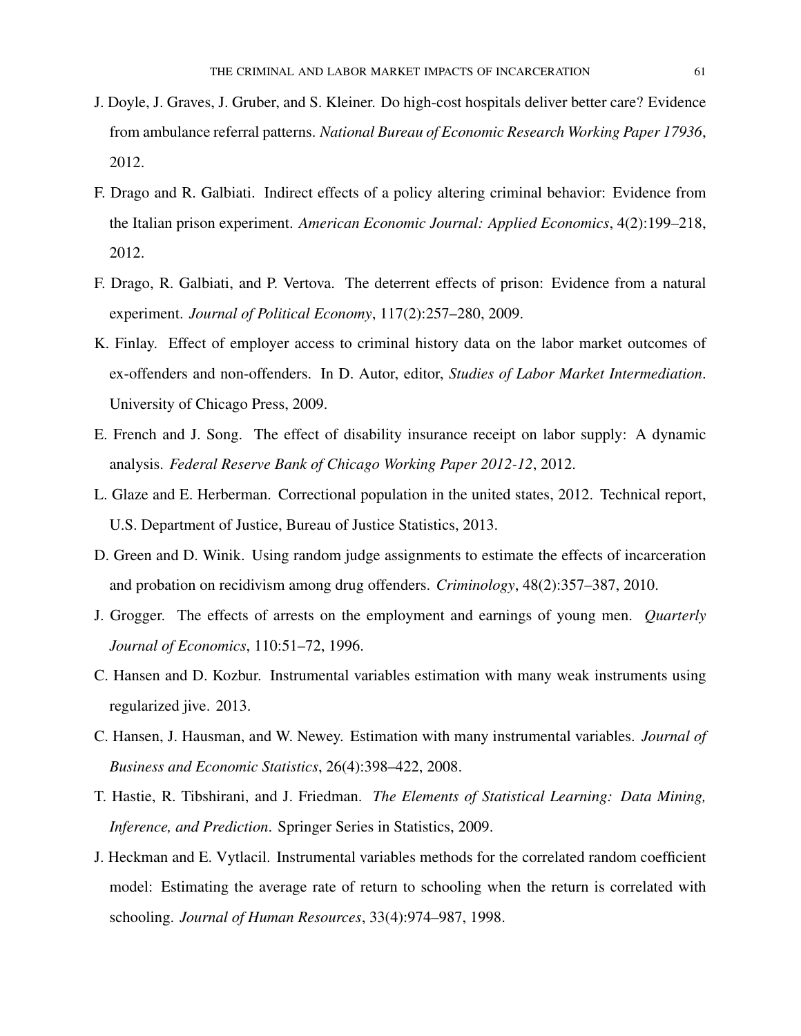- J. Doyle, J. Graves, J. Gruber, and S. Kleiner. Do high-cost hospitals deliver better care? Evidence from ambulance referral patterns. *National Bureau of Economic Research Working Paper 17936*, 2012.
- F. Drago and R. Galbiati. Indirect effects of a policy altering criminal behavior: Evidence from the Italian prison experiment. *American Economic Journal: Applied Economics*, 4(2):199–218, 2012.
- F. Drago, R. Galbiati, and P. Vertova. The deterrent effects of prison: Evidence from a natural experiment. *Journal of Political Economy*, 117(2):257–280, 2009.
- K. Finlay. Effect of employer access to criminal history data on the labor market outcomes of ex-offenders and non-offenders. In D. Autor, editor, *Studies of Labor Market Intermediation*. University of Chicago Press, 2009.
- E. French and J. Song. The effect of disability insurance receipt on labor supply: A dynamic analysis. *Federal Reserve Bank of Chicago Working Paper 2012-12*, 2012.
- L. Glaze and E. Herberman. Correctional population in the united states, 2012. Technical report, U.S. Department of Justice, Bureau of Justice Statistics, 2013.
- D. Green and D. Winik. Using random judge assignments to estimate the effects of incarceration and probation on recidivism among drug offenders. *Criminology*, 48(2):357–387, 2010.
- J. Grogger. The effects of arrests on the employment and earnings of young men. *Quarterly Journal of Economics*, 110:51–72, 1996.
- C. Hansen and D. Kozbur. Instrumental variables estimation with many weak instruments using regularized jive. 2013.
- C. Hansen, J. Hausman, and W. Newey. Estimation with many instrumental variables. *Journal of Business and Economic Statistics*, 26(4):398–422, 2008.
- T. Hastie, R. Tibshirani, and J. Friedman. *The Elements of Statistical Learning: Data Mining, Inference, and Prediction*. Springer Series in Statistics, 2009.
- J. Heckman and E. Vytlacil. Instrumental variables methods for the correlated random coefficient model: Estimating the average rate of return to schooling when the return is correlated with schooling. *Journal of Human Resources*, 33(4):974–987, 1998.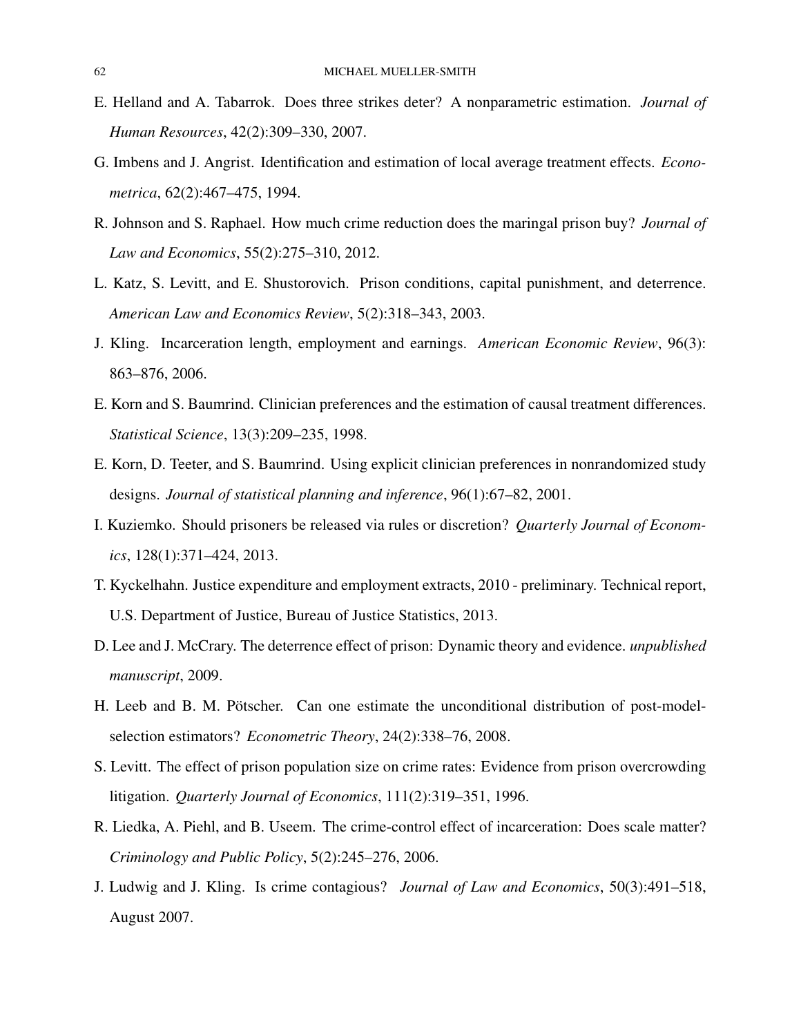- E. Helland and A. Tabarrok. Does three strikes deter? A nonparametric estimation. *Journal of Human Resources*, 42(2):309–330, 2007.
- G. Imbens and J. Angrist. Identification and estimation of local average treatment effects. *Econometrica*, 62(2):467–475, 1994.
- R. Johnson and S. Raphael. How much crime reduction does the maringal prison buy? *Journal of Law and Economics*, 55(2):275–310, 2012.
- L. Katz, S. Levitt, and E. Shustorovich. Prison conditions, capital punishment, and deterrence. *American Law and Economics Review*, 5(2):318–343, 2003.
- J. Kling. Incarceration length, employment and earnings. *American Economic Review*, 96(3): 863–876, 2006.
- E. Korn and S. Baumrind. Clinician preferences and the estimation of causal treatment differences. *Statistical Science*, 13(3):209–235, 1998.
- E. Korn, D. Teeter, and S. Baumrind. Using explicit clinician preferences in nonrandomized study designs. *Journal of statistical planning and inference*, 96(1):67–82, 2001.
- I. Kuziemko. Should prisoners be released via rules or discretion? *Quarterly Journal of Economics*, 128(1):371–424, 2013.
- T. Kyckelhahn. Justice expenditure and employment extracts, 2010 preliminary. Technical report, U.S. Department of Justice, Bureau of Justice Statistics, 2013.
- D. Lee and J. McCrary. The deterrence effect of prison: Dynamic theory and evidence. *unpublished manuscript*, 2009.
- H. Leeb and B. M. Pötscher. Can one estimate the unconditional distribution of post-modelselection estimators? *Econometric Theory*, 24(2):338–76, 2008.
- S. Levitt. The effect of prison population size on crime rates: Evidence from prison overcrowding litigation. *Quarterly Journal of Economics*, 111(2):319–351, 1996.
- R. Liedka, A. Piehl, and B. Useem. The crime-control effect of incarceration: Does scale matter? *Criminology and Public Policy*, 5(2):245–276, 2006.
- J. Ludwig and J. Kling. Is crime contagious? *Journal of Law and Economics*, 50(3):491–518, August 2007.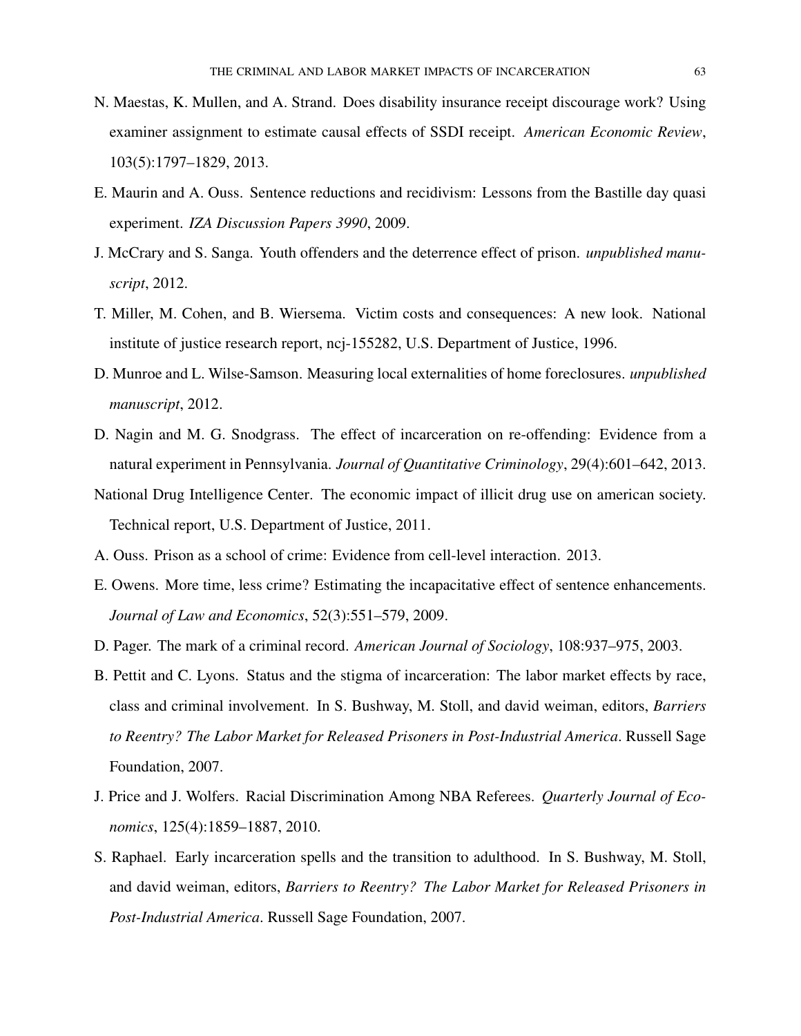- N. Maestas, K. Mullen, and A. Strand. Does disability insurance receipt discourage work? Using examiner assignment to estimate causal effects of SSDI receipt. *American Economic Review*, 103(5):1797–1829, 2013.
- E. Maurin and A. Ouss. Sentence reductions and recidivism: Lessons from the Bastille day quasi experiment. *IZA Discussion Papers 3990*, 2009.
- J. McCrary and S. Sanga. Youth offenders and the deterrence effect of prison. *unpublished manuscript*, 2012.
- T. Miller, M. Cohen, and B. Wiersema. Victim costs and consequences: A new look. National institute of justice research report, ncj-155282, U.S. Department of Justice, 1996.
- D. Munroe and L. Wilse-Samson. Measuring local externalities of home foreclosures. *unpublished manuscript*, 2012.
- D. Nagin and M. G. Snodgrass. The effect of incarceration on re-offending: Evidence from a natural experiment in Pennsylvania. *Journal of Quantitative Criminology*, 29(4):601–642, 2013.
- National Drug Intelligence Center. The economic impact of illicit drug use on american society. Technical report, U.S. Department of Justice, 2011.
- A. Ouss. Prison as a school of crime: Evidence from cell-level interaction. 2013.
- E. Owens. More time, less crime? Estimating the incapacitative effect of sentence enhancements. *Journal of Law and Economics*, 52(3):551–579, 2009.
- D. Pager. The mark of a criminal record. *American Journal of Sociology*, 108:937–975, 2003.
- B. Pettit and C. Lyons. Status and the stigma of incarceration: The labor market effects by race, class and criminal involvement. In S. Bushway, M. Stoll, and david weiman, editors, *Barriers to Reentry? The Labor Market for Released Prisoners in Post-Industrial America*. Russell Sage Foundation, 2007.
- J. Price and J. Wolfers. Racial Discrimination Among NBA Referees. *Quarterly Journal of Economics*, 125(4):1859–1887, 2010.
- S. Raphael. Early incarceration spells and the transition to adulthood. In S. Bushway, M. Stoll, and david weiman, editors, *Barriers to Reentry? The Labor Market for Released Prisoners in Post-Industrial America*. Russell Sage Foundation, 2007.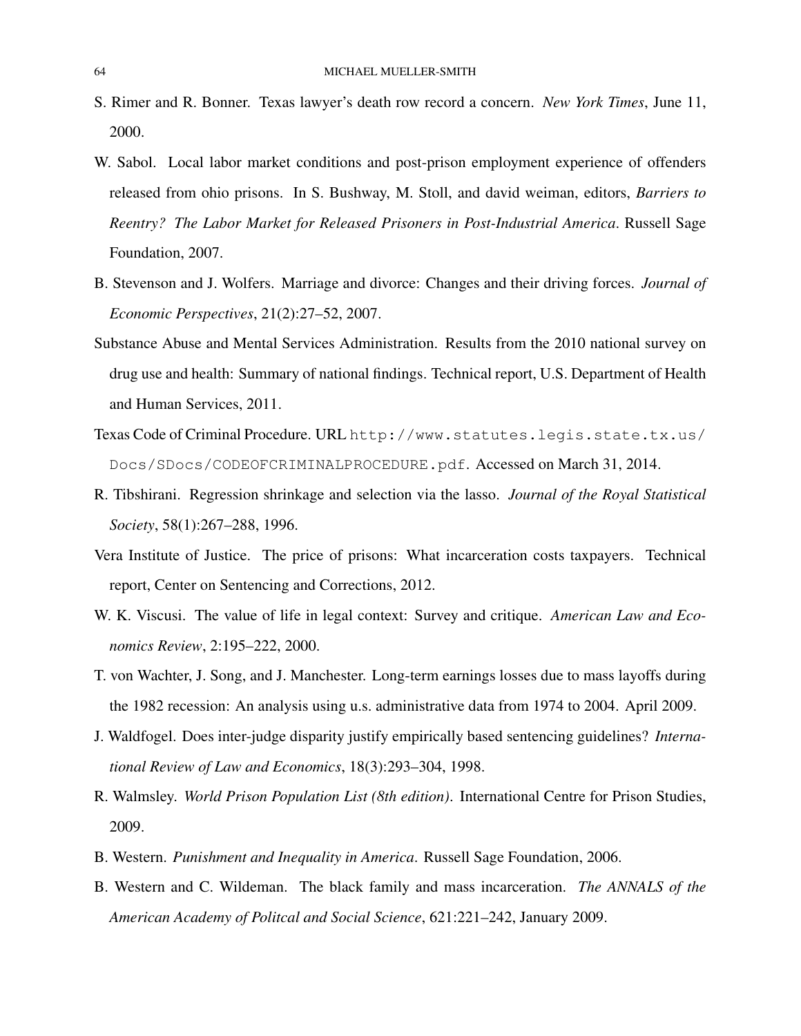- S. Rimer and R. Bonner. Texas lawyer's death row record a concern. *New York Times*, June 11, 2000.
- W. Sabol. Local labor market conditions and post-prison employment experience of offenders released from ohio prisons. In S. Bushway, M. Stoll, and david weiman, editors, *Barriers to Reentry? The Labor Market for Released Prisoners in Post-Industrial America*. Russell Sage Foundation, 2007.
- B. Stevenson and J. Wolfers. Marriage and divorce: Changes and their driving forces. *Journal of Economic Perspectives*, 21(2):27–52, 2007.
- Substance Abuse and Mental Services Administration. Results from the 2010 national survey on drug use and health: Summary of national findings. Technical report, U.S. Department of Health and Human Services, 2011.
- Texas Code of Criminal Procedure. URL http://www.statutes.legis.state.tx.us/ Docs/SDocs/CODEOFCRIMINALPROCEDURE.pdf. Accessed on March 31, 2014.
- R. Tibshirani. Regression shrinkage and selection via the lasso. *Journal of the Royal Statistical Society*, 58(1):267–288, 1996.
- Vera Institute of Justice. The price of prisons: What incarceration costs taxpayers. Technical report, Center on Sentencing and Corrections, 2012.
- W. K. Viscusi. The value of life in legal context: Survey and critique. *American Law and Economics Review*, 2:195–222, 2000.
- T. von Wachter, J. Song, and J. Manchester. Long-term earnings losses due to mass layoffs during the 1982 recession: An analysis using u.s. administrative data from 1974 to 2004. April 2009.
- J. Waldfogel. Does inter-judge disparity justify empirically based sentencing guidelines? *International Review of Law and Economics*, 18(3):293–304, 1998.
- R. Walmsley. *World Prison Population List (8th edition)*. International Centre for Prison Studies, 2009.
- B. Western. *Punishment and Inequality in America*. Russell Sage Foundation, 2006.
- B. Western and C. Wildeman. The black family and mass incarceration. *The ANNALS of the American Academy of Politcal and Social Science*, 621:221–242, January 2009.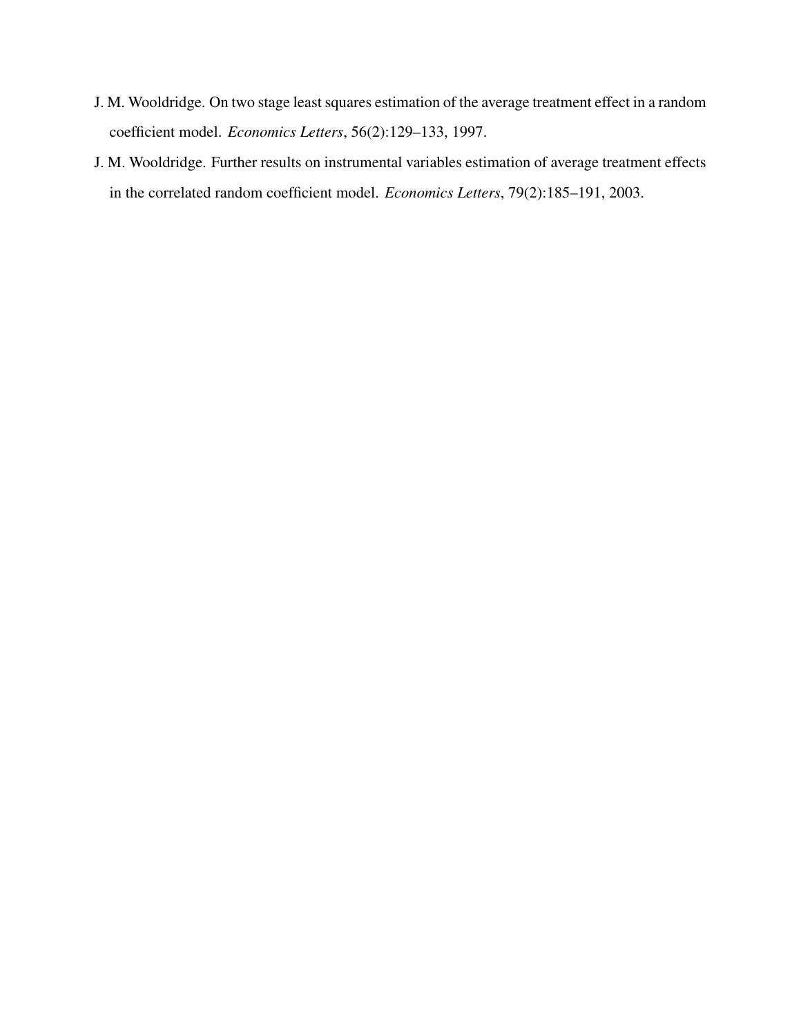- J. M. Wooldridge. On two stage least squares estimation of the average treatment effect in a random coefficient model. *Economics Letters*, 56(2):129–133, 1997.
- J. M. Wooldridge. Further results on instrumental variables estimation of average treatment effects in the correlated random coefficient model. *Economics Letters*, 79(2):185–191, 2003.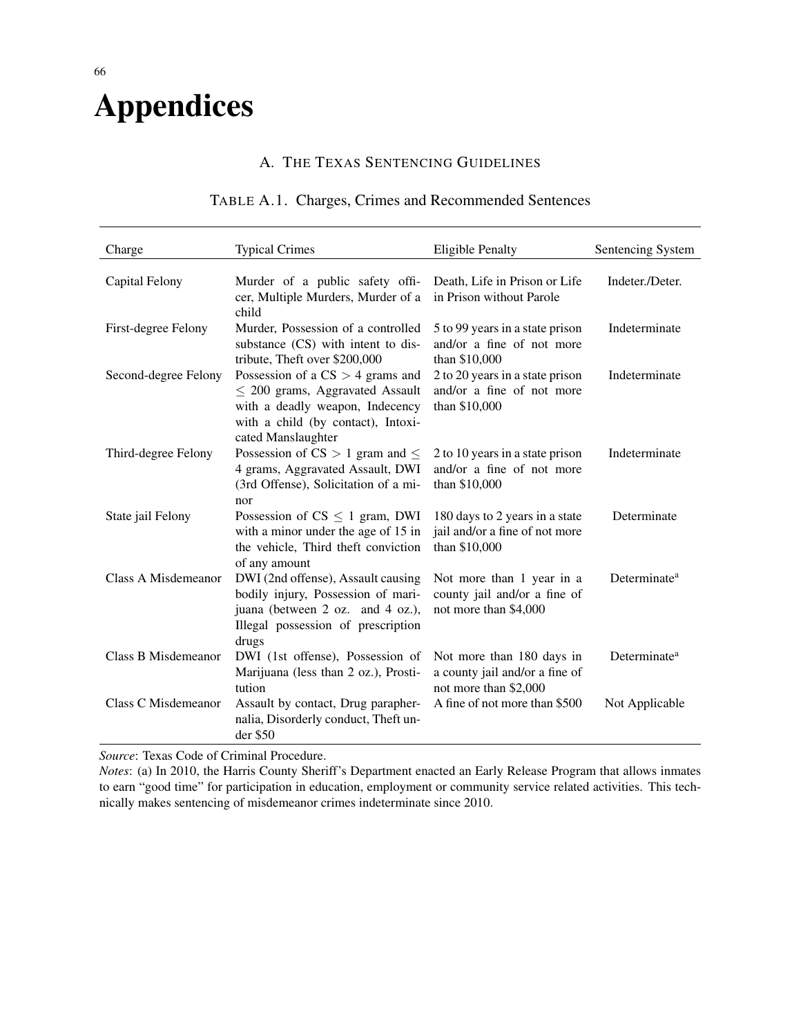# Appendices

## A. THE TEXAS SENTENCING GUIDELINES

## TABLE A.1. Charges, Crimes and Recommended Sentences

| Charge                     | <b>Typical Crimes</b>                                                                                                                                                     | <b>Eligible Penalty</b>                                                              | Sentencing System        |
|----------------------------|---------------------------------------------------------------------------------------------------------------------------------------------------------------------------|--------------------------------------------------------------------------------------|--------------------------|
| Capital Felony             | Murder of a public safety offi-<br>cer, Multiple Murders, Murder of a<br>child                                                                                            | Death, Life in Prison or Life<br>in Prison without Parole                            | Indeter./Deter.          |
| First-degree Felony        | Murder, Possession of a controlled<br>substance (CS) with intent to dis-<br>tribute, Theft over \$200,000                                                                 | 5 to 99 years in a state prison<br>and/or a fine of not more<br>than \$10,000        | Indeterminate            |
| Second-degree Felony       | Possession of a $CS > 4$ grams and<br>$\leq$ 200 grams, Aggravated Assault<br>with a deadly weapon, Indecency<br>with a child (by contact), Intoxi-<br>cated Manslaughter | 2 to 20 years in a state prison<br>and/or a fine of not more<br>than \$10,000        | Indeterminate            |
| Third-degree Felony        | Possession of $CS > 1$ gram and $\leq$<br>4 grams, Aggravated Assault, DWI<br>(3rd Offense), Solicitation of a mi-<br>nor                                                 | 2 to 10 years in a state prison<br>and/or a fine of not more<br>than \$10,000        | Indeterminate            |
| State jail Felony          | Possession of $CS \leq 1$ gram, DWI<br>with a minor under the age of 15 in<br>the vehicle, Third theft conviction<br>of any amount                                        | 180 days to 2 years in a state<br>jail and/or a fine of not more<br>than \$10,000    | Determinate              |
| Class A Misdemeanor        | DWI (2nd offense), Assault causing<br>bodily injury, Possession of mari-<br>juana (between 2 oz. and 4 oz.),<br>Illegal possession of prescription<br>drugs               | Not more than 1 year in a<br>county jail and/or a fine of<br>not more than \$4,000   | Determinate <sup>a</sup> |
| <b>Class B Misdemeanor</b> | DWI (1st offense), Possession of<br>Marijuana (less than 2 oz.), Prosti-<br>tution                                                                                        | Not more than 180 days in<br>a county jail and/or a fine of<br>not more than \$2,000 | Determinate <sup>a</sup> |
| Class C Misdemeanor        | Assault by contact, Drug parapher-<br>nalia, Disorderly conduct, Theft un-<br>der \$50                                                                                    | A fine of not more than \$500                                                        | Not Applicable           |

*Source*: Texas Code of Criminal Procedure.

*Notes*: (a) In 2010, the Harris County Sheriff's Department enacted an Early Release Program that allows inmates to earn "good time" for participation in education, employment or community service related activities. This technically makes sentencing of misdemeanor crimes indeterminate since 2010.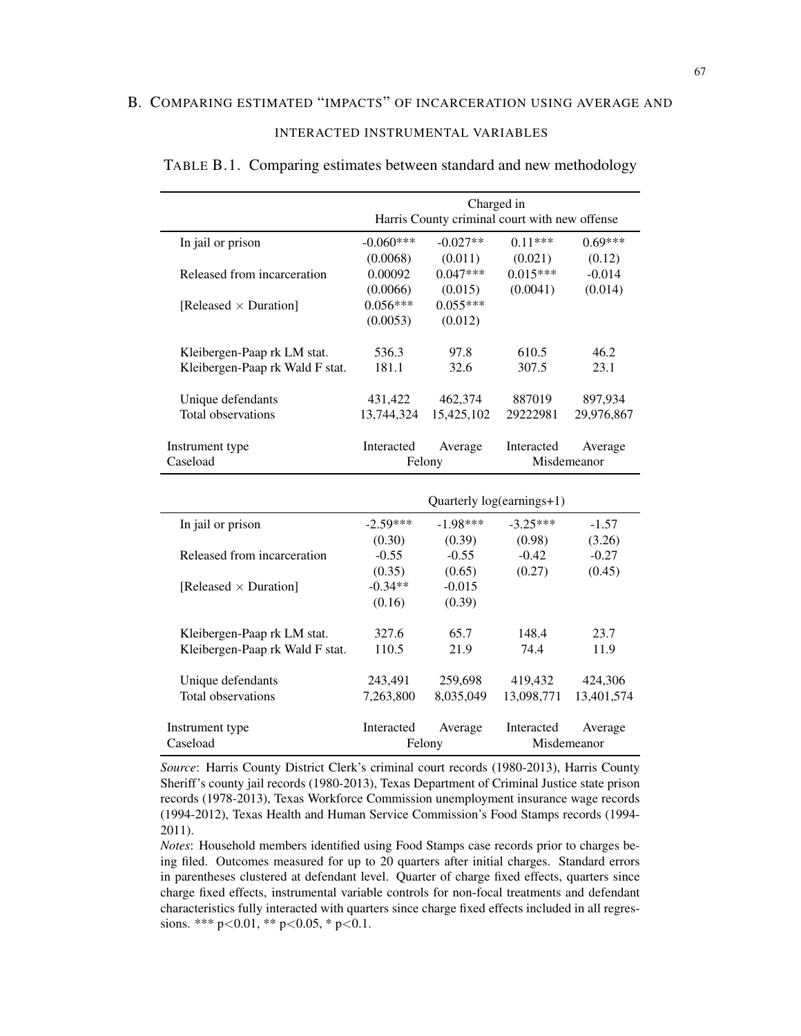## INTERACTED INSTRUMENTAL VARIABLES

|                                 | Charged in                                    |                           |            |             |  |  |
|---------------------------------|-----------------------------------------------|---------------------------|------------|-------------|--|--|
|                                 | Harris County criminal court with new offense |                           |            |             |  |  |
| In jail or prison               | $-0.060***$                                   | $-0.027**$                | $0.11***$  | $0.69***$   |  |  |
|                                 | (0.0068)                                      | (0.011)                   | (0.021)    | (0.12)      |  |  |
| Released from incarceration     | 0.00092                                       | $0.047***$                | $0.015***$ | $-0.014$    |  |  |
|                                 | (0.0066)                                      | (0.015)                   | (0.0041)   | (0.014)     |  |  |
| [Released $\times$ Duration]    | $0.056***$                                    | $0.055***$                |            |             |  |  |
|                                 | (0.0053)                                      | (0.012)                   |            |             |  |  |
| Kleibergen-Paap rk LM stat.     | 536.3                                         | 97.8                      | 610.5      | 46.2        |  |  |
| Kleibergen-Paap rk Wald F stat. | 181.1                                         | 32.6                      | 307.5      | 23.1        |  |  |
| Unique defendants               | 431,422                                       | 462,374                   | 887019     | 897,934     |  |  |
| Total observations              | 13,744,324                                    | 15,425,102                | 29222981   | 29,976,867  |  |  |
| Instrument type                 | Interacted                                    | Average                   | Interacted | Average     |  |  |
| Caseload                        | Felony                                        |                           |            | Misdemeanor |  |  |
|                                 |                                               |                           |            |             |  |  |
|                                 |                                               |                           |            |             |  |  |
|                                 |                                               | Quarterly log(earnings+1) |            |             |  |  |
| In jail or prison               | $-2.59***$                                    | $-1.98***$                | $-3.25***$ | $-1.57$     |  |  |
|                                 | (0.30)                                        | (0.39)                    | (0.98)     | (3.26)      |  |  |
| Released from incarceration     | $-0.55$                                       | $-0.55$                   | $-0.42$    | $-0.27$     |  |  |
|                                 | (0.35)                                        | (0.65)                    | (0.27)     | (0.45)      |  |  |
| [Released $\times$ Duration]    | $-0.34**$                                     | $-0.015$                  |            |             |  |  |
|                                 | (0.16)                                        | (0.39)                    |            |             |  |  |
| Kleibergen-Paap rk LM stat.     | 327.6                                         | 65.7                      | 148.4      | 23.7        |  |  |
| Kleibergen-Paap rk Wald F stat. | 110.5                                         | 21.9                      | 74.4       | 11.9        |  |  |
| Unique defendants               | 243,491                                       | 259,698                   | 419,432    | 424,306     |  |  |
| Total observations              | 7,263,800                                     | 8,035,049                 | 13,098,771 | 13,401,574  |  |  |
| Instrument type                 | Interacted                                    | Average                   | Interacted | Average     |  |  |

### TABLE B.1. Comparing estimates between standard and new methodology

*Source*: Harris County District Clerk's criminal court records (1980-2013), Harris County Sheriff's county jail records (1980-2013), Texas Department of Criminal Justice state prison records (1978-2013), Texas Workforce Commission unemployment insurance wage records (1994-2012), Texas Health and Human Service Commission's Food Stamps records (1994- 2011).

*Notes*: Household members identified using Food Stamps case records prior to charges being filed. Outcomes measured for up to 20 quarters after initial charges. Standard errors in parentheses clustered at defendant level. Quarter of charge fixed effects, quarters since charge fixed effects, instrumental variable controls for non-focal treatments and defendant characteristics fully interacted with quarters since charge fixed effects included in all regressions. \*\*\*  $p<0.01$ , \*\*  $p<0.05$ , \*  $p<0.1$ .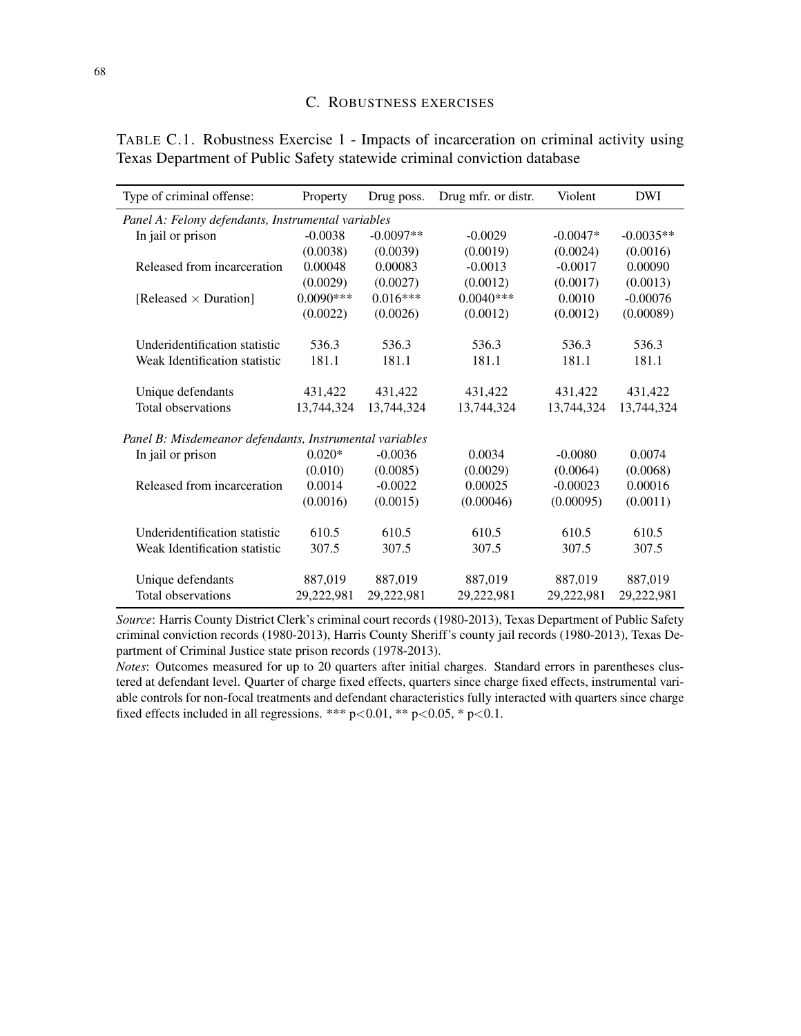| Type of criminal offense:                               | Property    | Drug poss.  | Drug mfr. or distr. | Violent    | <b>DWI</b>  |  |  |  |
|---------------------------------------------------------|-------------|-------------|---------------------|------------|-------------|--|--|--|
| Panel A: Felony defendants, Instrumental variables      |             |             |                     |            |             |  |  |  |
| In jail or prison                                       | $-0.0038$   | $-0.0097**$ | $-0.0029$           | $-0.0047*$ | $-0.0035**$ |  |  |  |
|                                                         | (0.0038)    | (0.0039)    | (0.0019)            | (0.0024)   | (0.0016)    |  |  |  |
| Released from incarceration                             | 0.00048     | 0.00083     | $-0.0013$           | $-0.0017$  | 0.00090     |  |  |  |
|                                                         | (0.0029)    | (0.0027)    | (0.0012)            | (0.0017)   | (0.0013)    |  |  |  |
| [Released $\times$ Duration]                            | $0.0090***$ | $0.016***$  | $0.0040***$         | 0.0010     | $-0.00076$  |  |  |  |
|                                                         | (0.0022)    | (0.0026)    | (0.0012)            | (0.0012)   | (0.00089)   |  |  |  |
| Underidentification statistic                           | 536.3       | 536.3       | 536.3               | 536.3      | 536.3       |  |  |  |
| Weak Identification statistic                           | 181.1       | 181.1       | 181.1               | 181.1      | 181.1       |  |  |  |
| Unique defendants                                       | 431,422     | 431,422     | 431,422             | 431.422    | 431,422     |  |  |  |
| Total observations                                      | 13,744,324  | 13,744,324  | 13,744,324          | 13,744,324 | 13,744,324  |  |  |  |
| Panel B: Misdemeanor defendants, Instrumental variables |             |             |                     |            |             |  |  |  |
| In jail or prison                                       | $0.020*$    | $-0.0036$   | 0.0034              | $-0.0080$  | 0.0074      |  |  |  |
|                                                         | (0.010)     | (0.0085)    | (0.0029)            | (0.0064)   | (0.0068)    |  |  |  |
| Released from incarceration                             | 0.0014      | $-0.0022$   | 0.00025             | $-0.00023$ | 0.00016     |  |  |  |
|                                                         | (0.0016)    | (0.0015)    | (0.00046)           | (0.00095)  | (0.0011)    |  |  |  |
| Underidentification statistic                           | 610.5       | 610.5       | 610.5               | 610.5      | 610.5       |  |  |  |
| Weak Identification statistic                           | 307.5       | 307.5       | 307.5               | 307.5      | 307.5       |  |  |  |
| Unique defendants                                       | 887,019     | 887,019     | 887,019             | 887,019    | 887,019     |  |  |  |
| Total observations                                      | 29,222,981  | 29,222,981  | 29,222,981          | 29,222,981 | 29,222,981  |  |  |  |

TABLE C.1. Robustness Exercise 1 - Impacts of incarceration on criminal activity using Texas Department of Public Safety statewide criminal conviction database

*Source*: Harris County District Clerk's criminal court records (1980-2013), Texas Department of Public Safety criminal conviction records (1980-2013), Harris County Sheriff's county jail records (1980-2013), Texas Department of Criminal Justice state prison records (1978-2013).

*Notes*: Outcomes measured for up to 20 quarters after initial charges. Standard errors in parentheses clustered at defendant level. Quarter of charge fixed effects, quarters since charge fixed effects, instrumental variable controls for non-focal treatments and defendant characteristics fully interacted with quarters since charge fixed effects included in all regressions. \*\*\*  $p<0.01$ , \*\*  $p<0.05$ , \*  $p<0.1$ .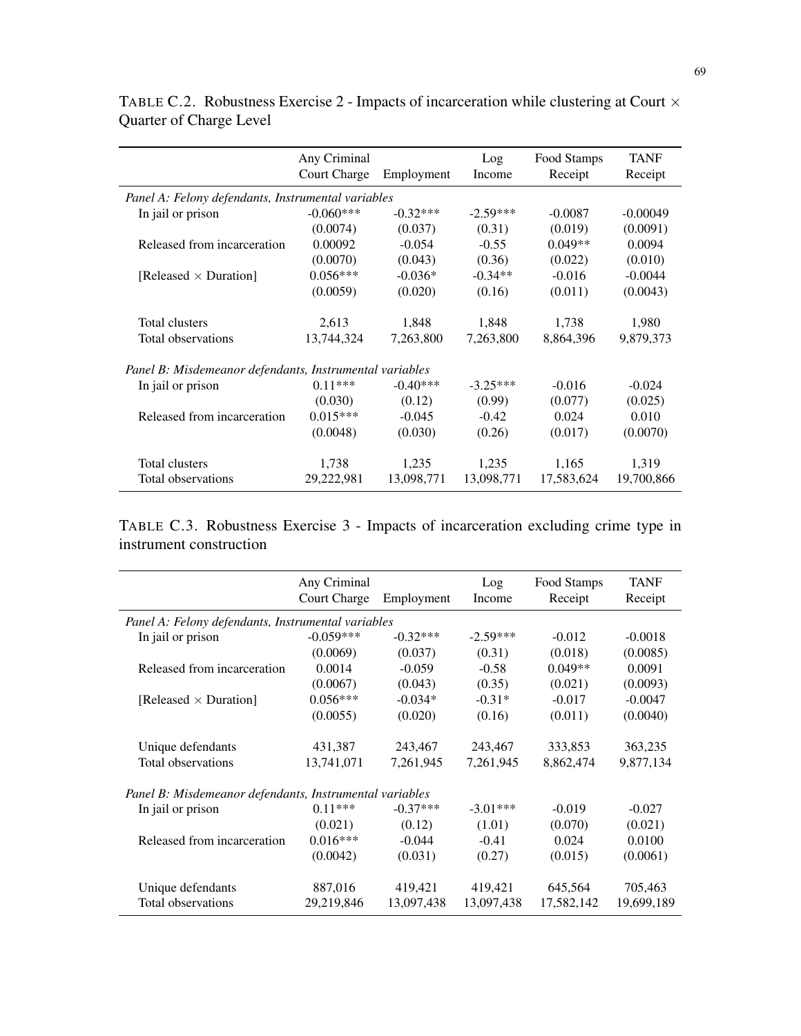|                                                         | Any Criminal               |            | Log        | Food Stamps | <b>TANF</b> |
|---------------------------------------------------------|----------------------------|------------|------------|-------------|-------------|
|                                                         | Court Charge<br>Employment |            | Income     | Receipt     | Receipt     |
| Panel A: Felony defendants, Instrumental variables      |                            |            |            |             |             |
| In jail or prison                                       | $-0.060***$                | $-0.32***$ | $-2.59***$ | $-0.0087$   | $-0.00049$  |
|                                                         | (0.0074)                   | (0.037)    | (0.31)     | (0.019)     | (0.0091)    |
| Released from incarceration                             | 0.00092                    | $-0.054$   | $-0.55$    | $0.049**$   | 0.0094      |
|                                                         | (0.0070)                   | (0.043)    | (0.36)     | (0.022)     | (0.010)     |
| [Released $\times$ Duration]                            | $0.056***$                 | $-0.036*$  | $-0.34**$  | $-0.016$    | $-0.0044$   |
|                                                         | (0.0059)                   | (0.020)    | (0.16)     | (0.011)     | (0.0043)    |
| Total clusters                                          | 2,613                      | 1,848      | 1,848      | 1,738       | 1,980       |
| Total observations                                      | 13,744,324                 | 7,263,800  | 7,263,800  | 8,864,396   | 9,879,373   |
| Panel B: Misdemeanor defendants, Instrumental variables |                            |            |            |             |             |
| In jail or prison                                       | $0.11***$                  | $-0.40***$ | $-3.25***$ | $-0.016$    | $-0.024$    |
|                                                         | (0.030)                    | (0.12)     | (0.99)     | (0.077)     | (0.025)     |
| Released from incarceration                             | $0.015***$                 | $-0.045$   | $-0.42$    | 0.024       | 0.010       |
|                                                         | (0.0048)                   | (0.030)    | (0.26)     | (0.017)     | (0.0070)    |
| Total clusters                                          | 1,738                      | 1,235      | 1,235      | 1,165       | 1,319       |
| Total observations                                      | 29,222,981                 | 13,098,771 | 13,098,771 | 17,583,624  | 19,700,866  |

TABLE C.2. Robustness Exercise 2 - Impacts of incarceration while clustering at Court  $\times$ Quarter of Charge Level

TABLE C.3. Robustness Exercise 3 - Impacts of incarceration excluding crime type in instrument construction

|                                                         | Any Criminal               |            | Log        | Food Stamps | TANF       |
|---------------------------------------------------------|----------------------------|------------|------------|-------------|------------|
|                                                         | Court Charge<br>Employment |            | Income     | Receipt     | Receipt    |
| Panel A: Felony defendants, Instrumental variables      |                            |            |            |             |            |
| In jail or prison                                       | $-0.059***$                | $-0.32***$ | $-2.59***$ | $-0.012$    | $-0.0018$  |
|                                                         | (0.0069)                   | (0.037)    | (0.31)     | (0.018)     | (0.0085)   |
| Released from incarceration                             | 0.0014                     | $-0.059$   | $-0.58$    | $0.049**$   | 0.0091     |
|                                                         | (0.0067)                   | (0.043)    | (0.35)     | (0.021)     | (0.0093)   |
| [Released $\times$ Duration]                            | $0.056***$                 | $-0.034*$  | $-0.31*$   | $-0.017$    | $-0.0047$  |
|                                                         | (0.0055)                   | (0.020)    | (0.16)     | (0.011)     | (0.0040)   |
| Unique defendants                                       | 431,387                    | 243,467    | 243,467    | 333,853     | 363,235    |
| Total observations                                      | 13,741,071                 | 7,261,945  | 7,261,945  | 8,862,474   | 9,877,134  |
| Panel B: Misdemeanor defendants, Instrumental variables |                            |            |            |             |            |
| In jail or prison                                       | $0.11***$                  | $-0.37***$ | $-3.01***$ | $-0.019$    | $-0.027$   |
|                                                         | (0.021)                    | (0.12)     | (1.01)     | (0.070)     | (0.021)    |
| Released from incarceration                             | $0.016***$                 | $-0.044$   | $-0.41$    | 0.024       | 0.0100     |
|                                                         | (0.0042)                   | (0.031)    | (0.27)     | (0.015)     | (0.0061)   |
| Unique defendants                                       | 887,016                    | 419,421    | 419,421    | 645,564     | 705,463    |
| Total observations                                      | 29,219,846                 | 13,097,438 | 13,097,438 | 17,582,142  | 19,699,189 |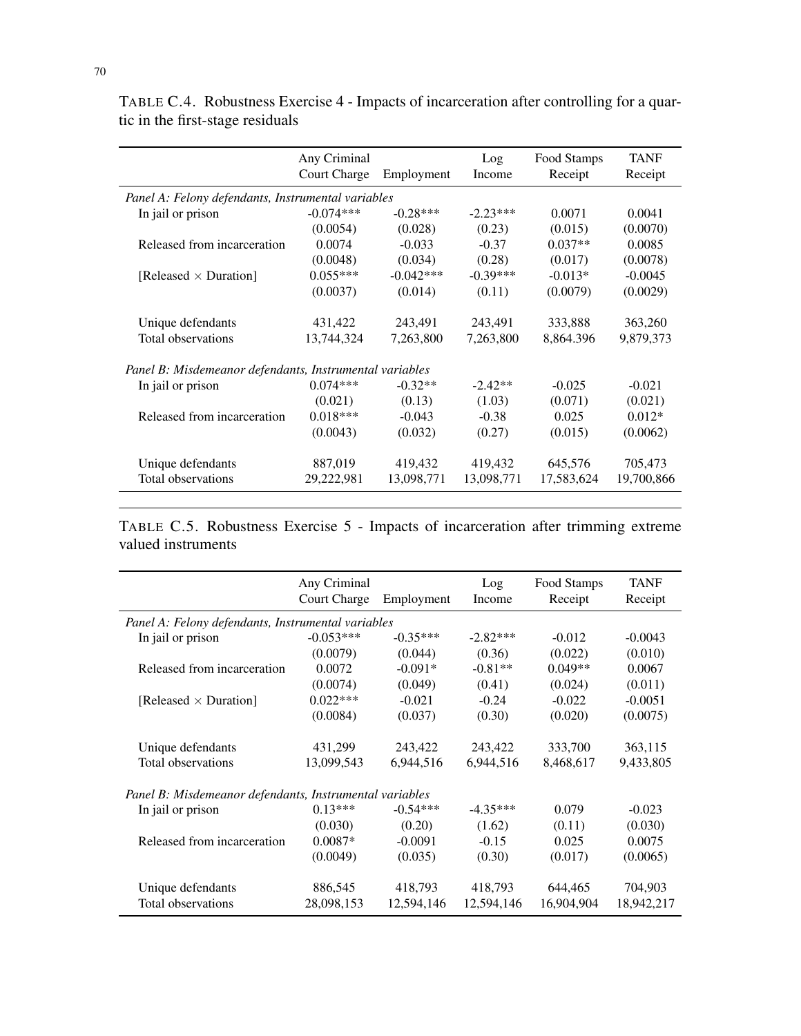|                                                         | Any Criminal<br><b>Court Charge</b> | Employment  | Log<br>Income | Food Stamps<br>Receipt | <b>TANF</b><br>Receipt |
|---------------------------------------------------------|-------------------------------------|-------------|---------------|------------------------|------------------------|
| Panel A: Felony defendants, Instrumental variables      |                                     |             |               |                        |                        |
| In jail or prison                                       | $-0.074***$                         | $-0.28***$  | $-2.23***$    | 0.0071                 | 0.0041                 |
|                                                         | (0.0054)                            | (0.028)     | (0.23)        | (0.015)                | (0.0070)               |
| Released from incarceration                             | 0.0074                              | $-0.033$    | $-0.37$       | $0.037**$              | 0.0085                 |
|                                                         | (0.0048)                            | (0.034)     | (0.28)        | (0.017)                | (0.0078)               |
| [Released $\times$ Duration]                            | $0.055***$                          | $-0.042***$ | $-0.39***$    | $-0.013*$              | $-0.0045$              |
|                                                         | (0.0037)                            | (0.014)     | (0.11)        | (0.0079)               | (0.0029)               |
| Unique defendants                                       | 431,422                             | 243,491     | 243,491       | 333,888                | 363,260                |
| Total observations                                      | 13,744,324                          | 7,263,800   | 7,263,800     | 8,864.396              | 9,879,373              |
| Panel B: Misdemeanor defendants, Instrumental variables |                                     |             |               |                        |                        |
| In jail or prison                                       | $0.074***$                          | $-0.32**$   | $-2.42**$     | $-0.025$               | $-0.021$               |
|                                                         | (0.021)                             | (0.13)      | (1.03)        | (0.071)                | (0.021)                |
| Released from incarceration                             | $0.018***$                          | $-0.043$    | $-0.38$       | 0.025                  | $0.012*$               |
|                                                         | (0.0043)                            | (0.032)     | (0.27)        | (0.015)                | (0.0062)               |
| Unique defendants                                       | 887,019                             | 419,432     | 419,432       | 645,576                | 705,473                |
| Total observations                                      | 29,222,981                          | 13,098,771  | 13,098,771    | 17,583,624             | 19,700,866             |

TABLE C.4. Robustness Exercise 4 - Impacts of incarceration after controlling for a quartic in the first-stage residuals

TABLE C.5. Robustness Exercise 5 - Impacts of incarceration after trimming extreme valued instruments

|                                                         | Any Criminal               |            | Log        | Food Stamps | <b>TANF</b> |
|---------------------------------------------------------|----------------------------|------------|------------|-------------|-------------|
|                                                         | Court Charge<br>Employment |            | Income     | Receipt     | Receipt     |
| Panel A: Felony defendants, Instrumental variables      |                            |            |            |             |             |
| In jail or prison                                       | $-0.053***$                | $-0.35***$ | $-2.82***$ | $-0.012$    | $-0.0043$   |
|                                                         | (0.0079)                   | (0.044)    | (0.36)     | (0.022)     | (0.010)     |
| Released from incarceration                             | 0.0072                     | $-0.091*$  | $-0.81**$  | $0.049**$   | 0.0067      |
|                                                         | (0.0074)                   | (0.049)    | (0.41)     | (0.024)     | (0.011)     |
| [Released $\times$ Duration]                            | $0.022***$                 | $-0.021$   | $-0.24$    | $-0.022$    | $-0.0051$   |
|                                                         | (0.0084)                   | (0.037)    | (0.30)     | (0.020)     | (0.0075)    |
| Unique defendants                                       | 431,299                    | 243,422    | 243,422    | 333,700     | 363,115     |
| Total observations                                      | 13,099,543                 | 6,944,516  | 6,944,516  | 8,468,617   | 9,433,805   |
| Panel B: Misdemeanor defendants, Instrumental variables |                            |            |            |             |             |
| In jail or prison                                       | $0.13***$                  | $-0.54***$ | $-4.35***$ | 0.079       | $-0.023$    |
|                                                         | (0.030)                    | (0.20)     | (1.62)     | (0.11)      | (0.030)     |
| Released from incarceration                             | $0.0087*$                  | $-0.0091$  | $-0.15$    | 0.025       | 0.0075      |
|                                                         | (0.0049)                   | (0.035)    | (0.30)     | (0.017)     | (0.0065)    |
| Unique defendants                                       | 886,545                    | 418,793    | 418,793    | 644,465     | 704,903     |
| Total observations                                      | 28,098,153                 | 12,594,146 | 12,594,146 | 16,904,904  | 18,942,217  |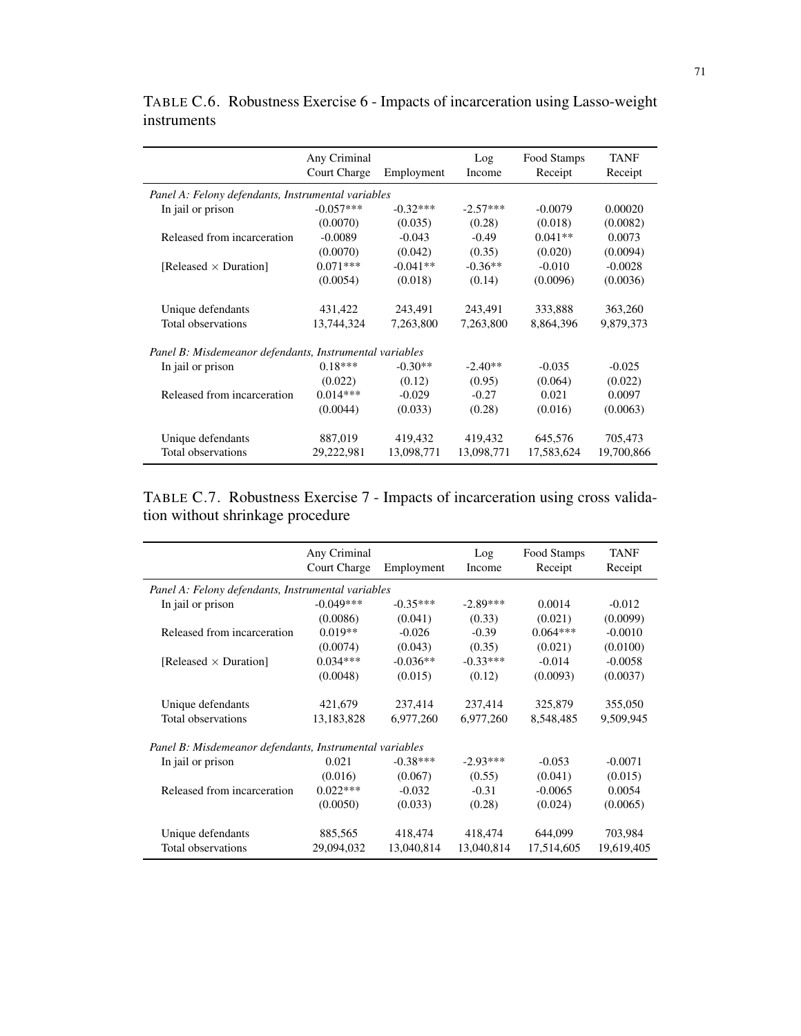|                                                         | Any Criminal<br>Court Charge<br>Employment |            | Log<br>Income | Food Stamps<br>Receipt | <b>TANF</b><br>Receipt |
|---------------------------------------------------------|--------------------------------------------|------------|---------------|------------------------|------------------------|
| Panel A: Felony defendants, Instrumental variables      |                                            |            |               |                        |                        |
| In jail or prison                                       | $-0.057***$                                | $-0.32***$ | $-2.57***$    | $-0.0079$              | 0.00020                |
|                                                         | (0.0070)                                   | (0.035)    | (0.28)        | (0.018)                | (0.0082)               |
| Released from incarceration                             | $-0.0089$                                  | $-0.043$   | $-0.49$       | $0.041**$              | 0.0073                 |
|                                                         | (0.0070)                                   | (0.042)    | (0.35)        | (0.020)                | (0.0094)               |
| [Released $\times$ Duration]                            | $0.071***$                                 | $-0.041**$ | $-0.36**$     | $-0.010$               | $-0.0028$              |
|                                                         | (0.0054)                                   | (0.018)    | (0.14)        | (0.0096)               | (0.0036)               |
| Unique defendants                                       | 431,422                                    | 243,491    | 243,491       | 333,888                | 363,260                |
| Total observations                                      | 13,744,324                                 | 7,263,800  | 7,263,800     | 8,864,396              | 9,879,373              |
| Panel B: Misdemeanor defendants, Instrumental variables |                                            |            |               |                        |                        |
| In jail or prison                                       | $0.18***$                                  | $-0.30**$  | $-2.40**$     | $-0.035$               | $-0.025$               |
|                                                         | (0.022)                                    | (0.12)     | (0.95)        | (0.064)                | (0.022)                |
| Released from incarceration                             | $0.014***$                                 | $-0.029$   | $-0.27$       | 0.021                  | 0.0097                 |
|                                                         | (0.0044)                                   | (0.033)    | (0.28)        | (0.016)                | (0.0063)               |
| Unique defendants                                       | 887,019                                    | 419,432    | 419,432       | 645,576                | 705,473                |
| Total observations                                      | 29,222,981                                 | 13,098,771 | 13,098,771    | 17,583,624             | 19,700,866             |

TABLE C.6. Robustness Exercise 6 - Impacts of incarceration using Lasso-weight instruments

TABLE C.7. Robustness Exercise 7 - Impacts of incarceration using cross validation without shrinkage procedure

|                                                         | Any Criminal<br>Court Charge<br>Employment |            | Log<br>Income | Food Stamps<br>Receipt | <b>TANF</b><br>Receipt |
|---------------------------------------------------------|--------------------------------------------|------------|---------------|------------------------|------------------------|
| Panel A: Felony defendants, Instrumental variables      |                                            |            |               |                        |                        |
| In jail or prison                                       | $-0.049***$                                | $-0.35***$ | $-2.89***$    | 0.0014                 | $-0.012$               |
|                                                         | (0.0086)                                   | (0.041)    | (0.33)        | (0.021)                | (0.0099)               |
| Released from incarceration                             | $0.019**$                                  | $-0.026$   | $-0.39$       | $0.064***$             | $-0.0010$              |
|                                                         | (0.0074)                                   | (0.043)    | (0.35)        | (0.021)                | (0.0100)               |
| [Released $\times$ Duration]                            | $0.034***$                                 | $-0.036**$ | $-0.33***$    | $-0.014$               | $-0.0058$              |
|                                                         | (0.0048)                                   | (0.015)    | (0.12)        | (0.0093)               | (0.0037)               |
| Unique defendants                                       | 421,679                                    | 237,414    | 237,414       | 325,879                | 355,050                |
| Total observations                                      | 13,183,828                                 | 6,977,260  | 6,977,260     | 8,548,485              | 9,509,945              |
| Panel B: Misdemeanor defendants, Instrumental variables |                                            |            |               |                        |                        |
| In jail or prison                                       | 0.021                                      | $-0.38***$ | $-2.93***$    | $-0.053$               | $-0.0071$              |
|                                                         | (0.016)                                    | (0.067)    | (0.55)        | (0.041)                | (0.015)                |
| Released from incarceration                             | $0.022***$                                 | $-0.032$   | $-0.31$       | $-0.0065$              | 0.0054                 |
|                                                         | (0.0050)                                   | (0.033)    | (0.28)        | (0.024)                | (0.0065)               |
| Unique defendants                                       | 885,565                                    | 418,474    | 418,474       | 644,099                | 703,984                |
| Total observations                                      | 29,094,032                                 | 13,040,814 | 13,040,814    | 17,514,605             | 19,619,405             |